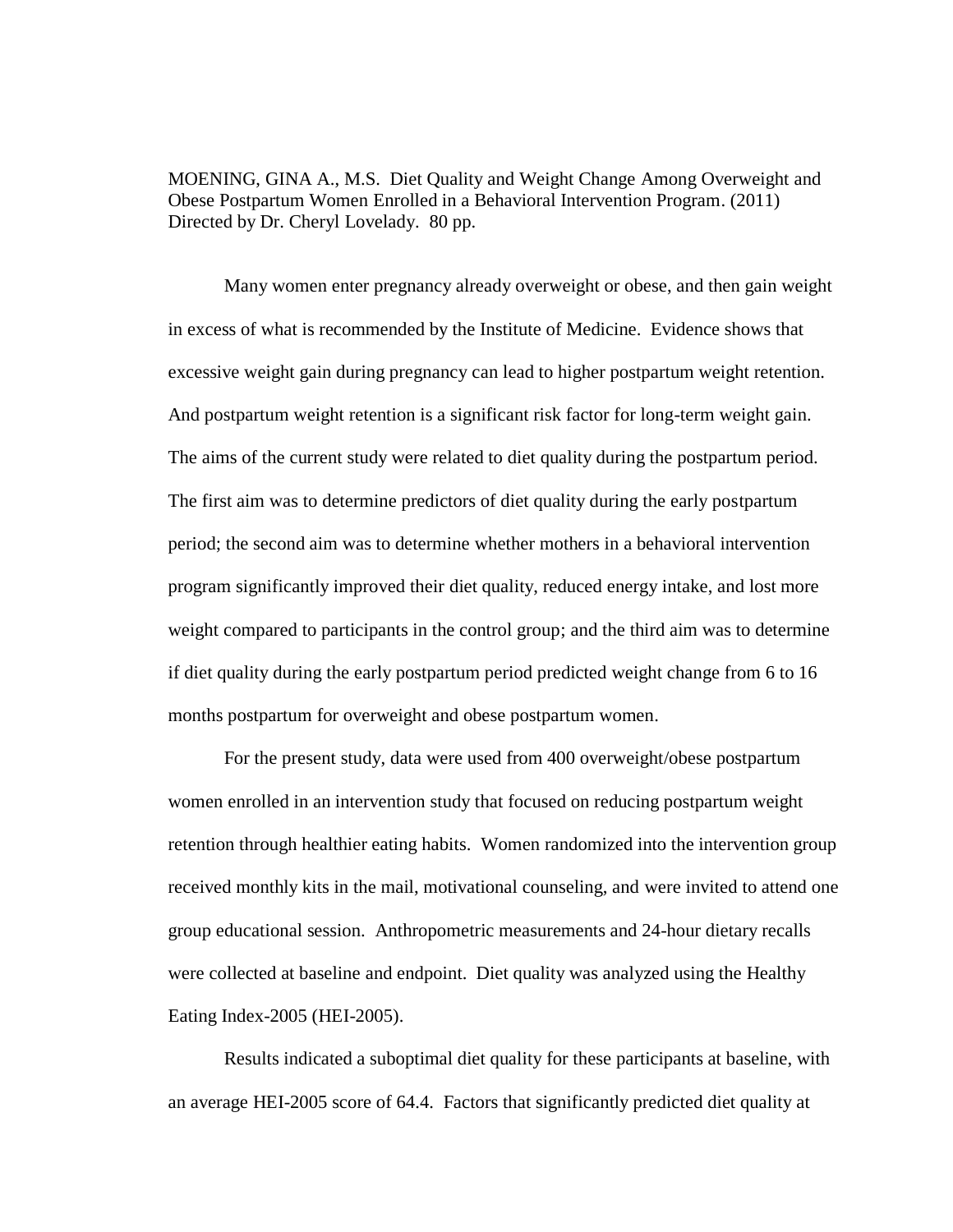MOENING, GINA A., M.S. Diet Quality and Weight Change Among Overweight and Obese Postpartum Women Enrolled in a Behavioral Intervention Program. (2011) Directed by Dr. Cheryl Lovelady. 80 pp.

Many women enter pregnancy already overweight or obese, and then gain weight in excess of what is recommended by the Institute of Medicine. Evidence shows that excessive weight gain during pregnancy can lead to higher postpartum weight retention. And postpartum weight retention is a significant risk factor for long-term weight gain. The aims of the current study were related to diet quality during the postpartum period. The first aim was to determine predictors of diet quality during the early postpartum period; the second aim was to determine whether mothers in a behavioral intervention program significantly improved their diet quality, reduced energy intake, and lost more weight compared to participants in the control group; and the third aim was to determine if diet quality during the early postpartum period predicted weight change from 6 to 16 months postpartum for overweight and obese postpartum women.

For the present study, data were used from 400 overweight/obese postpartum women enrolled in an intervention study that focused on reducing postpartum weight retention through healthier eating habits. Women randomized into the intervention group received monthly kits in the mail, motivational counseling, and were invited to attend one group educational session. Anthropometric measurements and 24-hour dietary recalls were collected at baseline and endpoint. Diet quality was analyzed using the Healthy Eating Index-2005 (HEI-2005).

Results indicated a suboptimal diet quality for these participants at baseline, with an average HEI-2005 score of 64.4. Factors that significantly predicted diet quality at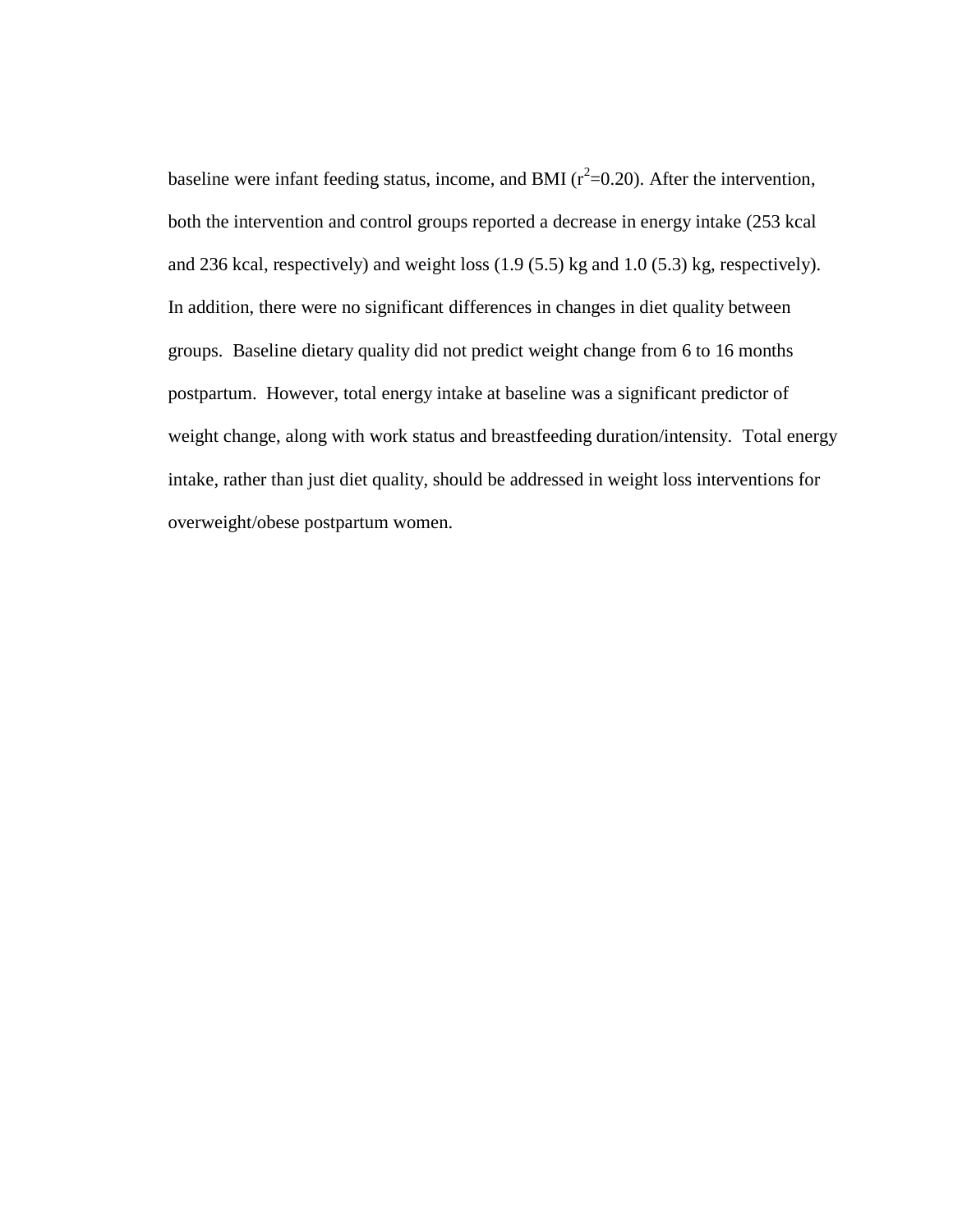baseline were infant feeding status, income, and BMI ( $r^2$ =0.20). After the intervention, both the intervention and control groups reported a decrease in energy intake (253 kcal and 236 kcal, respectively) and weight loss (1.9 (5.5) kg and 1.0 (5.3) kg, respectively). In addition, there were no significant differences in changes in diet quality between groups. Baseline dietary quality did not predict weight change from 6 to 16 months postpartum. However, total energy intake at baseline was a significant predictor of weight change, along with work status and breastfeeding duration/intensity. Total energy intake, rather than just diet quality, should be addressed in weight loss interventions for overweight/obese postpartum women.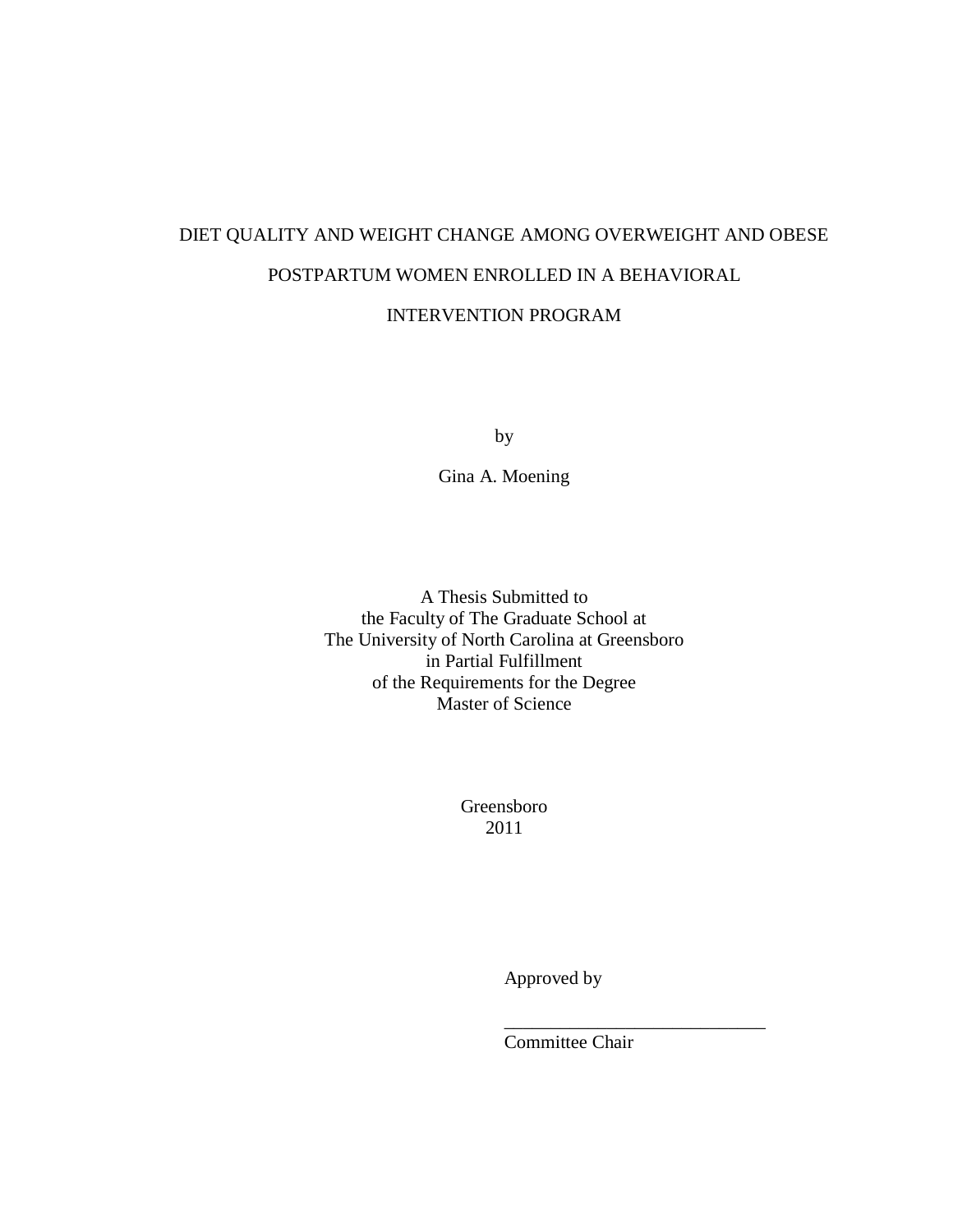# DIET QUALITY AND WEIGHT CHANGE AMONG OVERWEIGHT AND OBESE POSTPARTUM WOMEN ENROLLED IN A BEHAVIORAL

INTERVENTION PROGRAM

by

Gina A. Moening

A Thesis Submitted to the Faculty of The Graduate School at The University of North Carolina at Greensboro in Partial Fulfillment of the Requirements for the Degree Master of Science

> Greensboro 2011

> > Approved by

Committee Chair

\_\_\_\_\_\_\_\_\_\_\_\_\_\_\_\_\_\_\_\_\_\_\_\_\_\_\_\_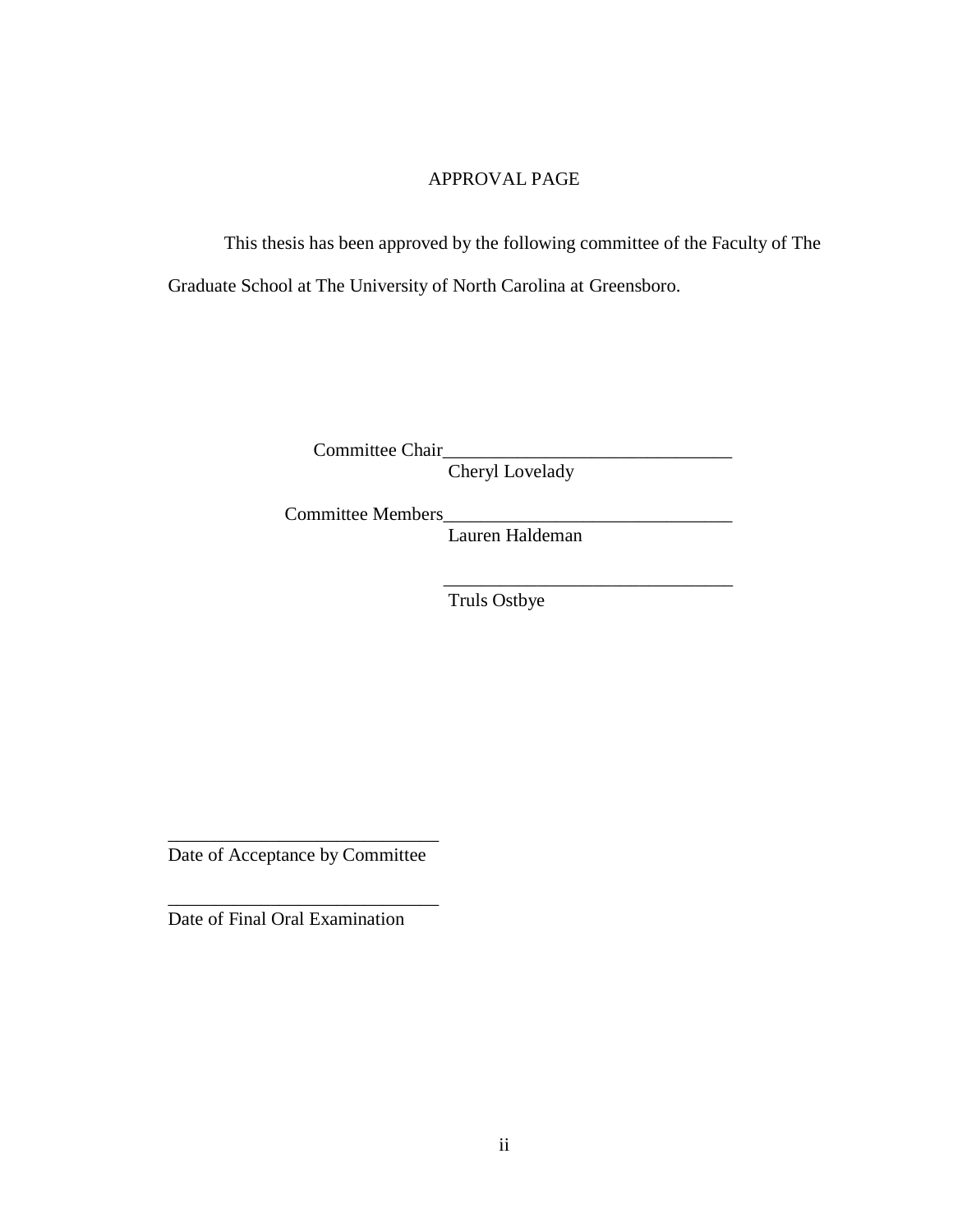## APPROVAL PAGE

This thesis has been approved by the following committee of the Faculty of The Graduate School at The University of North Carolina at Greensboro.

Committee Chair\_\_\_\_

Cheryl Lovelady

Committee Members\_

Lauren Haldeman

 $\frac{1}{\sqrt{2}}$  ,  $\frac{1}{\sqrt{2}}$  ,  $\frac{1}{\sqrt{2}}$  ,  $\frac{1}{\sqrt{2}}$  ,  $\frac{1}{\sqrt{2}}$  ,  $\frac{1}{\sqrt{2}}$  ,  $\frac{1}{\sqrt{2}}$  ,  $\frac{1}{\sqrt{2}}$  ,  $\frac{1}{\sqrt{2}}$  ,  $\frac{1}{\sqrt{2}}$  ,  $\frac{1}{\sqrt{2}}$  ,  $\frac{1}{\sqrt{2}}$  ,  $\frac{1}{\sqrt{2}}$  ,  $\frac{1}{\sqrt{2}}$  ,  $\frac{1}{\sqrt{2}}$ Truls Ostbye

\_\_\_\_\_\_\_\_\_\_\_\_\_\_\_\_\_\_\_\_\_\_\_\_\_\_\_\_\_ Date of Acceptance by Committee

\_\_\_\_\_\_\_\_\_\_\_\_\_\_\_\_\_\_\_\_\_\_\_\_\_\_\_\_\_

Date of Final Oral Examination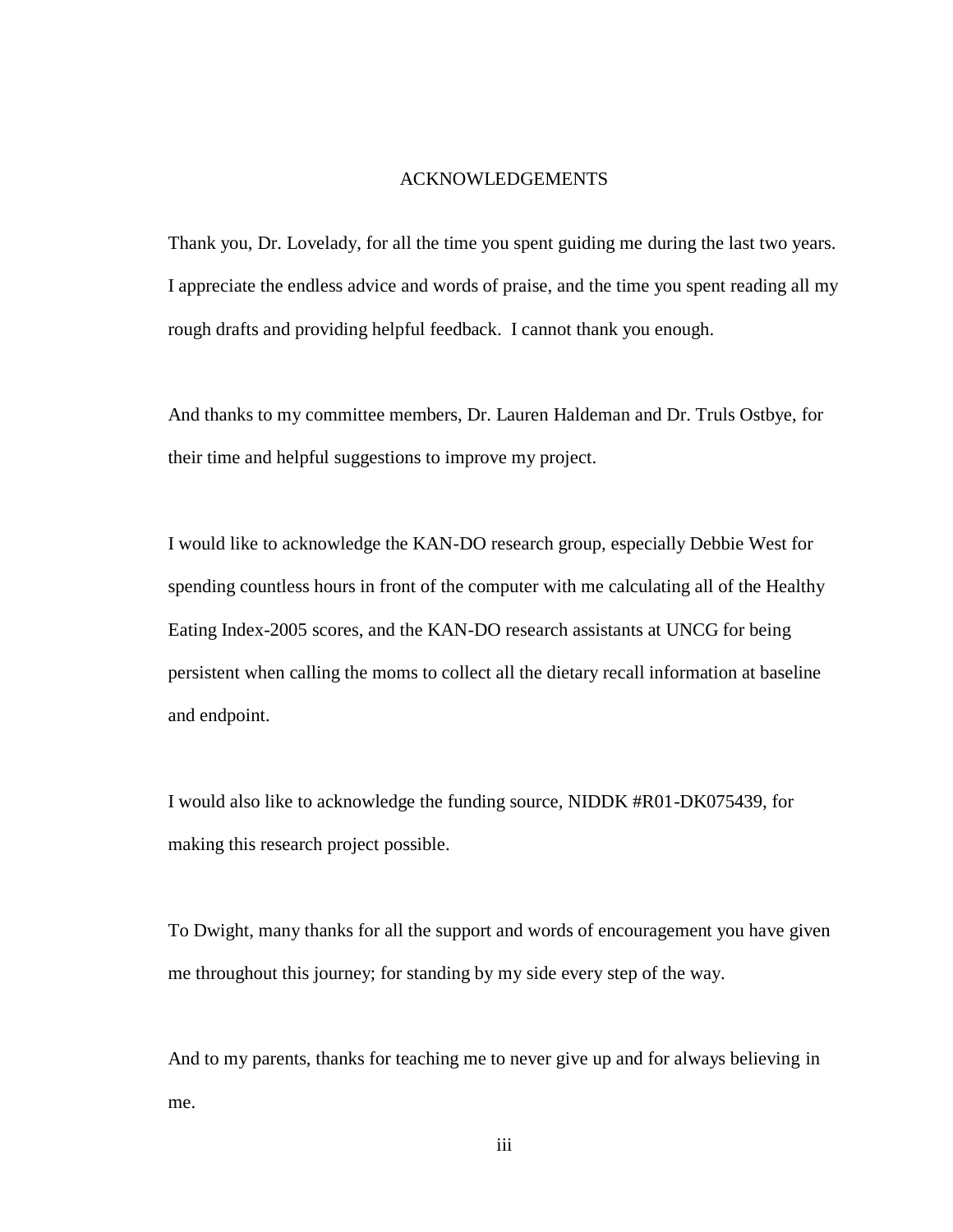#### ACKNOWLEDGEMENTS

Thank you, Dr. Lovelady, for all the time you spent guiding me during the last two years. I appreciate the endless advice and words of praise, and the time you spent reading all my rough drafts and providing helpful feedback. I cannot thank you enough.

And thanks to my committee members, Dr. Lauren Haldeman and Dr. Truls Ostbye, for their time and helpful suggestions to improve my project.

I would like to acknowledge the KAN-DO research group, especially Debbie West for spending countless hours in front of the computer with me calculating all of the Healthy Eating Index-2005 scores, and the KAN-DO research assistants at UNCG for being persistent when calling the moms to collect all the dietary recall information at baseline and endpoint.

I would also like to acknowledge the funding source, NIDDK #R01-DK075439, for making this research project possible.

To Dwight, many thanks for all the support and words of encouragement you have given me throughout this journey; for standing by my side every step of the way.

And to my parents, thanks for teaching me to never give up and for always believing in me.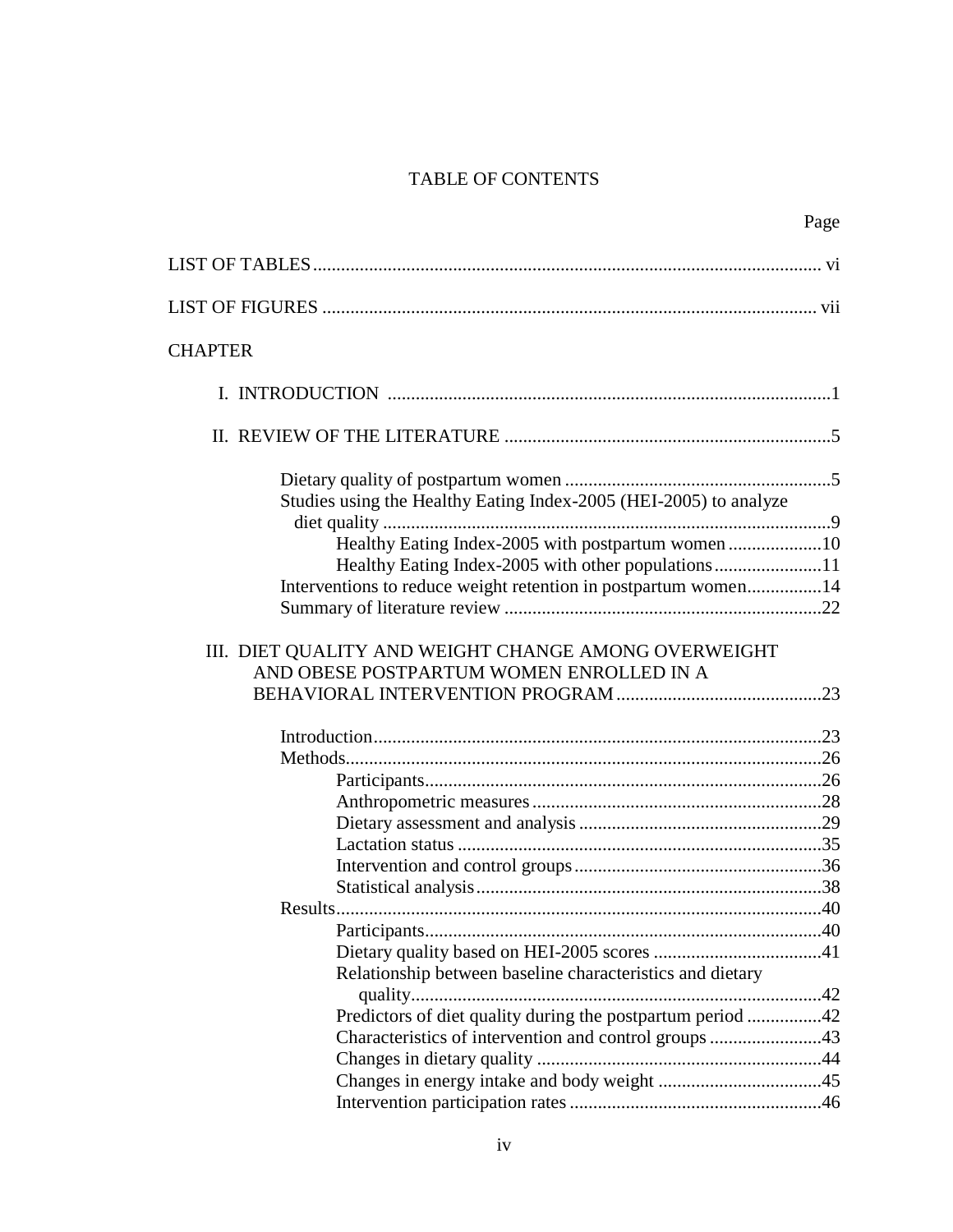# TABLE OF CONTENTS

Page

| <b>CHAPTER</b>                                                    |  |
|-------------------------------------------------------------------|--|
|                                                                   |  |
|                                                                   |  |
| Studies using the Healthy Eating Index-2005 (HEI-2005) to analyze |  |
| Healthy Eating Index-2005 with postpartum women 10                |  |
| Healthy Eating Index-2005 with other populations11                |  |
| Interventions to reduce weight retention in postpartum women14    |  |
|                                                                   |  |
| AND OBESE POSTPARTUM WOMEN ENROLLED IN A                          |  |
|                                                                   |  |
|                                                                   |  |
|                                                                   |  |
|                                                                   |  |
|                                                                   |  |
|                                                                   |  |
|                                                                   |  |
|                                                                   |  |
|                                                                   |  |
|                                                                   |  |
|                                                                   |  |
| Relationship between baseline characteristics and dietary         |  |
| Predictors of diet quality during the postpartum period 42        |  |
| Characteristics of intervention and control groups 43             |  |
|                                                                   |  |
|                                                                   |  |
|                                                                   |  |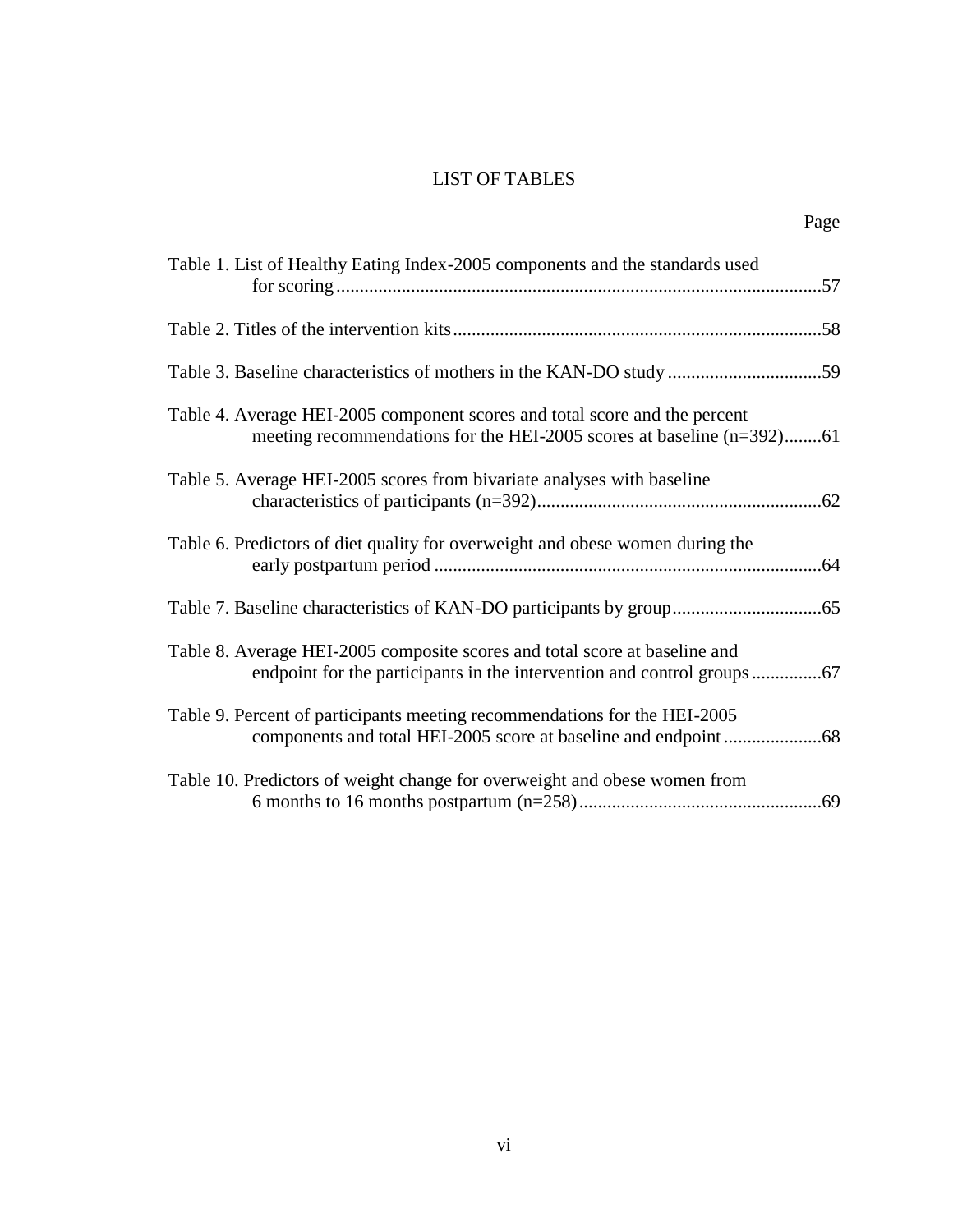## LIST OF TABLES

| ×<br>٠ |
|--------|
|--------|

| Table 1. List of Healthy Eating Index-2005 components and the standards used                                                                        |
|-----------------------------------------------------------------------------------------------------------------------------------------------------|
|                                                                                                                                                     |
| Table 3. Baseline characteristics of mothers in the KAN-DO study 59                                                                                 |
| Table 4. Average HEI-2005 component scores and total score and the percent<br>meeting recommendations for the HEI-2005 scores at baseline (n=392)61 |
| Table 5. Average HEI-2005 scores from bivariate analyses with baseline                                                                              |
| Table 6. Predictors of diet quality for overweight and obese women during the                                                                       |
|                                                                                                                                                     |
| Table 8. Average HEI-2005 composite scores and total score at baseline and                                                                          |
| Table 9. Percent of participants meeting recommendations for the HEI-2005                                                                           |
| Table 10. Predictors of weight change for overweight and obese women from                                                                           |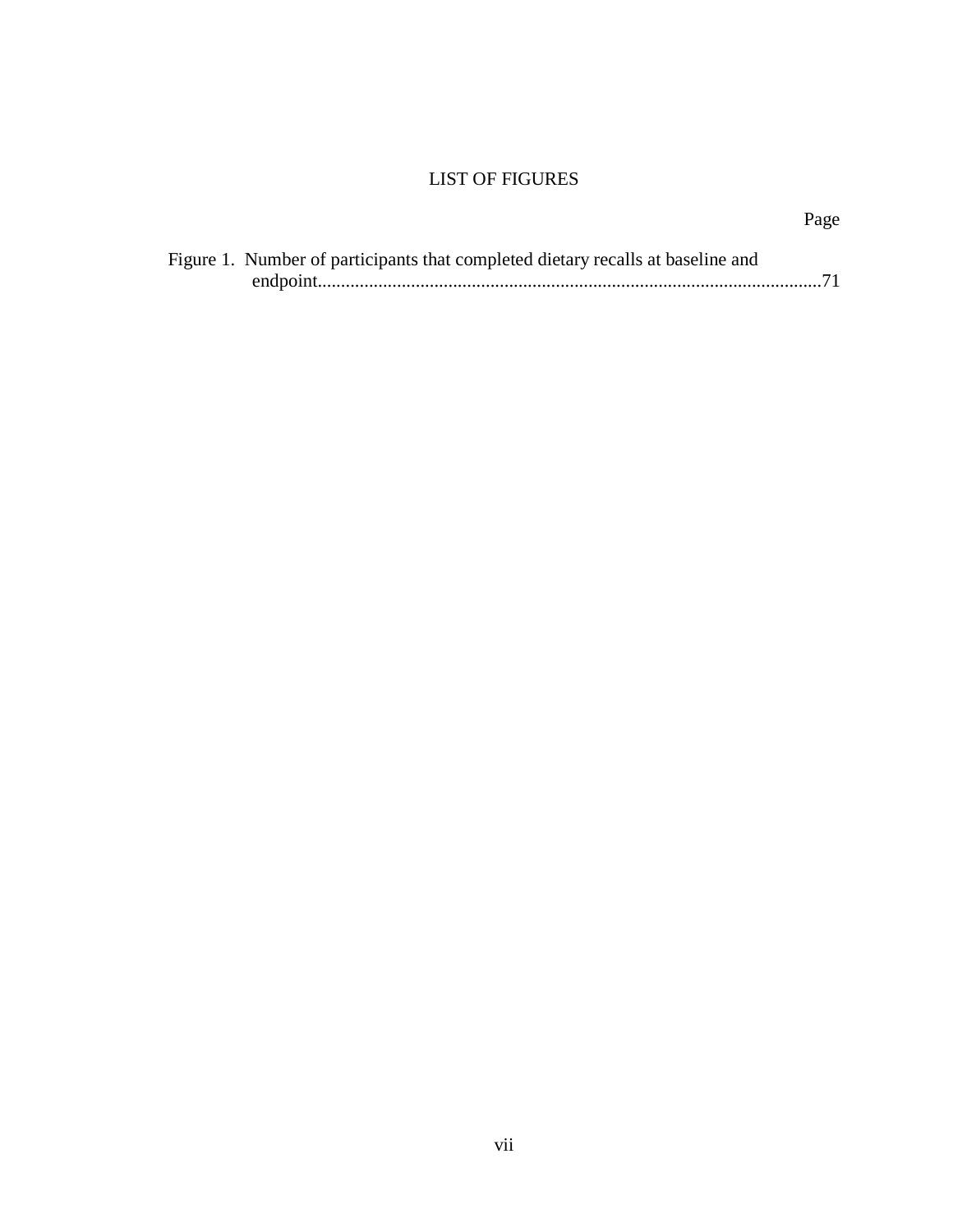## LIST OF FIGURES

| ٠ |
|---|
|---|

| Figure 1. Number of participants that completed dietary recalls at baseline and |
|---------------------------------------------------------------------------------|
|                                                                                 |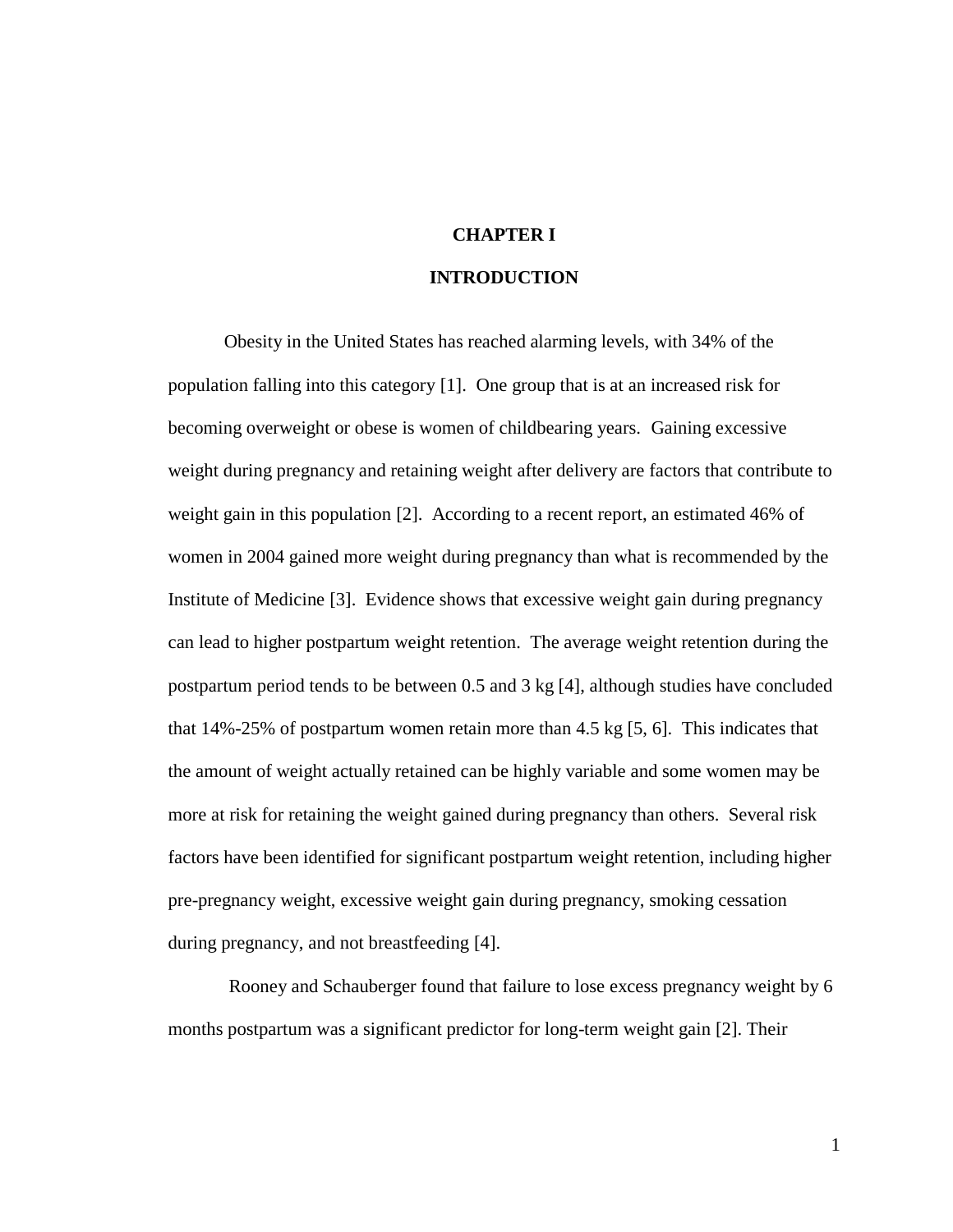#### **CHAPTER I**

### **INTRODUCTION**

Obesity in the United States has reached alarming levels, with 34% of the population falling into this category [1]. One group that is at an increased risk for becoming overweight or obese is women of childbearing years. Gaining excessive weight during pregnancy and retaining weight after delivery are factors that contribute to weight gain in this population [2]. According to a recent report, an estimated 46% of women in 2004 gained more weight during pregnancy than what is recommended by the Institute of Medicine [3]. Evidence shows that excessive weight gain during pregnancy can lead to higher postpartum weight retention. The average weight retention during the postpartum period tends to be between 0.5 and 3 kg [4], although studies have concluded that 14%-25% of postpartum women retain more than 4.5 kg [5, 6]. This indicates that the amount of weight actually retained can be highly variable and some women may be more at risk for retaining the weight gained during pregnancy than others. Several risk factors have been identified for significant postpartum weight retention, including higher pre-pregnancy weight, excessive weight gain during pregnancy, smoking cessation during pregnancy, and not breastfeeding [4].

Rooney and Schauberger found that failure to lose excess pregnancy weight by 6 months postpartum was a significant predictor for long-term weight gain [2]. Their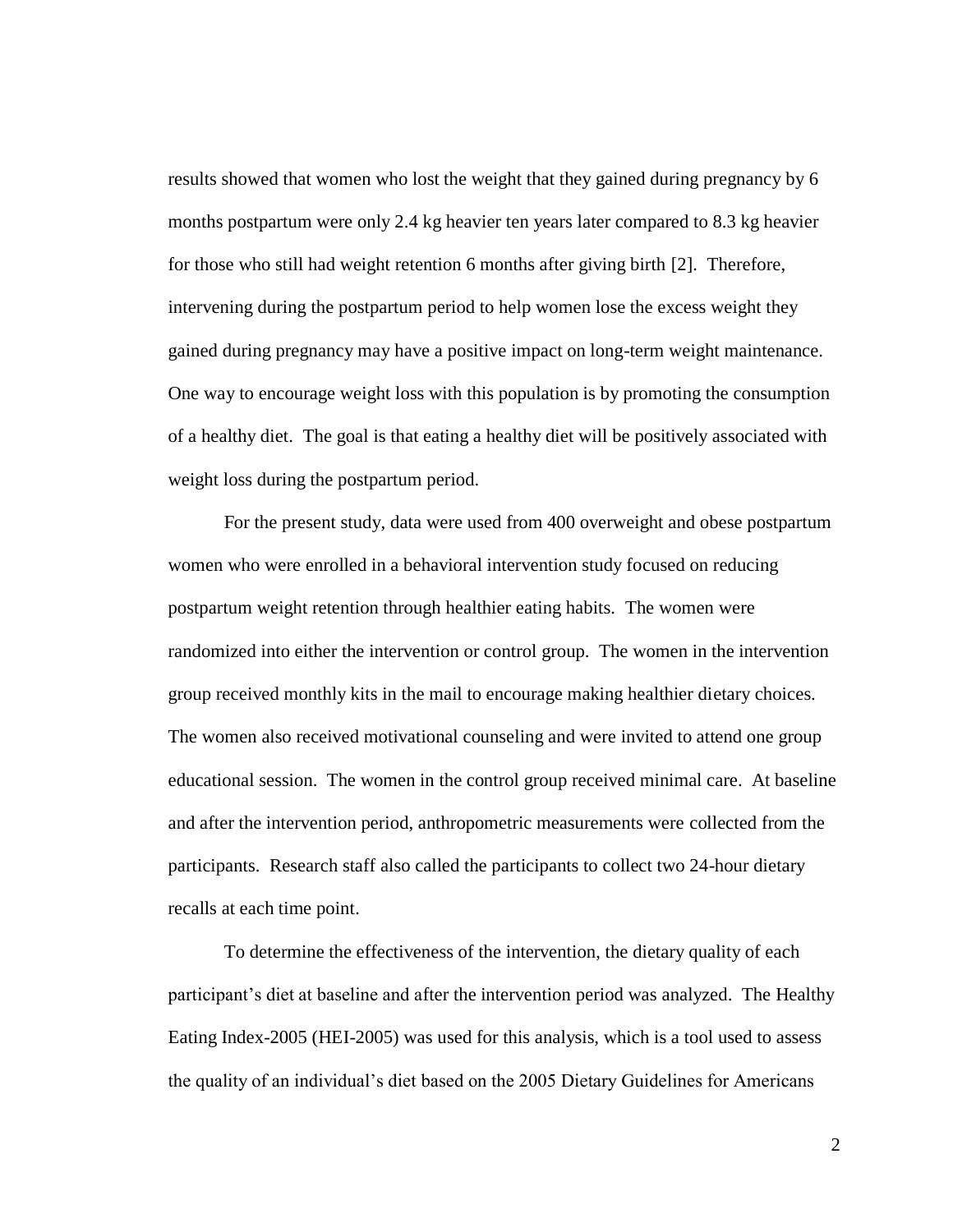results showed that women who lost the weight that they gained during pregnancy by 6 months postpartum were only 2.4 kg heavier ten years later compared to 8.3 kg heavier for those who still had weight retention 6 months after giving birth [2]. Therefore, intervening during the postpartum period to help women lose the excess weight they gained during pregnancy may have a positive impact on long-term weight maintenance. One way to encourage weight loss with this population is by promoting the consumption of a healthy diet. The goal is that eating a healthy diet will be positively associated with weight loss during the postpartum period.

For the present study, data were used from 400 overweight and obese postpartum women who were enrolled in a behavioral intervention study focused on reducing postpartum weight retention through healthier eating habits. The women were randomized into either the intervention or control group. The women in the intervention group received monthly kits in the mail to encourage making healthier dietary choices. The women also received motivational counseling and were invited to attend one group educational session. The women in the control group received minimal care. At baseline and after the intervention period, anthropometric measurements were collected from the participants. Research staff also called the participants to collect two 24-hour dietary recalls at each time point.

To determine the effectiveness of the intervention, the dietary quality of each participant"s diet at baseline and after the intervention period was analyzed. The Healthy Eating Index-2005 (HEI-2005) was used for this analysis, which is a tool used to assess the quality of an individual"s diet based on the 2005 Dietary Guidelines for Americans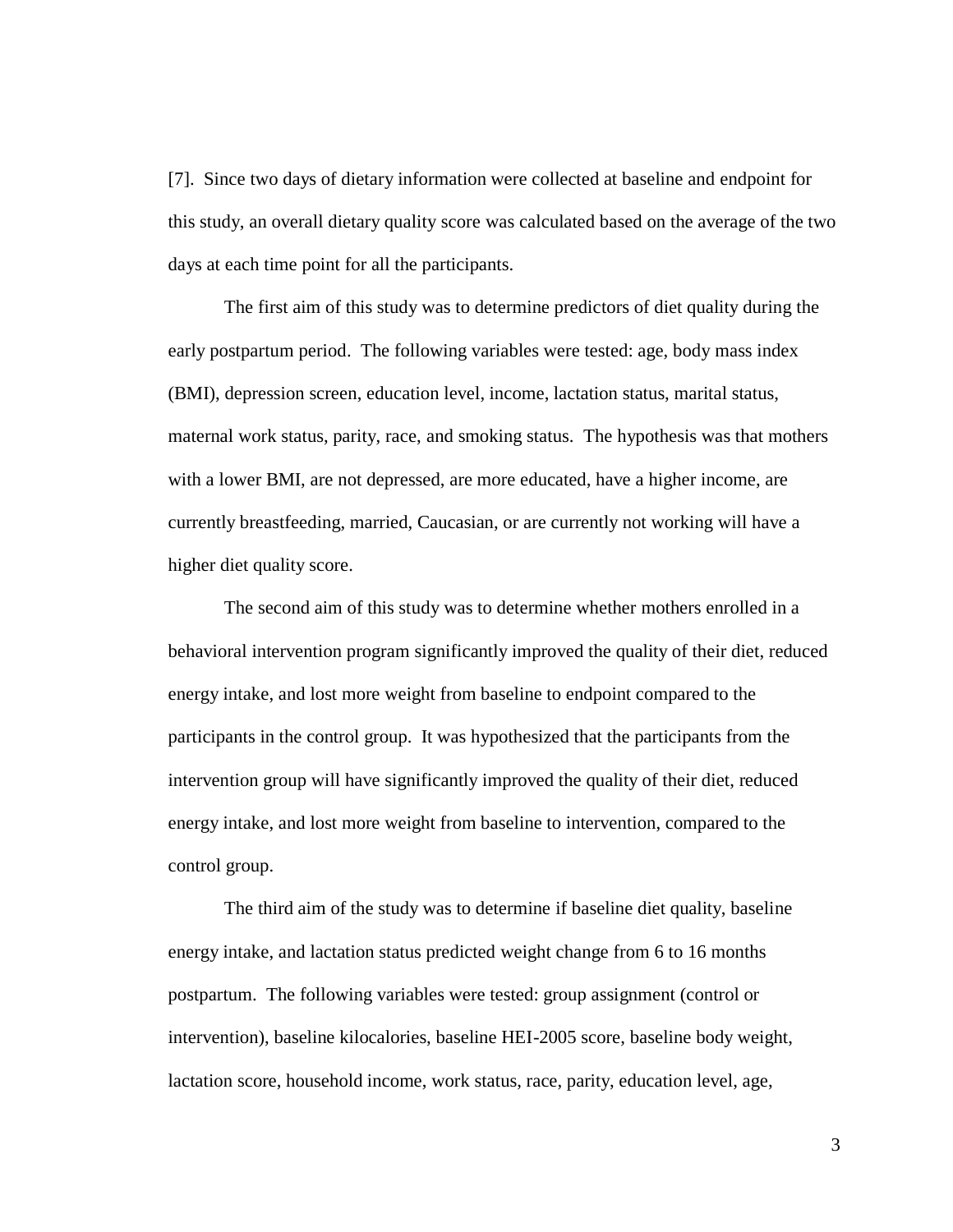[7]. Since two days of dietary information were collected at baseline and endpoint for this study, an overall dietary quality score was calculated based on the average of the two days at each time point for all the participants.

The first aim of this study was to determine predictors of diet quality during the early postpartum period. The following variables were tested: age, body mass index (BMI), depression screen, education level, income, lactation status, marital status, maternal work status, parity, race, and smoking status. The hypothesis was that mothers with a lower BMI, are not depressed, are more educated, have a higher income, are currently breastfeeding, married, Caucasian, or are currently not working will have a higher diet quality score.

The second aim of this study was to determine whether mothers enrolled in a behavioral intervention program significantly improved the quality of their diet, reduced energy intake, and lost more weight from baseline to endpoint compared to the participants in the control group. It was hypothesized that the participants from the intervention group will have significantly improved the quality of their diet, reduced energy intake, and lost more weight from baseline to intervention, compared to the control group.

The third aim of the study was to determine if baseline diet quality, baseline energy intake, and lactation status predicted weight change from 6 to 16 months postpartum. The following variables were tested: group assignment (control or intervention), baseline kilocalories, baseline HEI-2005 score, baseline body weight, lactation score, household income, work status, race, parity, education level, age,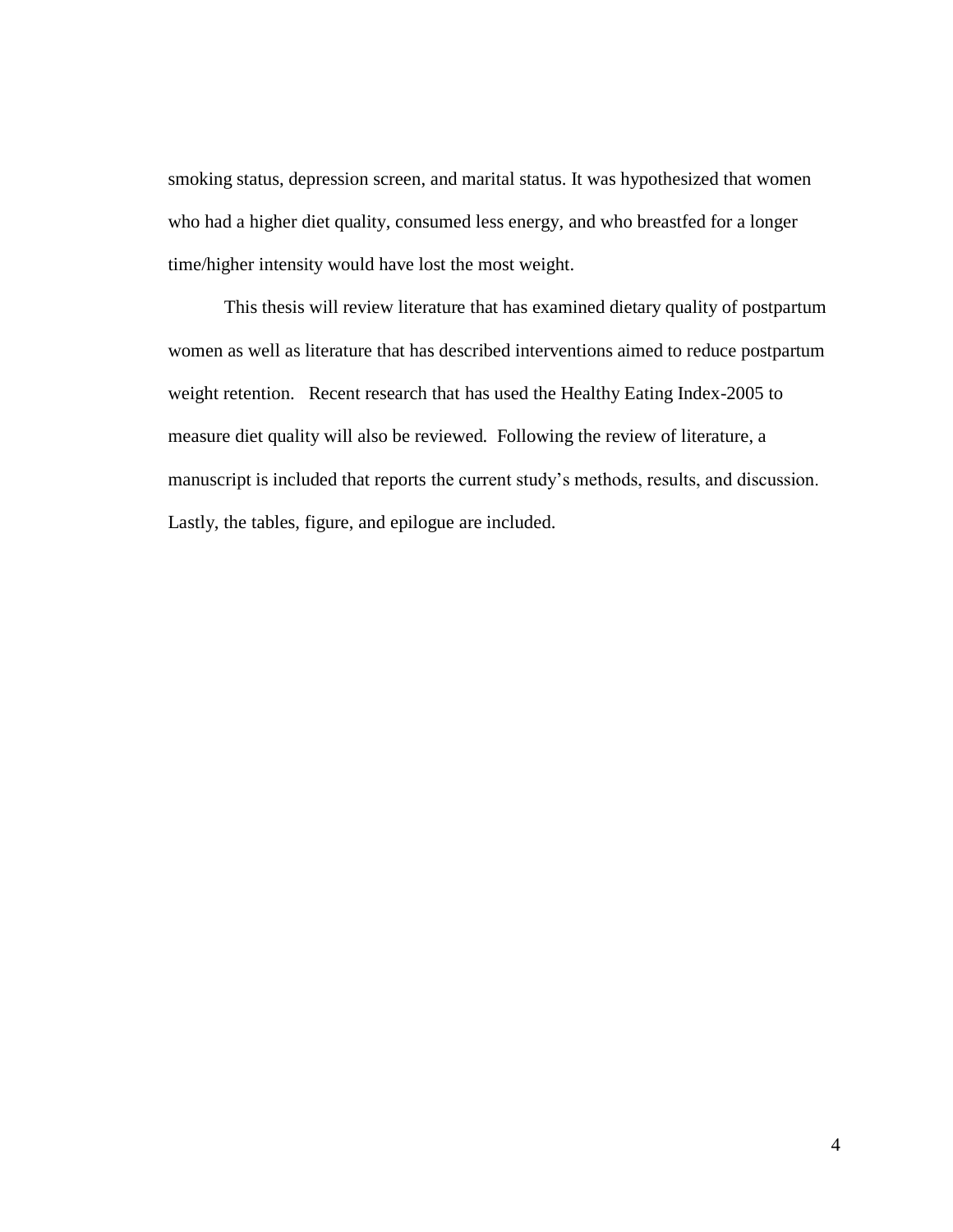smoking status, depression screen, and marital status. It was hypothesized that women who had a higher diet quality, consumed less energy, and who breastfed for a longer time/higher intensity would have lost the most weight.

This thesis will review literature that has examined dietary quality of postpartum women as well as literature that has described interventions aimed to reduce postpartum weight retention. Recent research that has used the Healthy Eating Index-2005 to measure diet quality will also be reviewed. Following the review of literature, a manuscript is included that reports the current study"s methods, results, and discussion. Lastly, the tables, figure, and epilogue are included.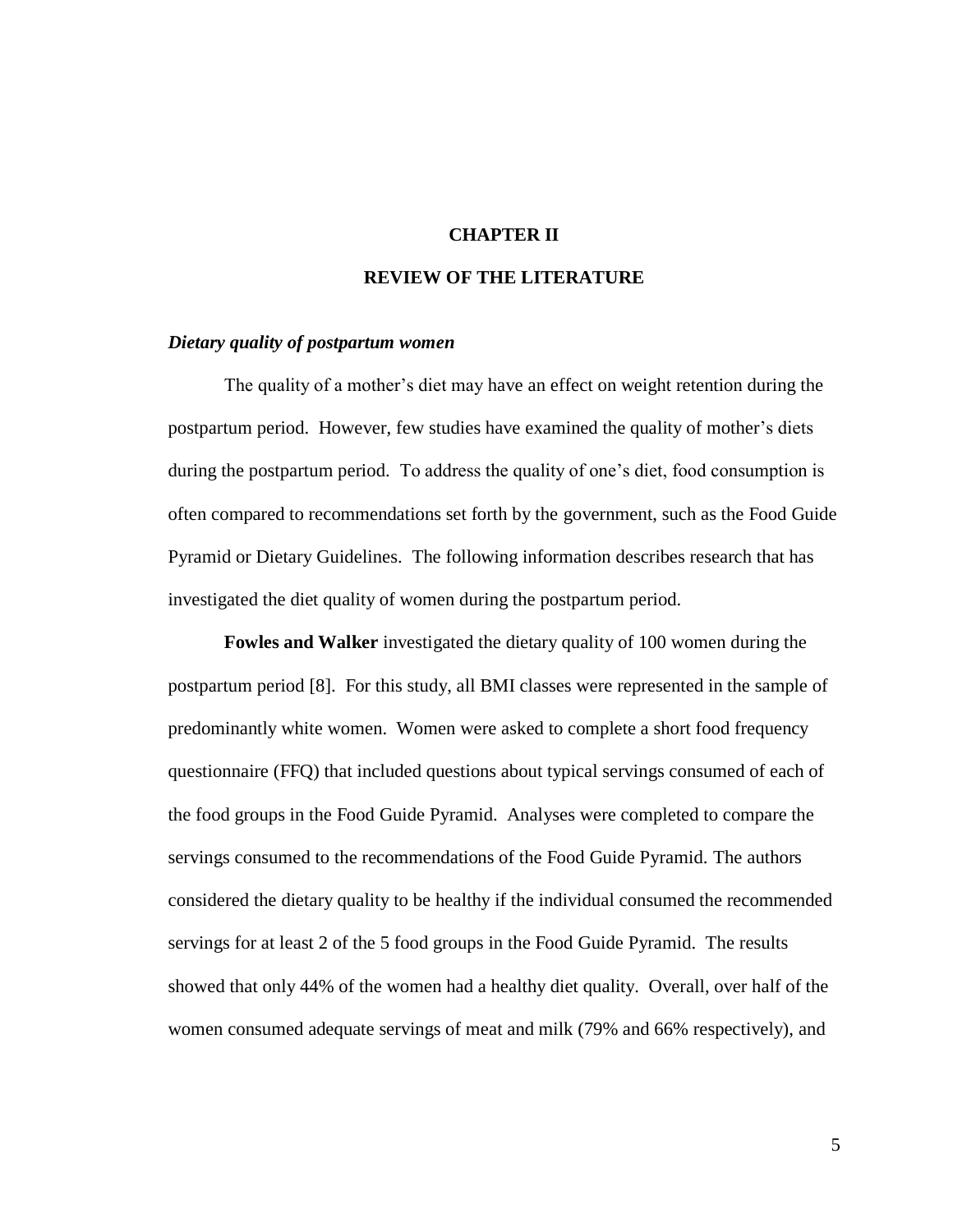#### **CHAPTER II**

#### **REVIEW OF THE LITERATURE**

#### *Dietary quality of postpartum women*

The quality of a mother's diet may have an effect on weight retention during the postpartum period. However, few studies have examined the quality of mother's diets during the postpartum period. To address the quality of one"s diet, food consumption is often compared to recommendations set forth by the government, such as the Food Guide Pyramid or Dietary Guidelines. The following information describes research that has investigated the diet quality of women during the postpartum period.

**Fowles and Walker** investigated the dietary quality of 100 women during the postpartum period [8]. For this study, all BMI classes were represented in the sample of predominantly white women. Women were asked to complete a short food frequency questionnaire (FFQ) that included questions about typical servings consumed of each of the food groups in the Food Guide Pyramid. Analyses were completed to compare the servings consumed to the recommendations of the Food Guide Pyramid. The authors considered the dietary quality to be healthy if the individual consumed the recommended servings for at least 2 of the 5 food groups in the Food Guide Pyramid. The results showed that only 44% of the women had a healthy diet quality. Overall, over half of the women consumed adequate servings of meat and milk (79% and 66% respectively), and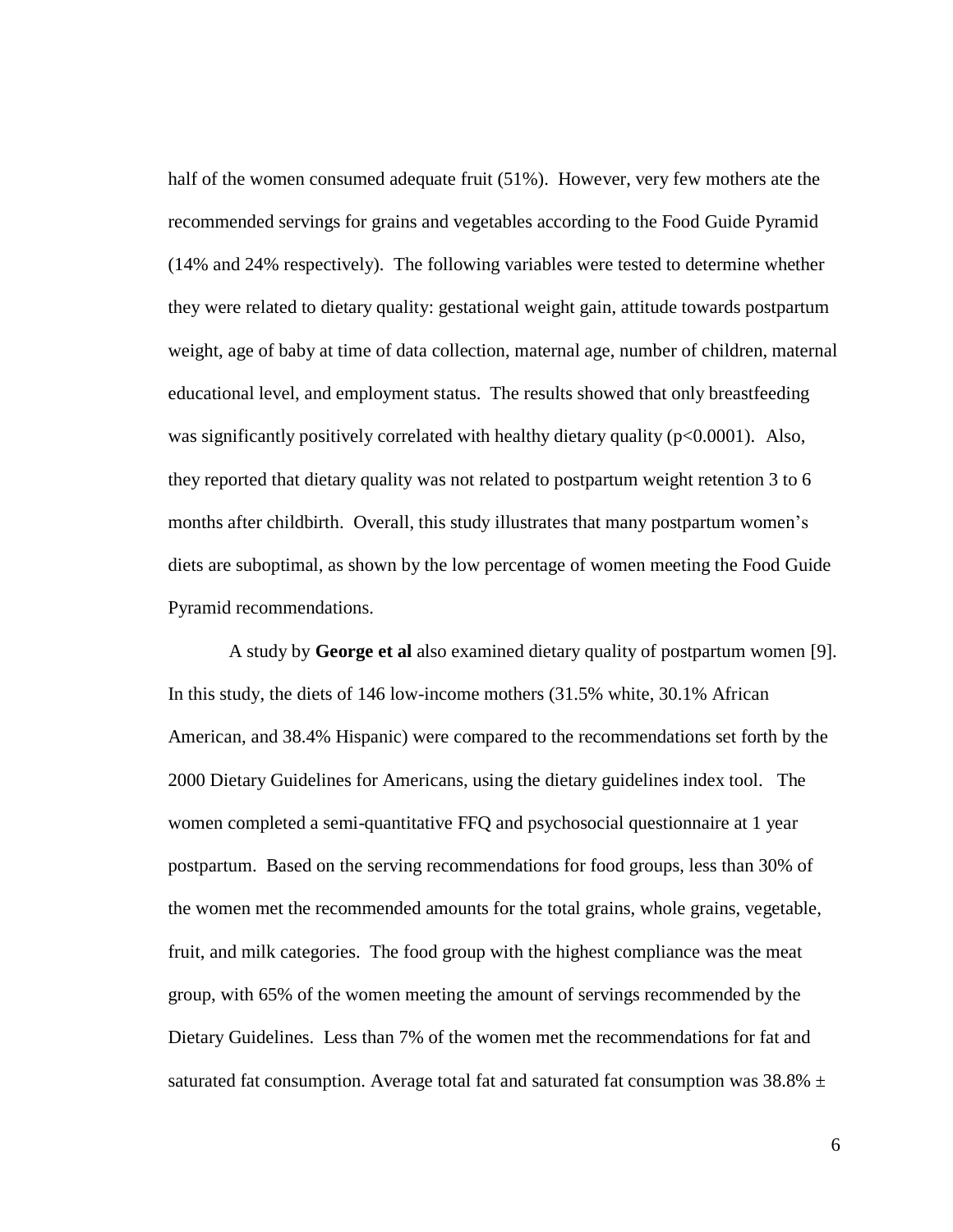half of the women consumed adequate fruit (51%). However, very few mothers ate the recommended servings for grains and vegetables according to the Food Guide Pyramid (14% and 24% respectively). The following variables were tested to determine whether they were related to dietary quality: gestational weight gain, attitude towards postpartum weight, age of baby at time of data collection, maternal age, number of children, maternal educational level, and employment status. The results showed that only breastfeeding was significantly positively correlated with healthy dietary quality ( $p<0.0001$ ). Also, they reported that dietary quality was not related to postpartum weight retention 3 to 6 months after childbirth. Overall, this study illustrates that many postpartum women"s diets are suboptimal, as shown by the low percentage of women meeting the Food Guide Pyramid recommendations.

A study by **George et al** also examined dietary quality of postpartum women [9]. In this study, the diets of 146 low-income mothers (31.5% white, 30.1% African American, and 38.4% Hispanic) were compared to the recommendations set forth by the 2000 Dietary Guidelines for Americans, using the dietary guidelines index tool. The women completed a semi-quantitative FFQ and psychosocial questionnaire at 1 year postpartum. Based on the serving recommendations for food groups, less than 30% of the women met the recommended amounts for the total grains, whole grains, vegetable, fruit, and milk categories. The food group with the highest compliance was the meat group, with 65% of the women meeting the amount of servings recommended by the Dietary Guidelines. Less than 7% of the women met the recommendations for fat and saturated fat consumption. Average total fat and saturated fat consumption was 38.8%  $\pm$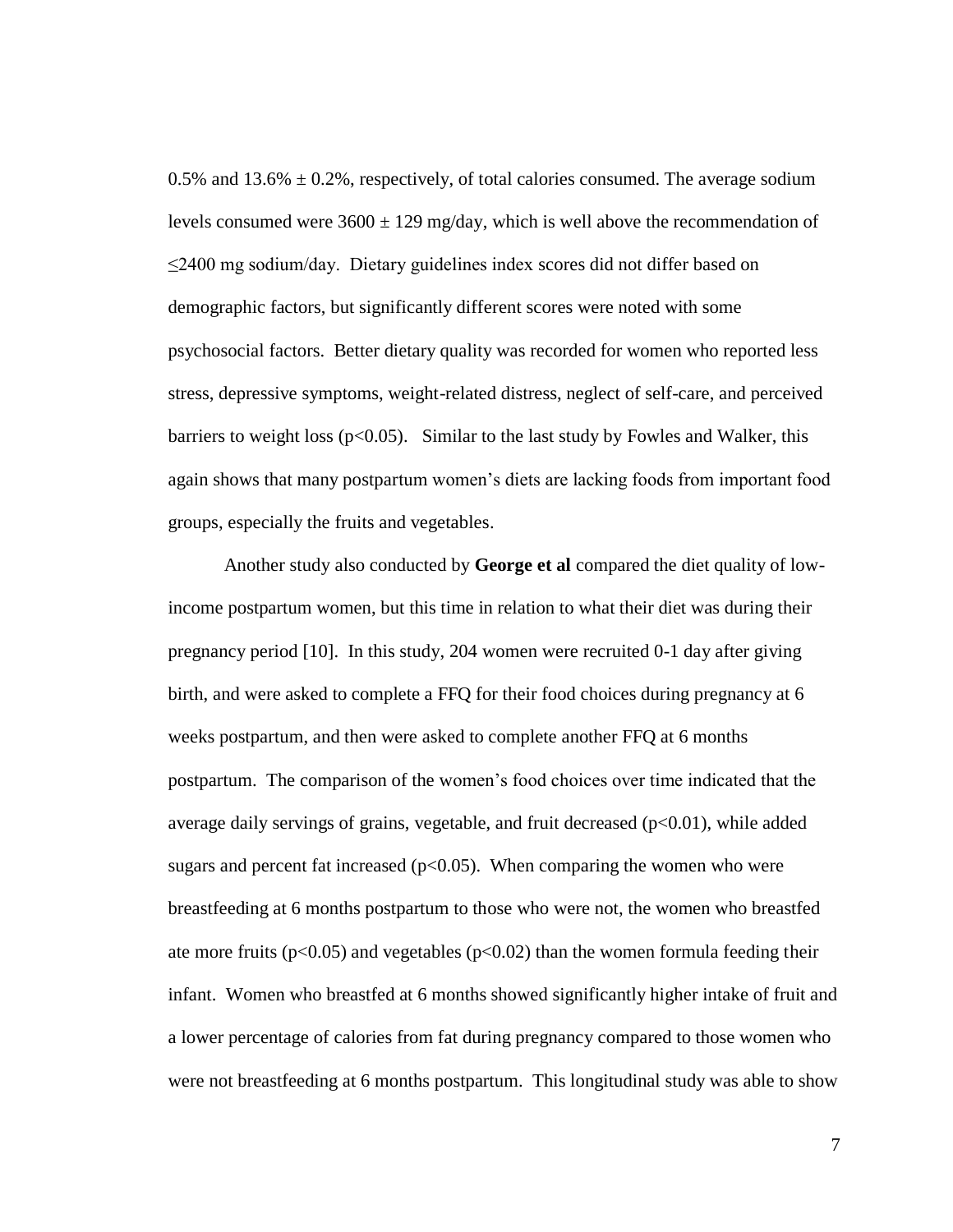0.5% and 13.6%  $\pm$  0.2%, respectively, of total calories consumed. The average sodium levels consumed were  $3600 \pm 129$  mg/day, which is well above the recommendation of ≤2400 mg sodium/day. Dietary guidelines index scores did not differ based on demographic factors, but significantly different scores were noted with some psychosocial factors. Better dietary quality was recorded for women who reported less stress, depressive symptoms, weight-related distress, neglect of self-care, and perceived barriers to weight loss ( $p<0.05$ ). Similar to the last study by Fowles and Walker, this again shows that many postpartum women"s diets are lacking foods from important food groups, especially the fruits and vegetables.

Another study also conducted by **George et al** compared the diet quality of lowincome postpartum women, but this time in relation to what their diet was during their pregnancy period [10]. In this study, 204 women were recruited 0-1 day after giving birth, and were asked to complete a FFQ for their food choices during pregnancy at 6 weeks postpartum, and then were asked to complete another FFQ at 6 months postpartum. The comparison of the women"s food choices over time indicated that the average daily servings of grains, vegetable, and fruit decreased  $(p<0.01)$ , while added sugars and percent fat increased  $(p<0.05)$ . When comparing the women who were breastfeeding at 6 months postpartum to those who were not, the women who breastfed ate more fruits ( $p<0.05$ ) and vegetables ( $p<0.02$ ) than the women formula feeding their infant. Women who breastfed at 6 months showed significantly higher intake of fruit and a lower percentage of calories from fat during pregnancy compared to those women who were not breastfeeding at 6 months postpartum. This longitudinal study was able to show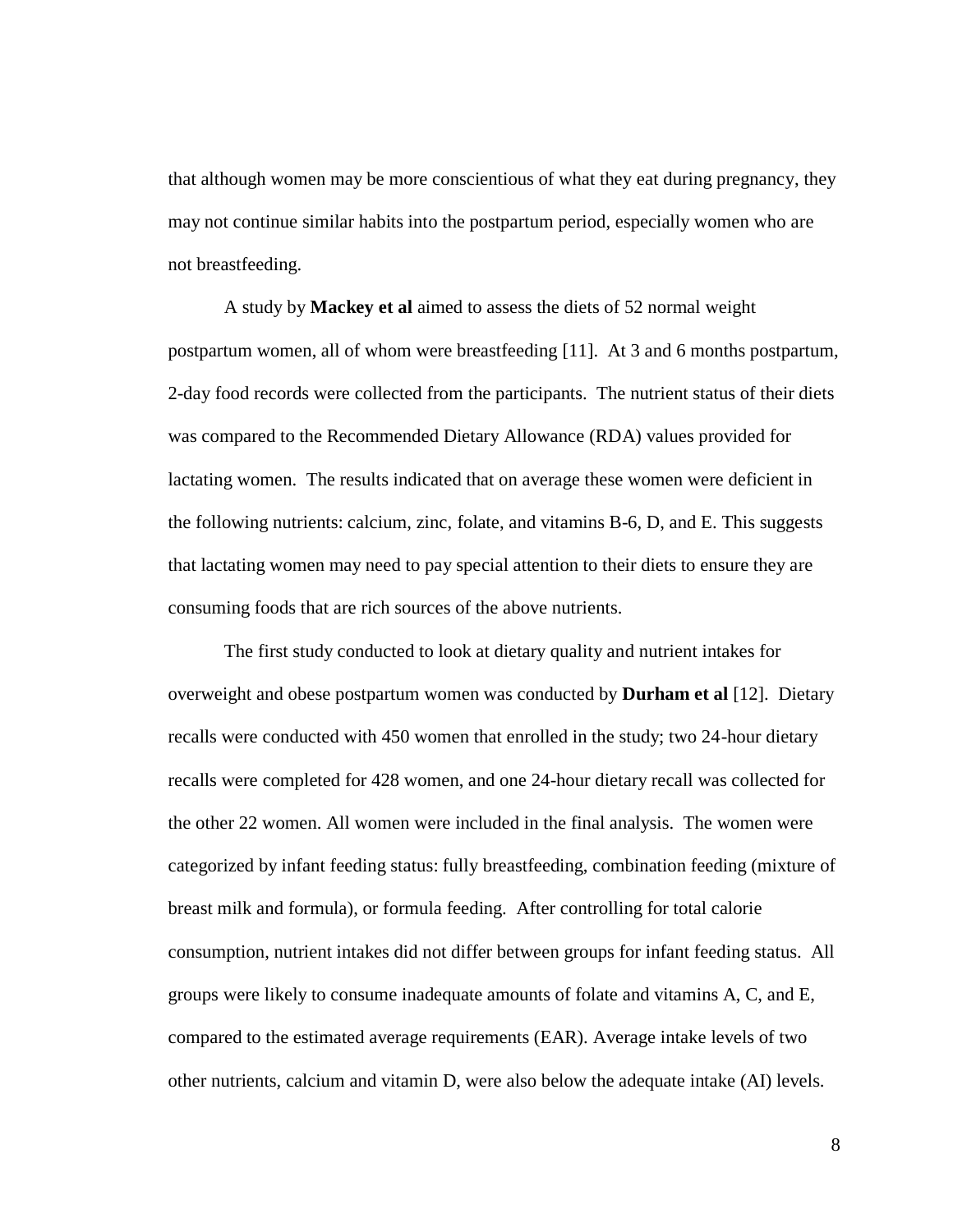that although women may be more conscientious of what they eat during pregnancy, they may not continue similar habits into the postpartum period, especially women who are not breastfeeding.

A study by **Mackey et al** aimed to assess the diets of 52 normal weight postpartum women, all of whom were breastfeeding [11]. At 3 and 6 months postpartum, 2-day food records were collected from the participants. The nutrient status of their diets was compared to the Recommended Dietary Allowance (RDA) values provided for lactating women. The results indicated that on average these women were deficient in the following nutrients: calcium, zinc, folate, and vitamins B-6, D, and E. This suggests that lactating women may need to pay special attention to their diets to ensure they are consuming foods that are rich sources of the above nutrients.

The first study conducted to look at dietary quality and nutrient intakes for overweight and obese postpartum women was conducted by **Durham et al** [12]. Dietary recalls were conducted with 450 women that enrolled in the study; two 24-hour dietary recalls were completed for 428 women, and one 24-hour dietary recall was collected for the other 22 women. All women were included in the final analysis. The women were categorized by infant feeding status: fully breastfeeding, combination feeding (mixture of breast milk and formula), or formula feeding. After controlling for total calorie consumption, nutrient intakes did not differ between groups for infant feeding status. All groups were likely to consume inadequate amounts of folate and vitamins A, C, and E, compared to the estimated average requirements (EAR). Average intake levels of two other nutrients, calcium and vitamin D, were also below the adequate intake (AI) levels.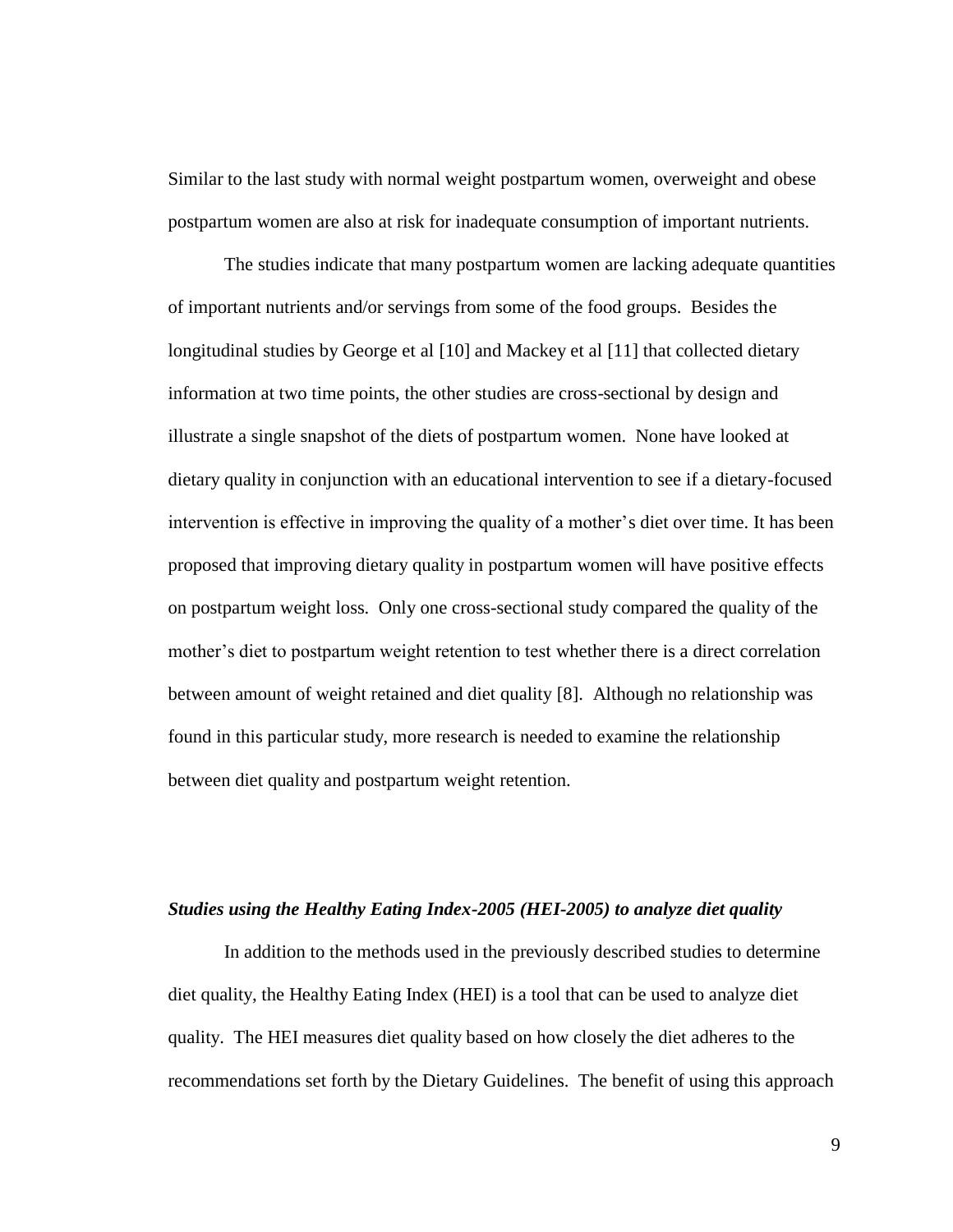Similar to the last study with normal weight postpartum women, overweight and obese postpartum women are also at risk for inadequate consumption of important nutrients.

The studies indicate that many postpartum women are lacking adequate quantities of important nutrients and/or servings from some of the food groups. Besides the longitudinal studies by George et al [10] and Mackey et al [11] that collected dietary information at two time points, the other studies are cross-sectional by design and illustrate a single snapshot of the diets of postpartum women. None have looked at dietary quality in conjunction with an educational intervention to see if a dietary-focused intervention is effective in improving the quality of a mother's diet over time. It has been proposed that improving dietary quality in postpartum women will have positive effects on postpartum weight loss. Only one cross-sectional study compared the quality of the mother's diet to postpartum weight retention to test whether there is a direct correlation between amount of weight retained and diet quality [8]. Although no relationship was found in this particular study, more research is needed to examine the relationship between diet quality and postpartum weight retention.

#### *Studies using the Healthy Eating Index-2005 (HEI-2005) to analyze diet quality*

In addition to the methods used in the previously described studies to determine diet quality, the Healthy Eating Index (HEI) is a tool that can be used to analyze diet quality. The HEI measures diet quality based on how closely the diet adheres to the recommendations set forth by the Dietary Guidelines. The benefit of using this approach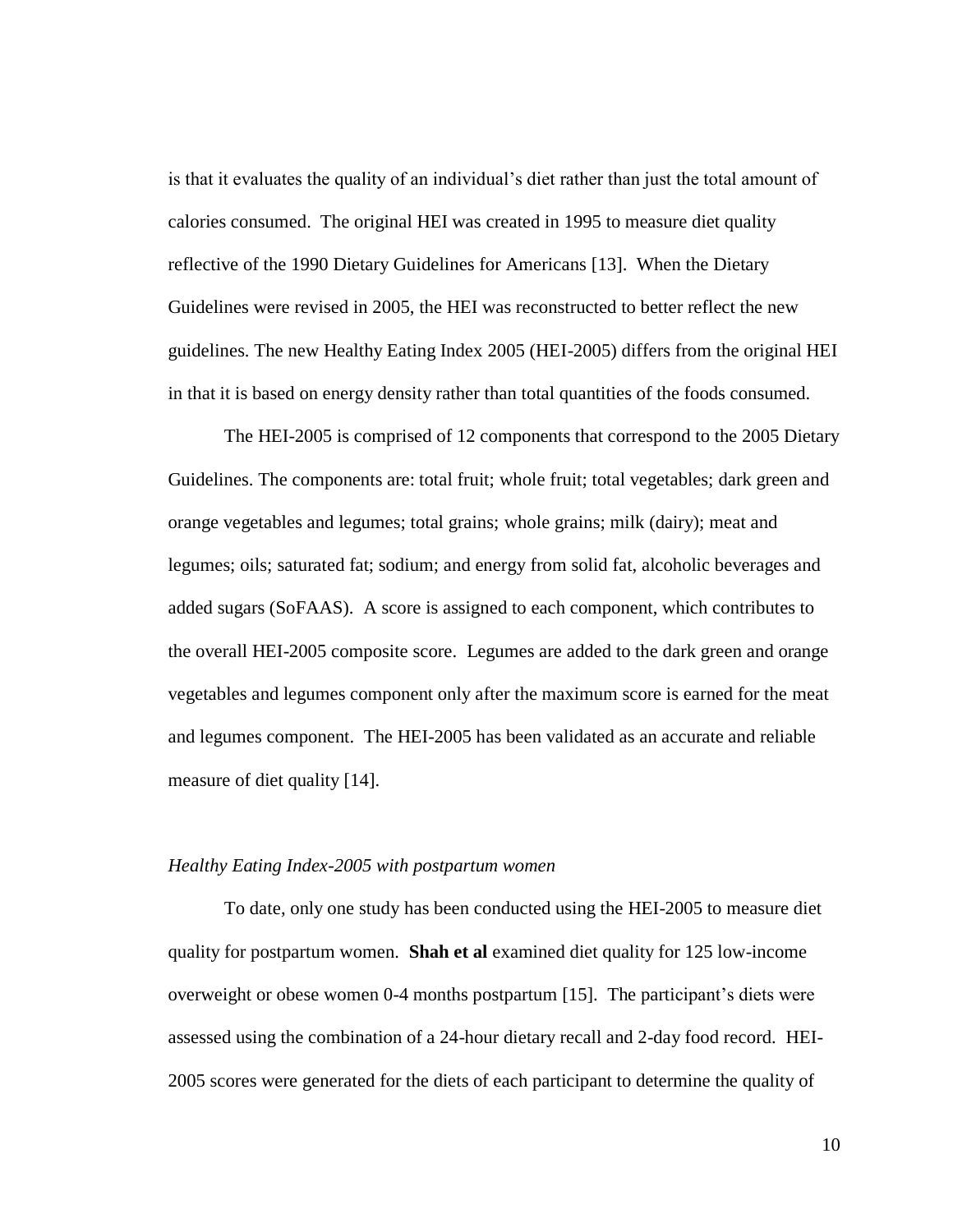is that it evaluates the quality of an individual's diet rather than just the total amount of calories consumed. The original HEI was created in 1995 to measure diet quality reflective of the 1990 Dietary Guidelines for Americans [13]. When the Dietary Guidelines were revised in 2005, the HEI was reconstructed to better reflect the new guidelines. The new Healthy Eating Index 2005 (HEI-2005) differs from the original HEI in that it is based on energy density rather than total quantities of the foods consumed.

The HEI-2005 is comprised of 12 components that correspond to the 2005 Dietary Guidelines. The components are: total fruit; whole fruit; total vegetables; dark green and orange vegetables and legumes; total grains; whole grains; milk (dairy); meat and legumes; oils; saturated fat; sodium; and energy from solid fat, alcoholic beverages and added sugars (SoFAAS). A score is assigned to each component, which contributes to the overall HEI-2005 composite score. Legumes are added to the dark green and orange vegetables and legumes component only after the maximum score is earned for the meat and legumes component. The HEI-2005 has been validated as an accurate and reliable measure of diet quality [14].

#### *Healthy Eating Index-2005 with postpartum women*

To date, only one study has been conducted using the HEI-2005 to measure diet quality for postpartum women. **Shah et al** examined diet quality for 125 low-income overweight or obese women 0-4 months postpartum [15]. The participant"s diets were assessed using the combination of a 24-hour dietary recall and 2-day food record. HEI-2005 scores were generated for the diets of each participant to determine the quality of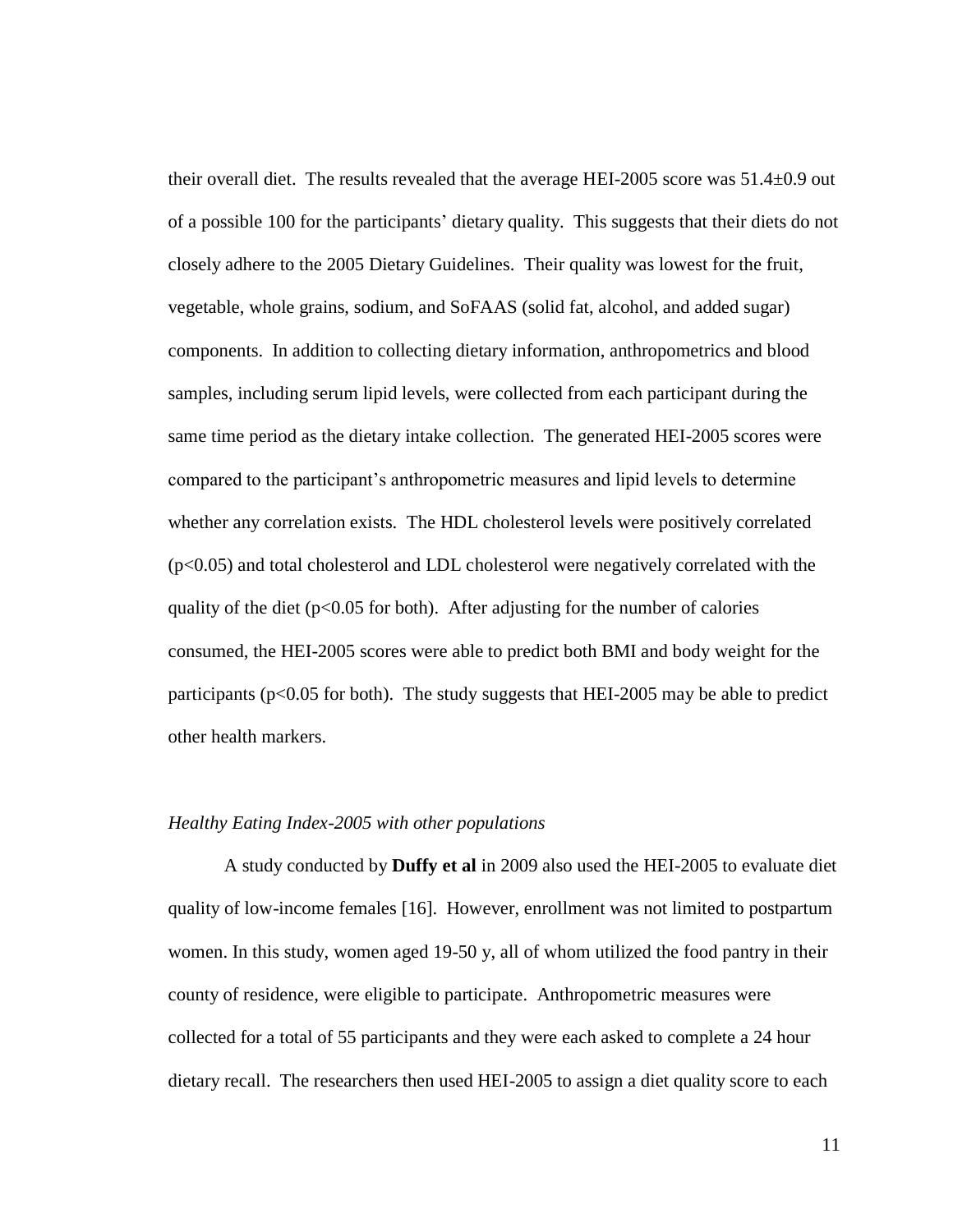their overall diet. The results revealed that the average HEI-2005 score was 51.4±0.9 out of a possible 100 for the participants' dietary quality. This suggests that their diets do not closely adhere to the 2005 Dietary Guidelines. Their quality was lowest for the fruit, vegetable, whole grains, sodium, and SoFAAS (solid fat, alcohol, and added sugar) components. In addition to collecting dietary information, anthropometrics and blood samples, including serum lipid levels, were collected from each participant during the same time period as the dietary intake collection. The generated HEI-2005 scores were compared to the participant"s anthropometric measures and lipid levels to determine whether any correlation exists. The HDL cholesterol levels were positively correlated (p<0.05) and total cholesterol and LDL cholesterol were negatively correlated with the quality of the diet ( $p<0.05$  for both). After adjusting for the number of calories consumed, the HEI-2005 scores were able to predict both BMI and body weight for the participants ( $p<0.05$  for both). The study suggests that HEI-2005 may be able to predict other health markers.

#### *Healthy Eating Index-2005 with other populations*

A study conducted by **Duffy et al** in 2009 also used the HEI-2005 to evaluate diet quality of low-income females [16]. However, enrollment was not limited to postpartum women. In this study, women aged 19-50 y, all of whom utilized the food pantry in their county of residence, were eligible to participate. Anthropometric measures were collected for a total of 55 participants and they were each asked to complete a 24 hour dietary recall. The researchers then used HEI-2005 to assign a diet quality score to each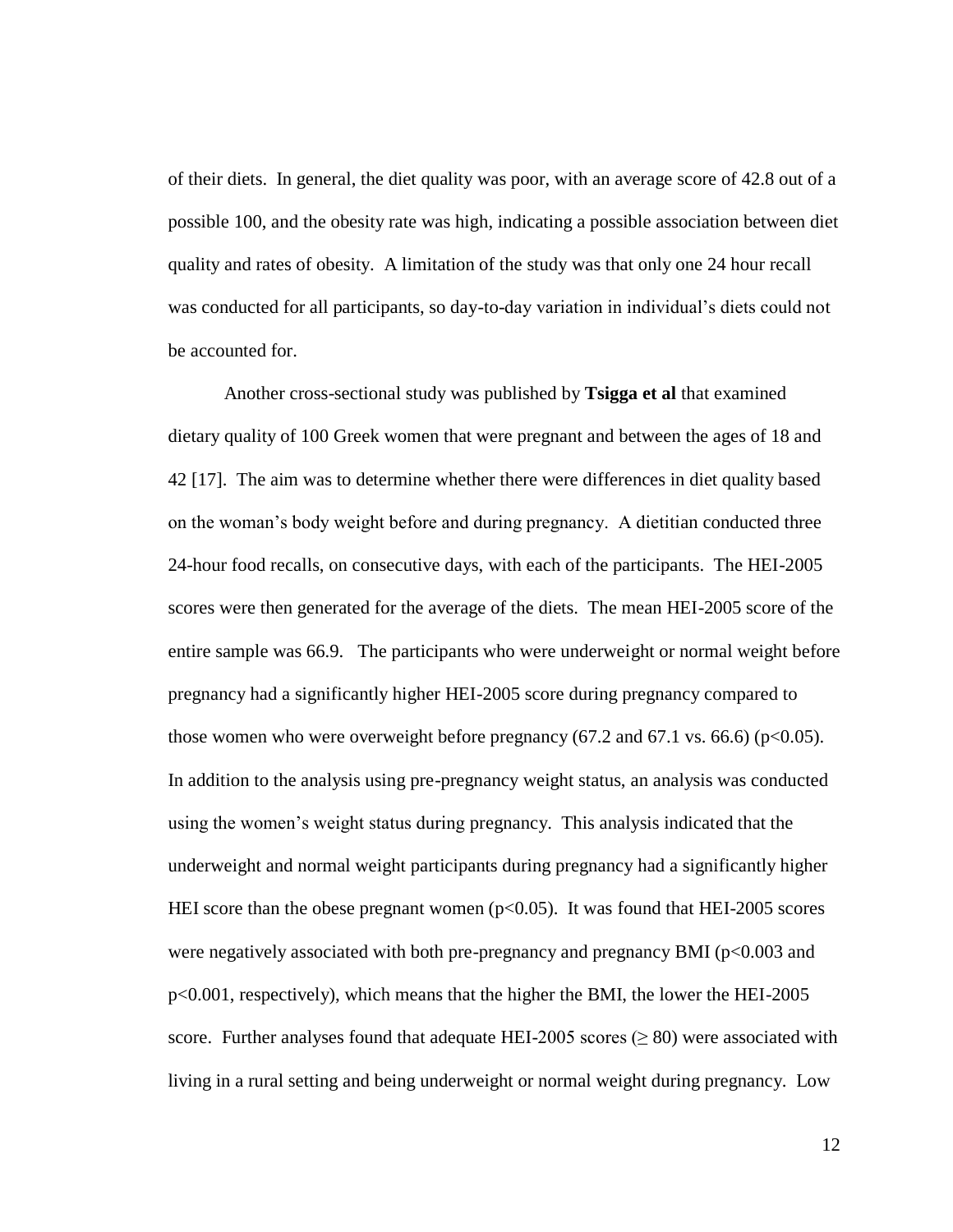of their diets. In general, the diet quality was poor, with an average score of 42.8 out of a possible 100, and the obesity rate was high, indicating a possible association between diet quality and rates of obesity. A limitation of the study was that only one 24 hour recall was conducted for all participants, so day-to-day variation in individual's diets could not be accounted for.

Another cross-sectional study was published by **Tsigga et al** that examined dietary quality of 100 Greek women that were pregnant and between the ages of 18 and 42 [17]. The aim was to determine whether there were differences in diet quality based on the woman"s body weight before and during pregnancy. A dietitian conducted three 24-hour food recalls, on consecutive days, with each of the participants. The HEI-2005 scores were then generated for the average of the diets. The mean HEI-2005 score of the entire sample was 66.9. The participants who were underweight or normal weight before pregnancy had a significantly higher HEI-2005 score during pregnancy compared to those women who were overweight before pregnancy  $(67.2 \text{ and } 67.1 \text{ vs. } 66.6)$  ( $p<0.05$ ). In addition to the analysis using pre-pregnancy weight status, an analysis was conducted using the women"s weight status during pregnancy. This analysis indicated that the underweight and normal weight participants during pregnancy had a significantly higher HEI score than the obese pregnant women  $(p<0.05)$ . It was found that HEI-2005 scores were negatively associated with both pre-pregnancy and pregnancy BMI ( $p<0.003$  and p<0.001, respectively), which means that the higher the BMI, the lower the HEI-2005 score. Further analyses found that adequate HEI-2005 scores ( $\geq 80$ ) were associated with living in a rural setting and being underweight or normal weight during pregnancy. Low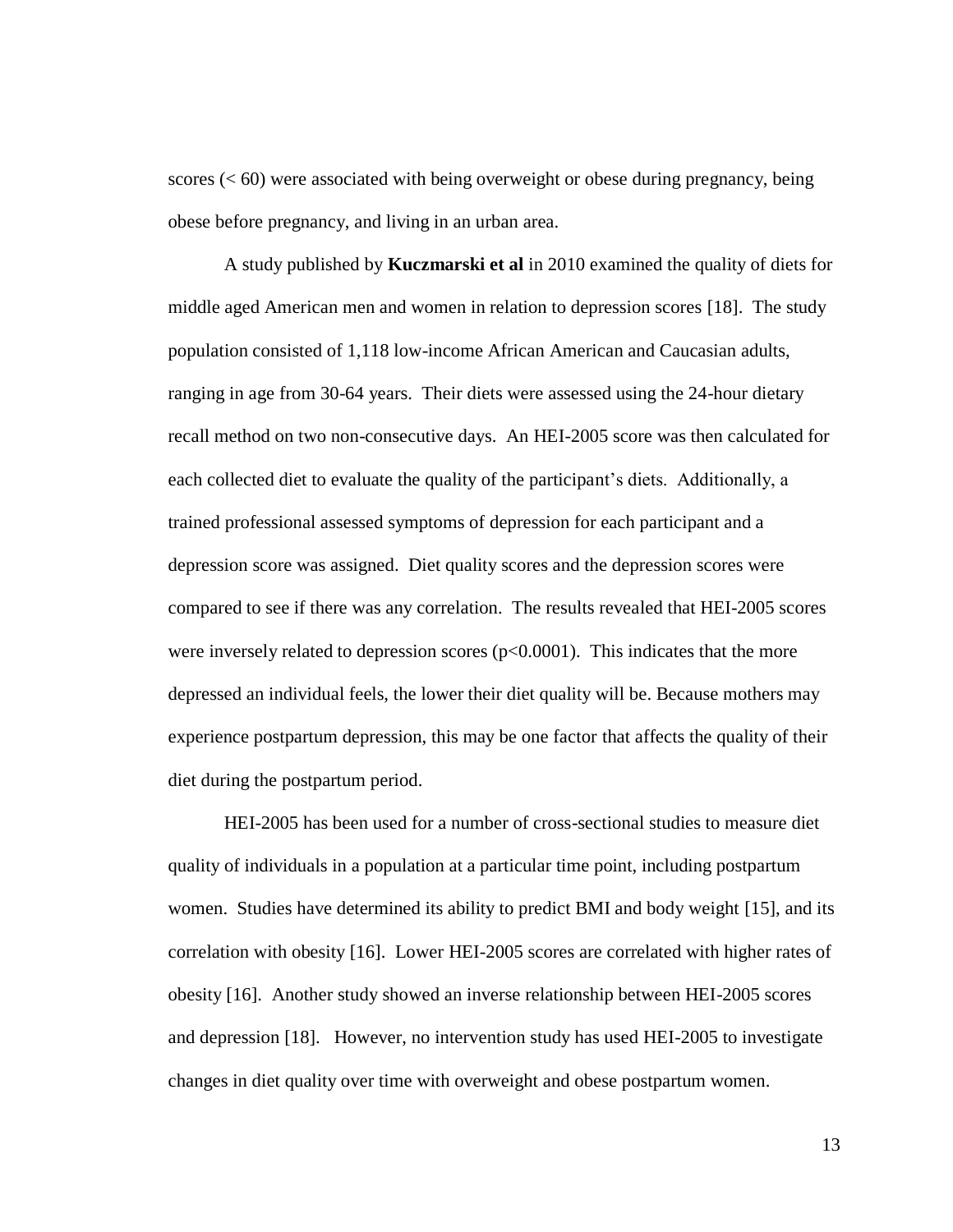scores (< 60) were associated with being overweight or obese during pregnancy, being obese before pregnancy, and living in an urban area.

A study published by **Kuczmarski et al** in 2010 examined the quality of diets for middle aged American men and women in relation to depression scores [18]. The study population consisted of 1,118 low-income African American and Caucasian adults, ranging in age from 30-64 years. Their diets were assessed using the 24-hour dietary recall method on two non-consecutive days. An HEI-2005 score was then calculated for each collected diet to evaluate the quality of the participant's diets. Additionally, a trained professional assessed symptoms of depression for each participant and a depression score was assigned. Diet quality scores and the depression scores were compared to see if there was any correlation. The results revealed that HEI-2005 scores were inversely related to depression scores  $(p<0.0001)$ . This indicates that the more depressed an individual feels, the lower their diet quality will be. Because mothers may experience postpartum depression, this may be one factor that affects the quality of their diet during the postpartum period.

HEI-2005 has been used for a number of cross-sectional studies to measure diet quality of individuals in a population at a particular time point, including postpartum women. Studies have determined its ability to predict BMI and body weight [15], and its correlation with obesity [16]. Lower HEI-2005 scores are correlated with higher rates of obesity [16]. Another study showed an inverse relationship between HEI-2005 scores and depression [18]. However, no intervention study has used HEI-2005 to investigate changes in diet quality over time with overweight and obese postpartum women.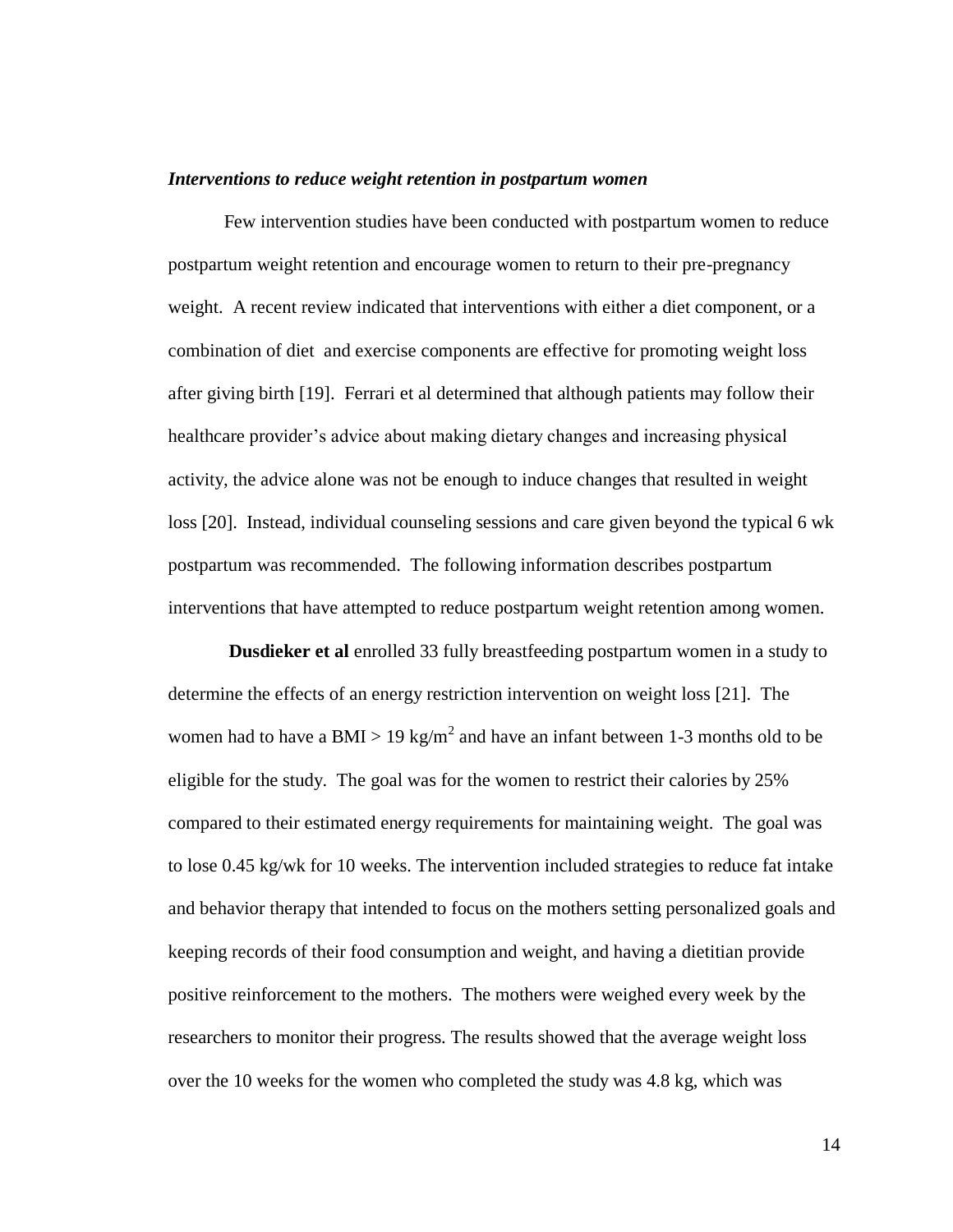#### *Interventions to reduce weight retention in postpartum women*

Few intervention studies have been conducted with postpartum women to reduce postpartum weight retention and encourage women to return to their pre-pregnancy weight. A recent review indicated that interventions with either a diet component, or a combination of diet and exercise components are effective for promoting weight loss after giving birth [19]. Ferrari et al determined that although patients may follow their healthcare provider"s advice about making dietary changes and increasing physical activity, the advice alone was not be enough to induce changes that resulted in weight loss [20]. Instead, individual counseling sessions and care given beyond the typical 6 wk postpartum was recommended. The following information describes postpartum interventions that have attempted to reduce postpartum weight retention among women.

**Dusdieker et al** enrolled 33 fully breastfeeding postpartum women in a study to determine the effects of an energy restriction intervention on weight loss [21]. The women had to have a BMI > 19 kg/m<sup>2</sup> and have an infant between 1-3 months old to be eligible for the study. The goal was for the women to restrict their calories by 25% compared to their estimated energy requirements for maintaining weight. The goal was to lose 0.45 kg/wk for 10 weeks. The intervention included strategies to reduce fat intake and behavior therapy that intended to focus on the mothers setting personalized goals and keeping records of their food consumption and weight, and having a dietitian provide positive reinforcement to the mothers. The mothers were weighed every week by the researchers to monitor their progress. The results showed that the average weight loss over the 10 weeks for the women who completed the study was 4.8 kg, which was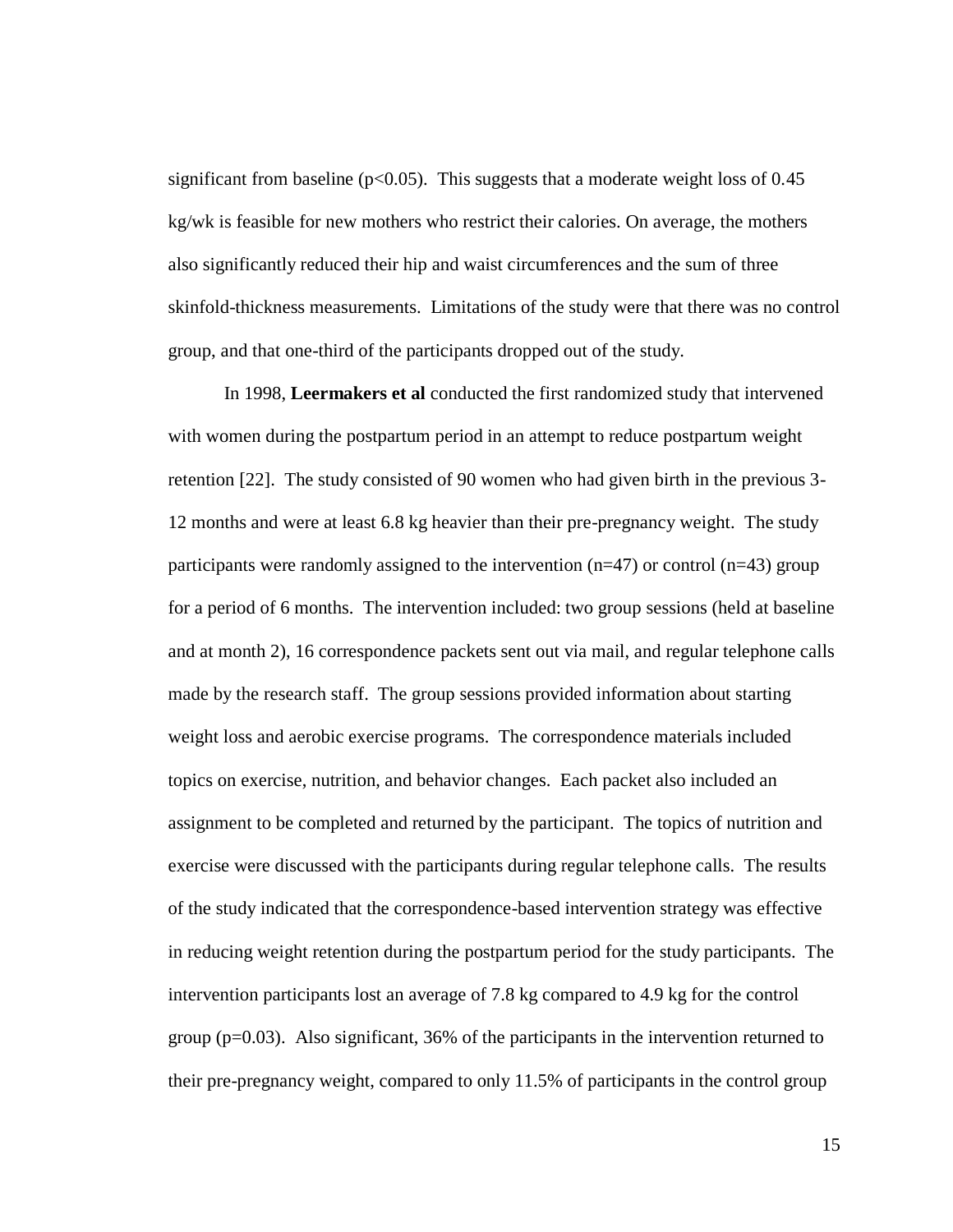significant from baseline ( $p<0.05$ ). This suggests that a moderate weight loss of 0.45 kg/wk is feasible for new mothers who restrict their calories. On average, the mothers also significantly reduced their hip and waist circumferences and the sum of three skinfold-thickness measurements. Limitations of the study were that there was no control group, and that one-third of the participants dropped out of the study.

In 1998, **Leermakers et al** conducted the first randomized study that intervened with women during the postpartum period in an attempt to reduce postpartum weight retention [22]. The study consisted of 90 women who had given birth in the previous 3- 12 months and were at least 6.8 kg heavier than their pre-pregnancy weight. The study participants were randomly assigned to the intervention ( $n=47$ ) or control ( $n=43$ ) group for a period of 6 months. The intervention included: two group sessions (held at baseline and at month 2), 16 correspondence packets sent out via mail, and regular telephone calls made by the research staff. The group sessions provided information about starting weight loss and aerobic exercise programs. The correspondence materials included topics on exercise, nutrition, and behavior changes. Each packet also included an assignment to be completed and returned by the participant. The topics of nutrition and exercise were discussed with the participants during regular telephone calls. The results of the study indicated that the correspondence-based intervention strategy was effective in reducing weight retention during the postpartum period for the study participants. The intervention participants lost an average of 7.8 kg compared to 4.9 kg for the control group (p=0.03). Also significant, 36% of the participants in the intervention returned to their pre-pregnancy weight, compared to only 11.5% of participants in the control group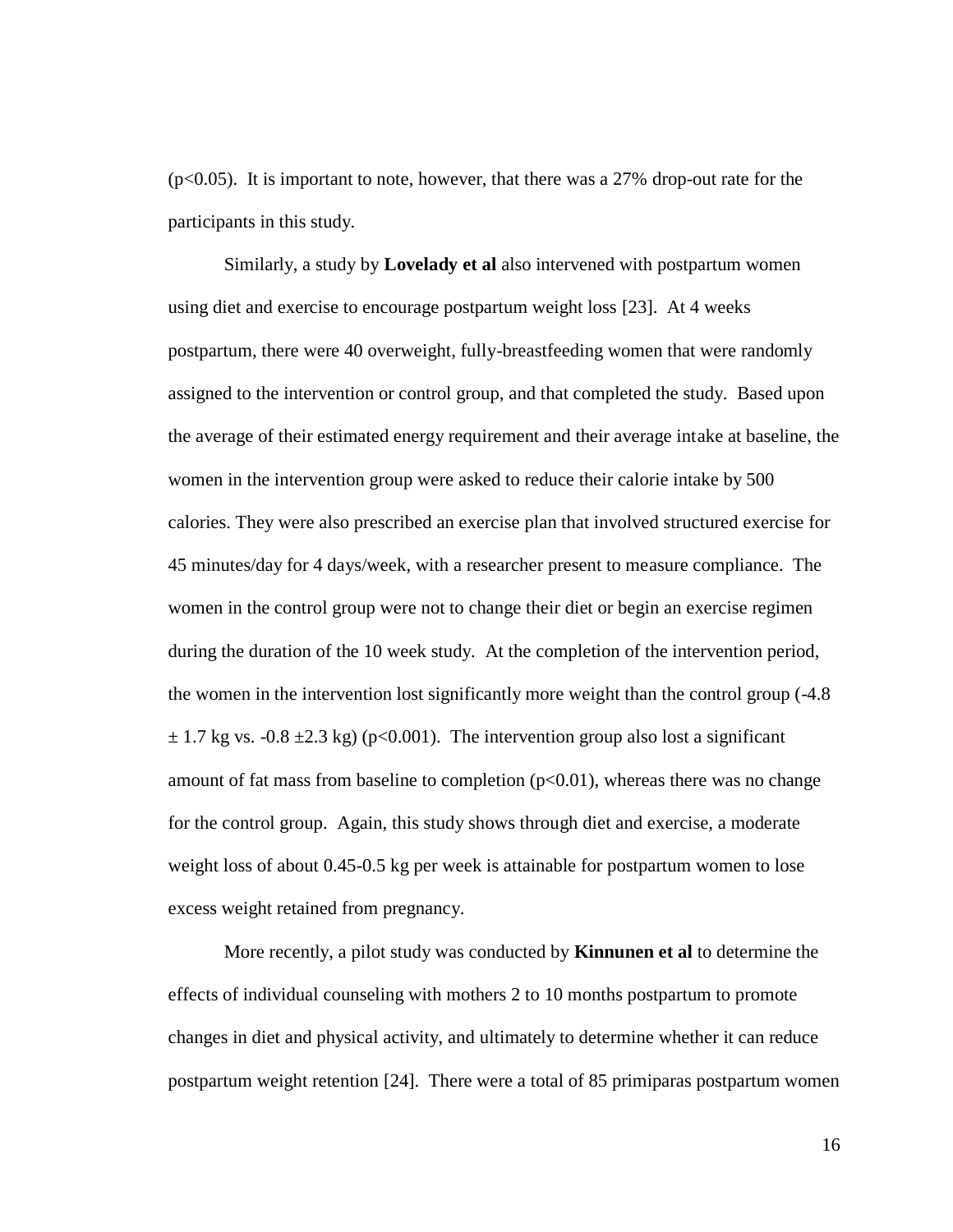$(p<0.05)$ . It is important to note, however, that there was a 27% drop-out rate for the participants in this study.

Similarly, a study by **Lovelady et al** also intervened with postpartum women using diet and exercise to encourage postpartum weight loss [23]. At 4 weeks postpartum, there were 40 overweight, fully-breastfeeding women that were randomly assigned to the intervention or control group, and that completed the study. Based upon the average of their estimated energy requirement and their average intake at baseline, the women in the intervention group were asked to reduce their calorie intake by 500 calories. They were also prescribed an exercise plan that involved structured exercise for 45 minutes/day for 4 days/week, with a researcher present to measure compliance. The women in the control group were not to change their diet or begin an exercise regimen during the duration of the 10 week study. At the completion of the intervention period, the women in the intervention lost significantly more weight than the control group (-4.8  $\pm$  1.7 kg vs. -0.8  $\pm$ 2.3 kg) (p<0.001). The intervention group also lost a significant amount of fat mass from baseline to completion  $(p< 0.01)$ , whereas there was no change for the control group. Again, this study shows through diet and exercise, a moderate weight loss of about 0.45-0.5 kg per week is attainable for postpartum women to lose excess weight retained from pregnancy.

More recently, a pilot study was conducted by **Kinnunen et al** to determine the effects of individual counseling with mothers 2 to 10 months postpartum to promote changes in diet and physical activity, and ultimately to determine whether it can reduce postpartum weight retention [24]. There were a total of 85 primiparas postpartum women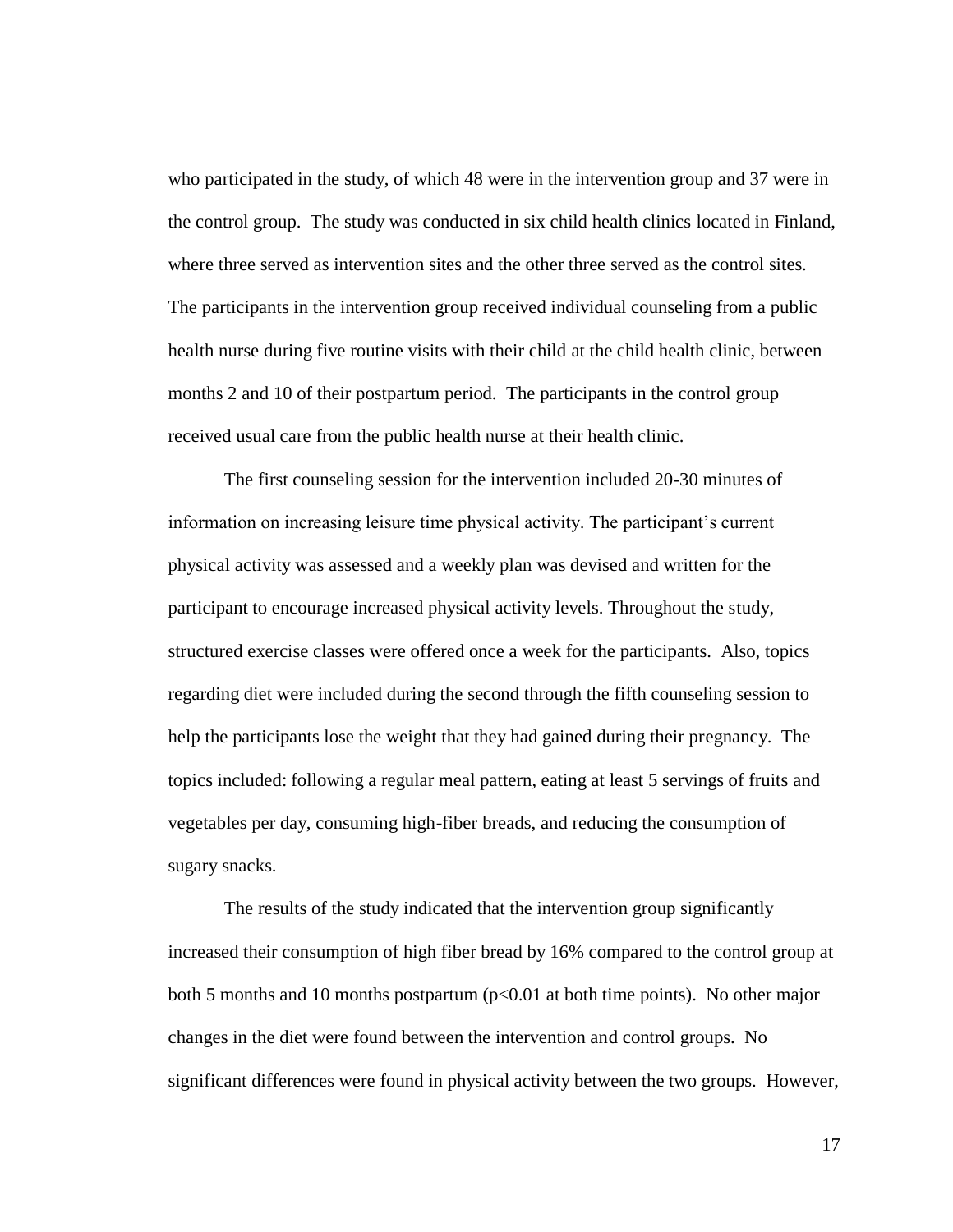who participated in the study, of which 48 were in the intervention group and 37 were in the control group. The study was conducted in six child health clinics located in Finland, where three served as intervention sites and the other three served as the control sites. The participants in the intervention group received individual counseling from a public health nurse during five routine visits with their child at the child health clinic, between months 2 and 10 of their postpartum period. The participants in the control group received usual care from the public health nurse at their health clinic.

The first counseling session for the intervention included 20-30 minutes of information on increasing leisure time physical activity. The participant's current physical activity was assessed and a weekly plan was devised and written for the participant to encourage increased physical activity levels. Throughout the study, structured exercise classes were offered once a week for the participants. Also, topics regarding diet were included during the second through the fifth counseling session to help the participants lose the weight that they had gained during their pregnancy. The topics included: following a regular meal pattern, eating at least 5 servings of fruits and vegetables per day, consuming high-fiber breads, and reducing the consumption of sugary snacks.

The results of the study indicated that the intervention group significantly increased their consumption of high fiber bread by 16% compared to the control group at both 5 months and 10 months postpartum ( $p<0.01$  at both time points). No other major changes in the diet were found between the intervention and control groups. No significant differences were found in physical activity between the two groups. However,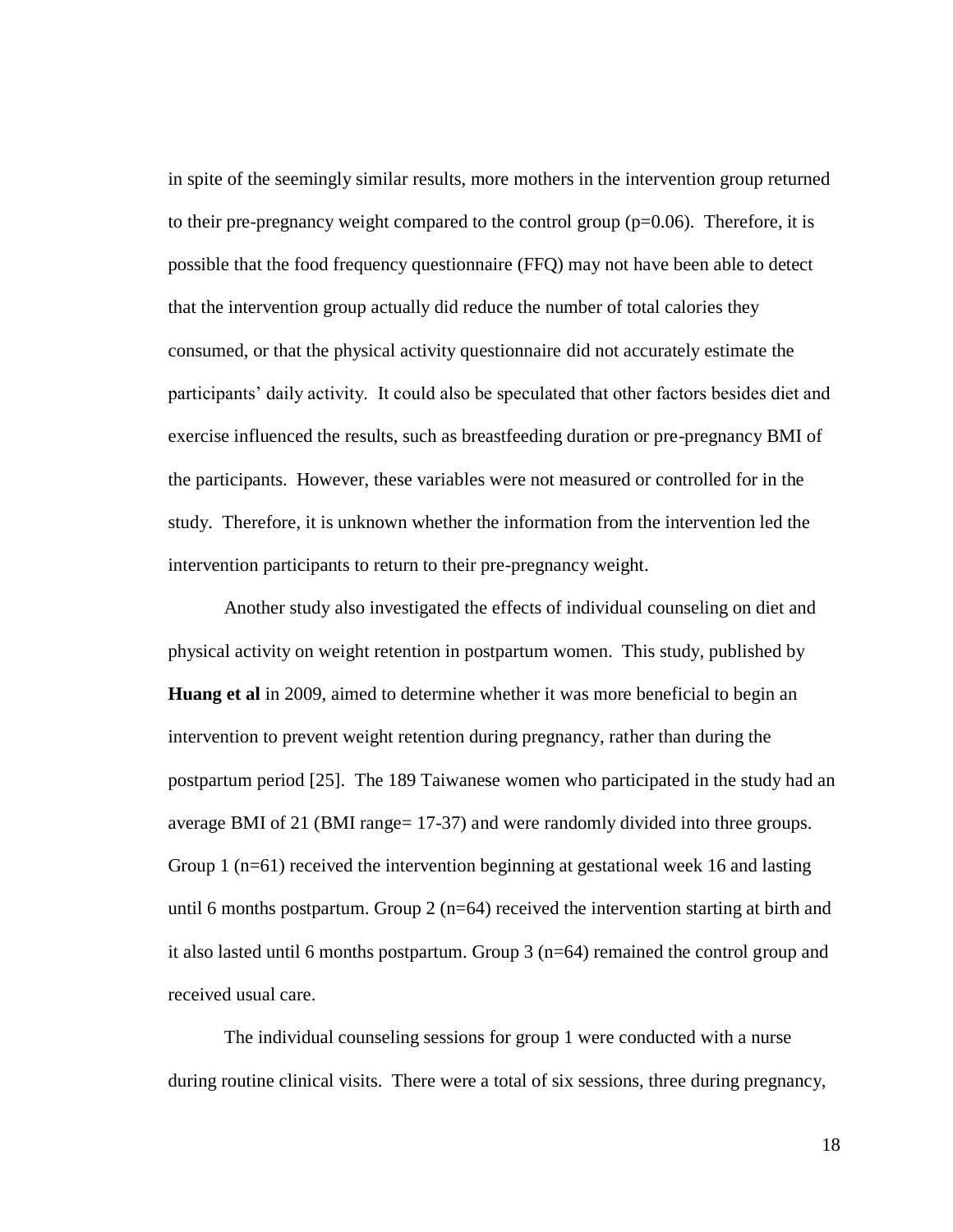in spite of the seemingly similar results, more mothers in the intervention group returned to their pre-pregnancy weight compared to the control group  $(p=0.06)$ . Therefore, it is possible that the food frequency questionnaire (FFQ) may not have been able to detect that the intervention group actually did reduce the number of total calories they consumed, or that the physical activity questionnaire did not accurately estimate the participants" daily activity. It could also be speculated that other factors besides diet and exercise influenced the results, such as breastfeeding duration or pre-pregnancy BMI of the participants. However, these variables were not measured or controlled for in the study. Therefore, it is unknown whether the information from the intervention led the intervention participants to return to their pre-pregnancy weight.

Another study also investigated the effects of individual counseling on diet and physical activity on weight retention in postpartum women. This study, published by **Huang et al** in 2009, aimed to determine whether it was more beneficial to begin an intervention to prevent weight retention during pregnancy, rather than during the postpartum period [25]. The 189 Taiwanese women who participated in the study had an average BMI of 21 (BMI range= 17-37) and were randomly divided into three groups. Group 1 (n=61) received the intervention beginning at gestational week 16 and lasting until 6 months postpartum. Group  $2$  (n=64) received the intervention starting at birth and it also lasted until 6 months postpartum. Group  $3$  (n=64) remained the control group and received usual care.

The individual counseling sessions for group 1 were conducted with a nurse during routine clinical visits. There were a total of six sessions, three during pregnancy,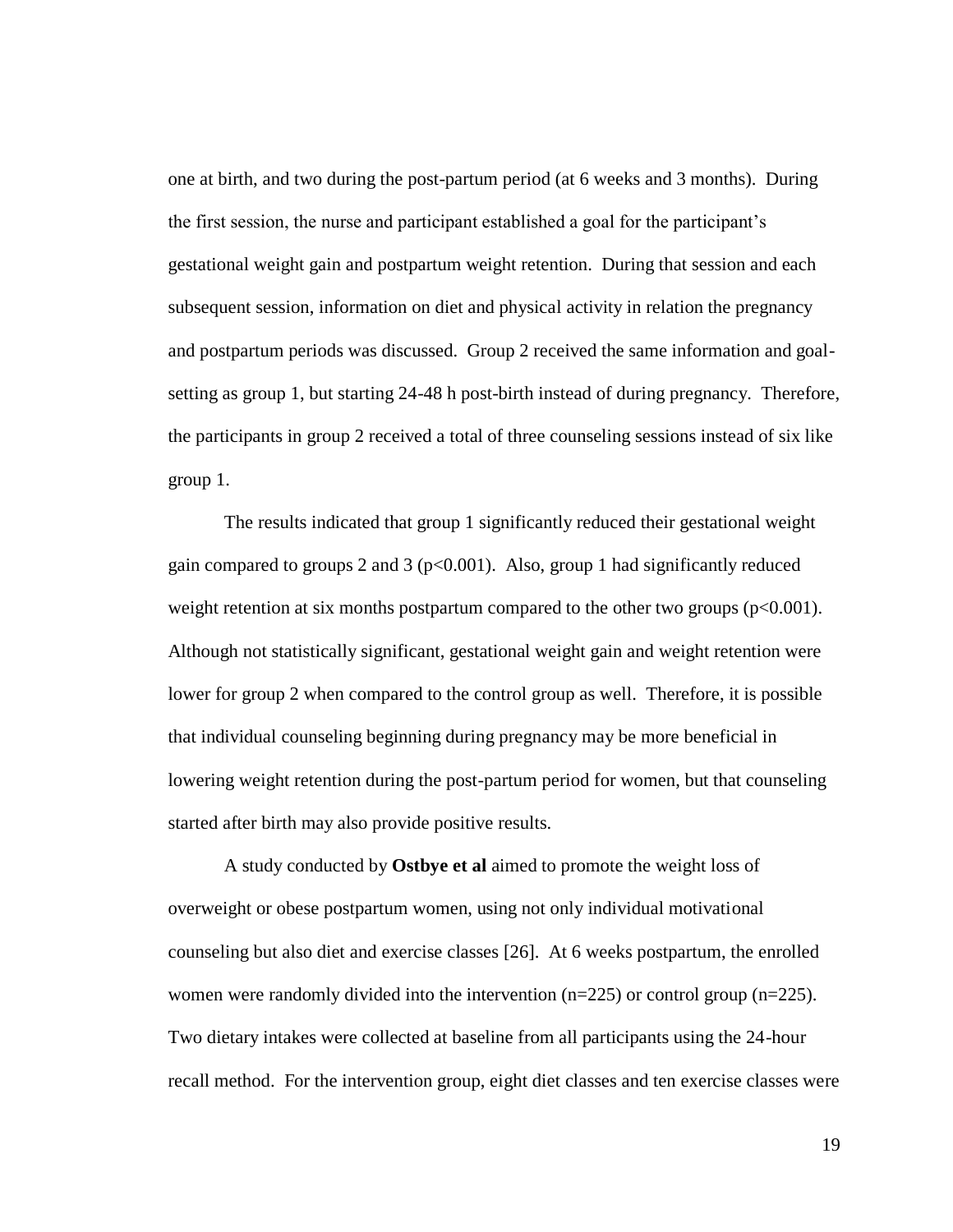one at birth, and two during the post-partum period (at 6 weeks and 3 months). During the first session, the nurse and participant established a goal for the participant"s gestational weight gain and postpartum weight retention. During that session and each subsequent session, information on diet and physical activity in relation the pregnancy and postpartum periods was discussed. Group 2 received the same information and goalsetting as group 1, but starting 24-48 h post-birth instead of during pregnancy. Therefore, the participants in group 2 received a total of three counseling sessions instead of six like group 1.

The results indicated that group 1 significantly reduced their gestational weight gain compared to groups 2 and 3 ( $p<0.001$ ). Also, group 1 had significantly reduced weight retention at six months postpartum compared to the other two groups  $(p<0.001)$ . Although not statistically significant, gestational weight gain and weight retention were lower for group 2 when compared to the control group as well. Therefore, it is possible that individual counseling beginning during pregnancy may be more beneficial in lowering weight retention during the post-partum period for women, but that counseling started after birth may also provide positive results.

A study conducted by **Ostbye et al** aimed to promote the weight loss of overweight or obese postpartum women, using not only individual motivational counseling but also diet and exercise classes [26]. At 6 weeks postpartum, the enrolled women were randomly divided into the intervention  $(n=225)$  or control group  $(n=225)$ . Two dietary intakes were collected at baseline from all participants using the 24-hour recall method. For the intervention group, eight diet classes and ten exercise classes were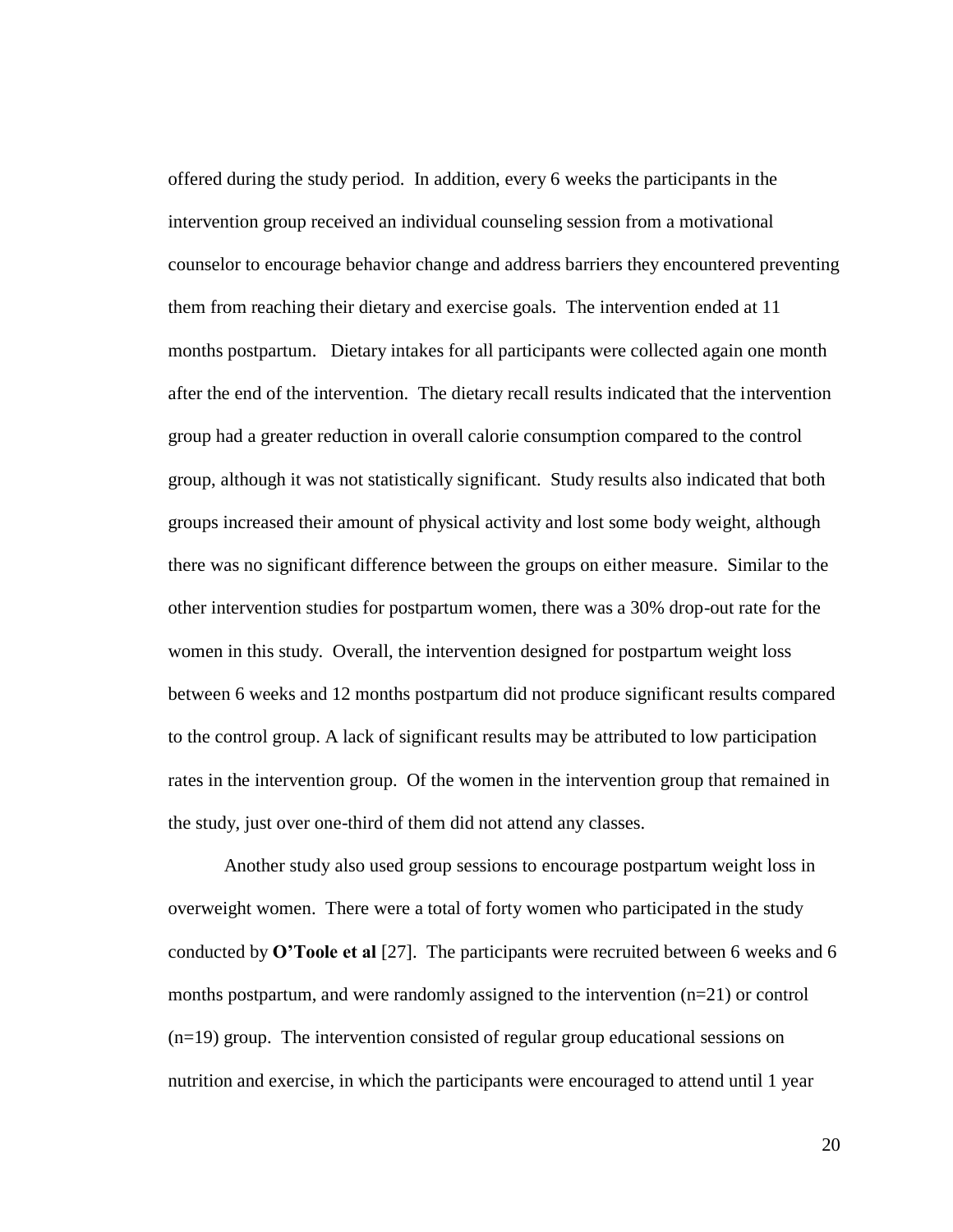offered during the study period. In addition, every 6 weeks the participants in the intervention group received an individual counseling session from a motivational counselor to encourage behavior change and address barriers they encountered preventing them from reaching their dietary and exercise goals. The intervention ended at 11 months postpartum. Dietary intakes for all participants were collected again one month after the end of the intervention. The dietary recall results indicated that the intervention group had a greater reduction in overall calorie consumption compared to the control group, although it was not statistically significant. Study results also indicated that both groups increased their amount of physical activity and lost some body weight, although there was no significant difference between the groups on either measure. Similar to the other intervention studies for postpartum women, there was a 30% drop-out rate for the women in this study. Overall, the intervention designed for postpartum weight loss between 6 weeks and 12 months postpartum did not produce significant results compared to the control group. A lack of significant results may be attributed to low participation rates in the intervention group. Of the women in the intervention group that remained in the study, just over one-third of them did not attend any classes.

Another study also used group sessions to encourage postpartum weight loss in overweight women. There were a total of forty women who participated in the study conducted by **O'Toole et al** [27]. The participants were recruited between 6 weeks and 6 months postpartum, and were randomly assigned to the intervention  $(n=21)$  or control (n=19) group. The intervention consisted of regular group educational sessions on nutrition and exercise, in which the participants were encouraged to attend until 1 year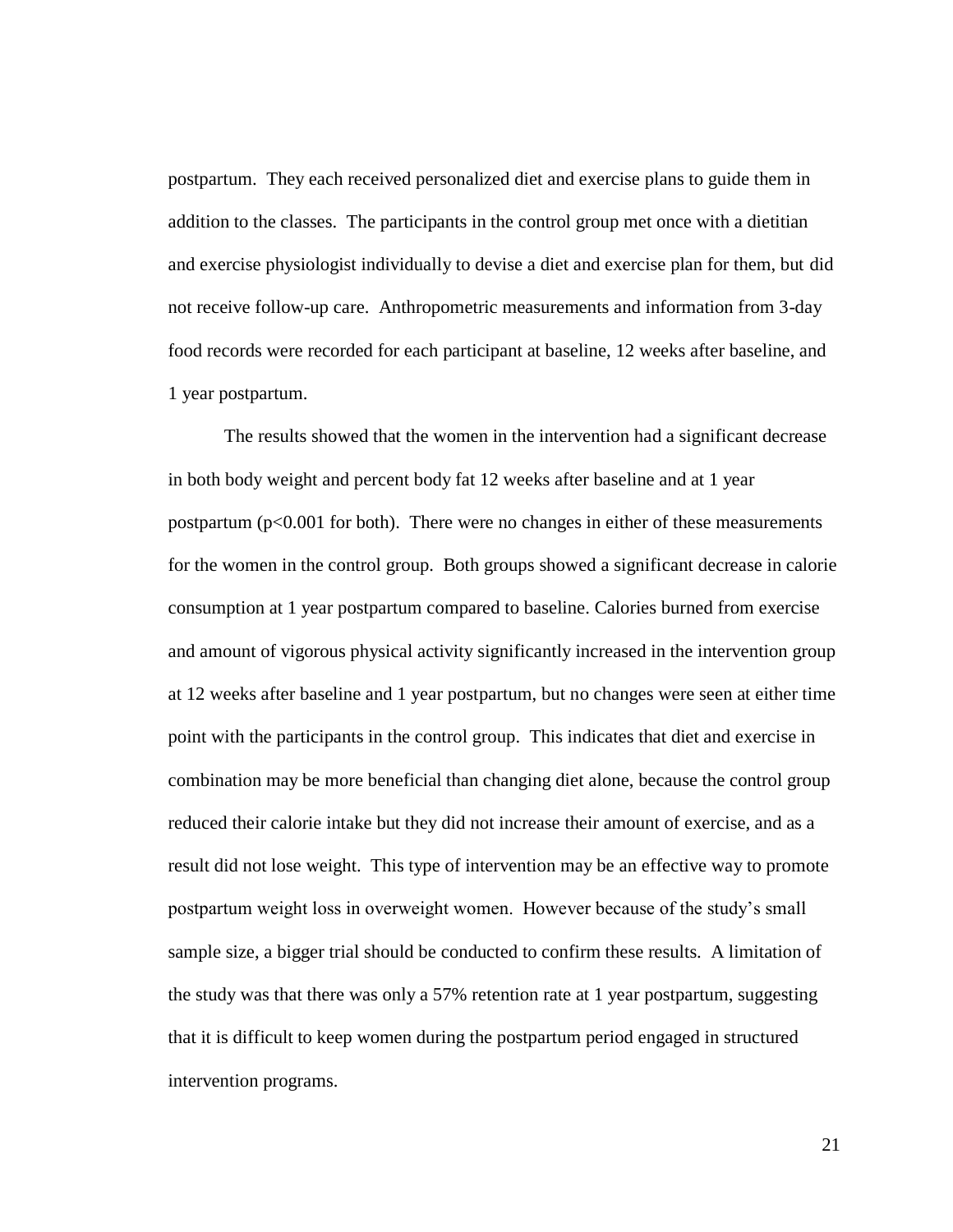postpartum. They each received personalized diet and exercise plans to guide them in addition to the classes. The participants in the control group met once with a dietitian and exercise physiologist individually to devise a diet and exercise plan for them, but did not receive follow-up care. Anthropometric measurements and information from 3-day food records were recorded for each participant at baseline, 12 weeks after baseline, and 1 year postpartum.

The results showed that the women in the intervention had a significant decrease in both body weight and percent body fat 12 weeks after baseline and at 1 year postpartum ( $p<0.001$  for both). There were no changes in either of these measurements for the women in the control group. Both groups showed a significant decrease in calorie consumption at 1 year postpartum compared to baseline. Calories burned from exercise and amount of vigorous physical activity significantly increased in the intervention group at 12 weeks after baseline and 1 year postpartum, but no changes were seen at either time point with the participants in the control group. This indicates that diet and exercise in combination may be more beneficial than changing diet alone, because the control group reduced their calorie intake but they did not increase their amount of exercise, and as a result did not lose weight. This type of intervention may be an effective way to promote postpartum weight loss in overweight women. However because of the study"s small sample size, a bigger trial should be conducted to confirm these results. A limitation of the study was that there was only a 57% retention rate at 1 year postpartum, suggesting that it is difficult to keep women during the postpartum period engaged in structured intervention programs.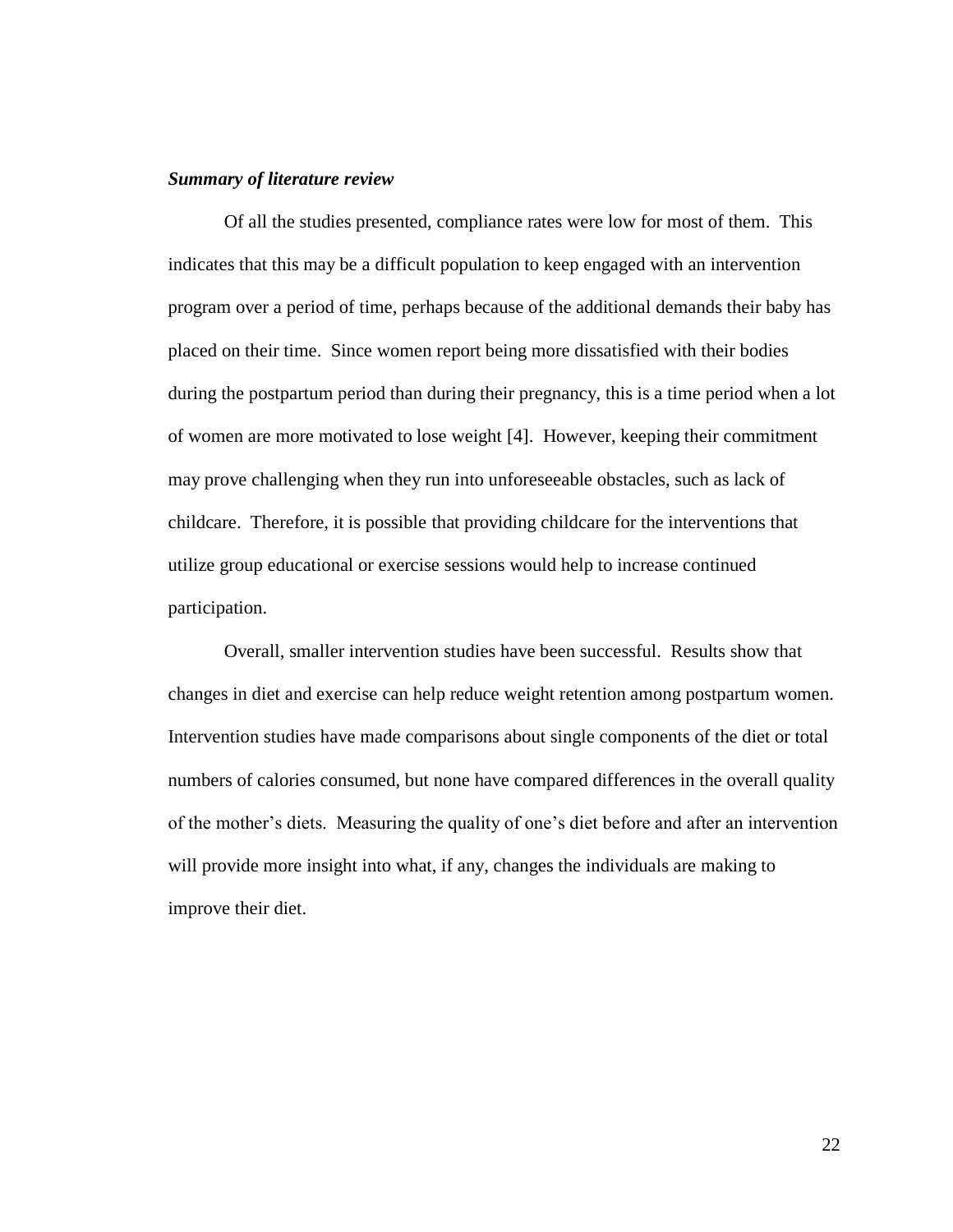#### *Summary of literature review*

Of all the studies presented, compliance rates were low for most of them. This indicates that this may be a difficult population to keep engaged with an intervention program over a period of time, perhaps because of the additional demands their baby has placed on their time. Since women report being more dissatisfied with their bodies during the postpartum period than during their pregnancy, this is a time period when a lot of women are more motivated to lose weight [4]. However, keeping their commitment may prove challenging when they run into unforeseeable obstacles, such as lack of childcare. Therefore, it is possible that providing childcare for the interventions that utilize group educational or exercise sessions would help to increase continued participation.

Overall, smaller intervention studies have been successful. Results show that changes in diet and exercise can help reduce weight retention among postpartum women. Intervention studies have made comparisons about single components of the diet or total numbers of calories consumed, but none have compared differences in the overall quality of the mother"s diets. Measuring the quality of one"s diet before and after an intervention will provide more insight into what, if any, changes the individuals are making to improve their diet.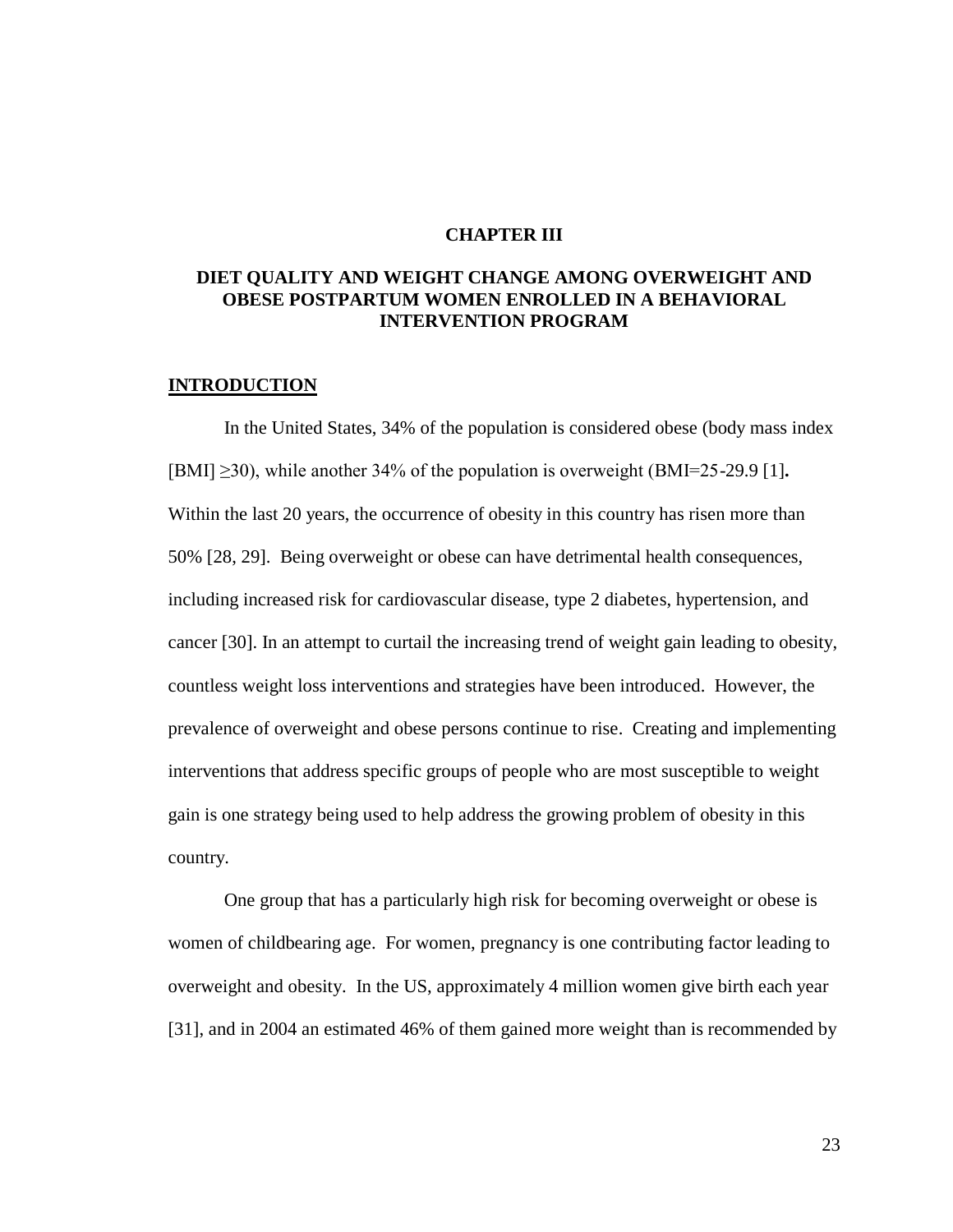#### **CHAPTER III**

## **DIET QUALITY AND WEIGHT CHANGE AMONG OVERWEIGHT AND OBESE POSTPARTUM WOMEN ENROLLED IN A BEHAVIORAL INTERVENTION PROGRAM**

#### **INTRODUCTION**

In the United States, 34% of the population is considered obese (body mass index [BMI] ≥30), while another 34% of the population is overweight (BMI=25-29.9 [1]**.** Within the last 20 years, the occurrence of obesity in this country has risen more than 50% [28, 29]. Being overweight or obese can have detrimental health consequences, including increased risk for cardiovascular disease, type 2 diabetes, hypertension, and cancer [30]. In an attempt to curtail the increasing trend of weight gain leading to obesity, countless weight loss interventions and strategies have been introduced. However, the prevalence of overweight and obese persons continue to rise. Creating and implementing interventions that address specific groups of people who are most susceptible to weight gain is one strategy being used to help address the growing problem of obesity in this country.

One group that has a particularly high risk for becoming overweight or obese is women of childbearing age. For women, pregnancy is one contributing factor leading to overweight and obesity. In the US, approximately 4 million women give birth each year [31], and in 2004 an estimated 46% of them gained more weight than is recommended by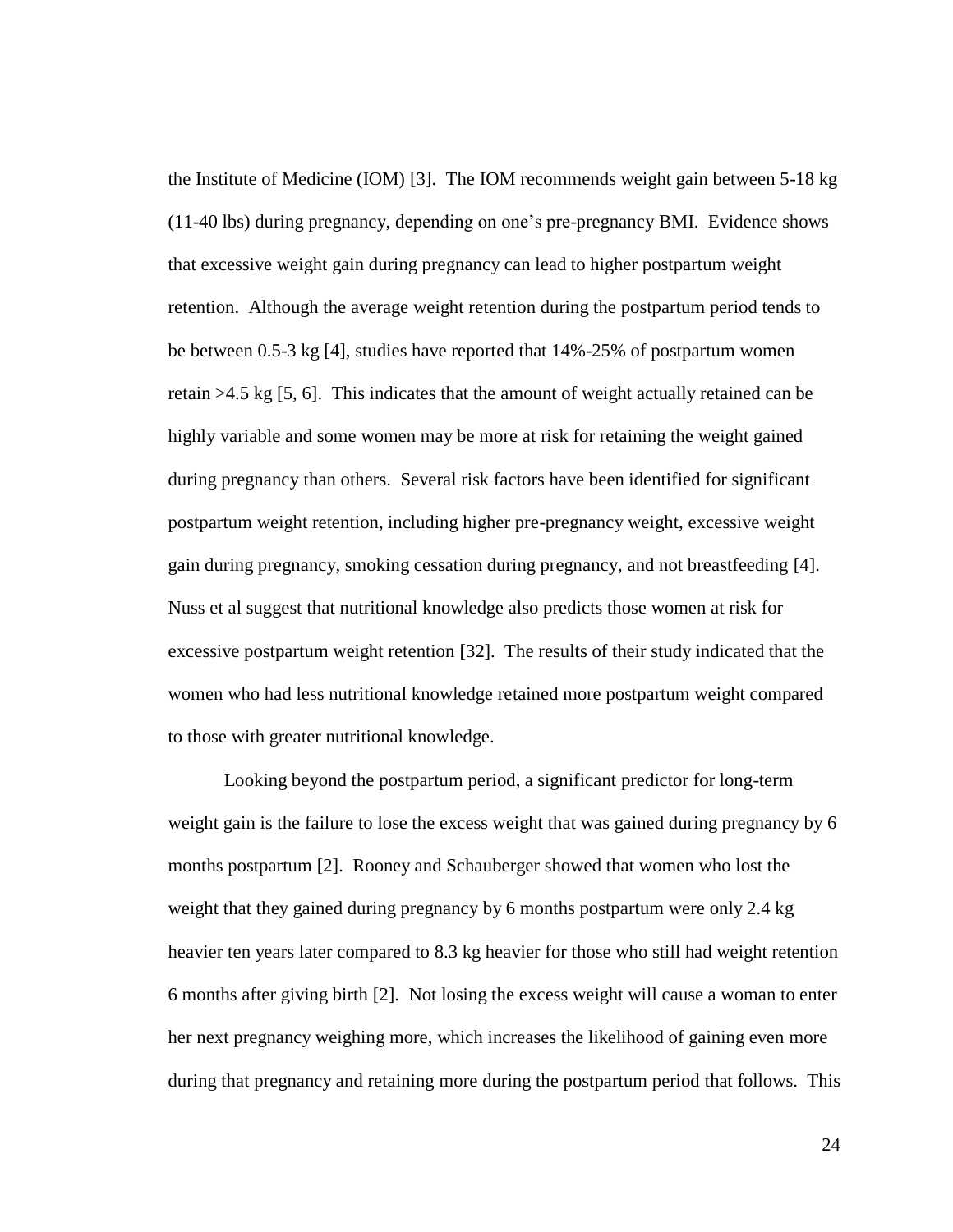the Institute of Medicine (IOM) [3]. The IOM recommends weight gain between 5-18 kg (11-40 lbs) during pregnancy, depending on one"s pre-pregnancy BMI. Evidence shows that excessive weight gain during pregnancy can lead to higher postpartum weight retention. Although the average weight retention during the postpartum period tends to be between 0.5-3 kg [4], studies have reported that 14%-25% of postpartum women retain >4.5 kg [5, 6]. This indicates that the amount of weight actually retained can be highly variable and some women may be more at risk for retaining the weight gained during pregnancy than others. Several risk factors have been identified for significant postpartum weight retention, including higher pre-pregnancy weight, excessive weight gain during pregnancy, smoking cessation during pregnancy, and not breastfeeding [4]. Nuss et al suggest that nutritional knowledge also predicts those women at risk for excessive postpartum weight retention [32]. The results of their study indicated that the women who had less nutritional knowledge retained more postpartum weight compared to those with greater nutritional knowledge.

Looking beyond the postpartum period, a significant predictor for long-term weight gain is the failure to lose the excess weight that was gained during pregnancy by 6 months postpartum [2]. Rooney and Schauberger showed that women who lost the weight that they gained during pregnancy by 6 months postpartum were only 2.4 kg heavier ten years later compared to 8.3 kg heavier for those who still had weight retention 6 months after giving birth [2]. Not losing the excess weight will cause a woman to enter her next pregnancy weighing more, which increases the likelihood of gaining even more during that pregnancy and retaining more during the postpartum period that follows. This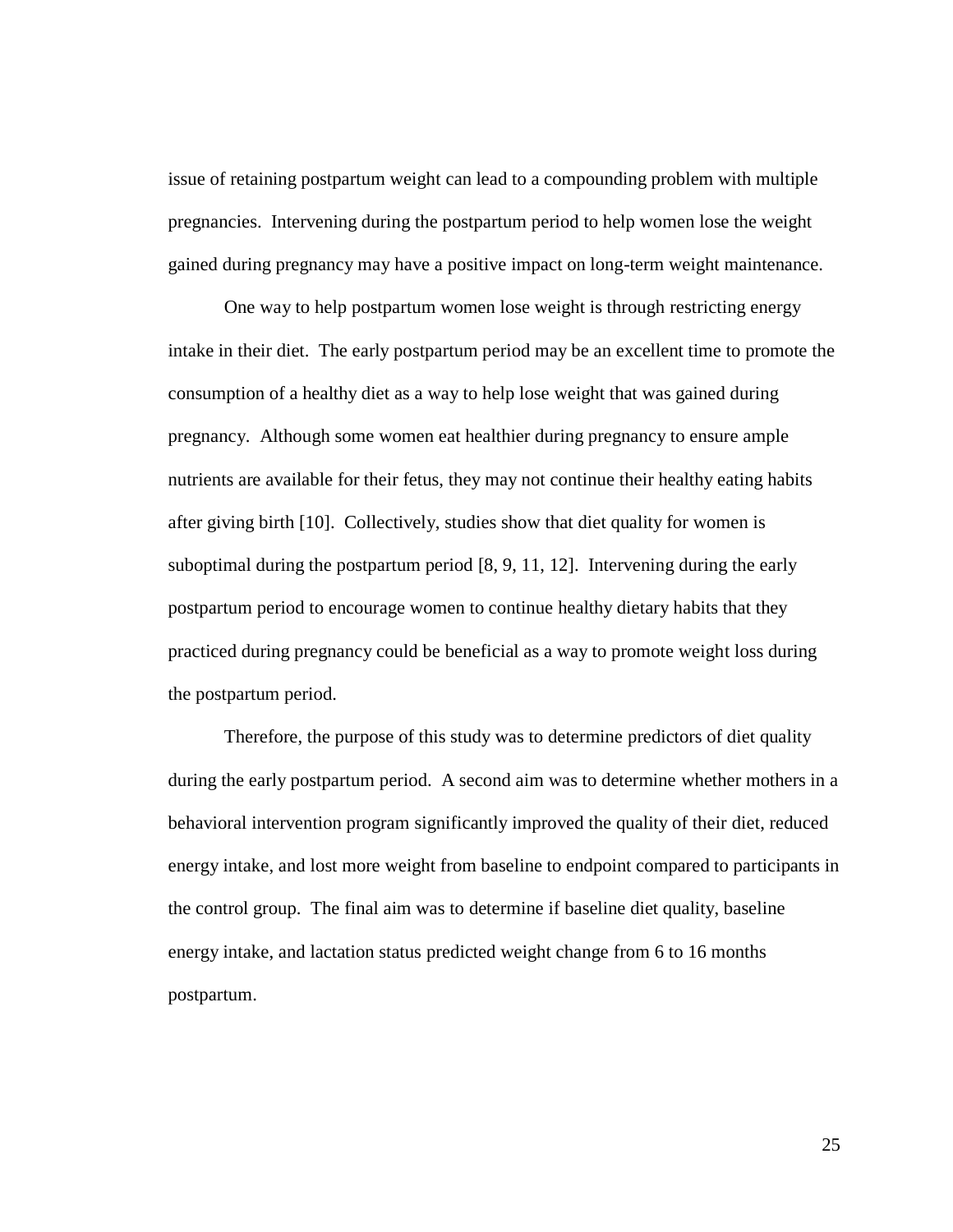issue of retaining postpartum weight can lead to a compounding problem with multiple pregnancies. Intervening during the postpartum period to help women lose the weight gained during pregnancy may have a positive impact on long-term weight maintenance.

One way to help postpartum women lose weight is through restricting energy intake in their diet. The early postpartum period may be an excellent time to promote the consumption of a healthy diet as a way to help lose weight that was gained during pregnancy. Although some women eat healthier during pregnancy to ensure ample nutrients are available for their fetus, they may not continue their healthy eating habits after giving birth [10]. Collectively, studies show that diet quality for women is suboptimal during the postpartum period [8, 9, 11, 12]. Intervening during the early postpartum period to encourage women to continue healthy dietary habits that they practiced during pregnancy could be beneficial as a way to promote weight loss during the postpartum period.

Therefore, the purpose of this study was to determine predictors of diet quality during the early postpartum period. A second aim was to determine whether mothers in a behavioral intervention program significantly improved the quality of their diet, reduced energy intake, and lost more weight from baseline to endpoint compared to participants in the control group. The final aim was to determine if baseline diet quality, baseline energy intake, and lactation status predicted weight change from 6 to 16 months postpartum.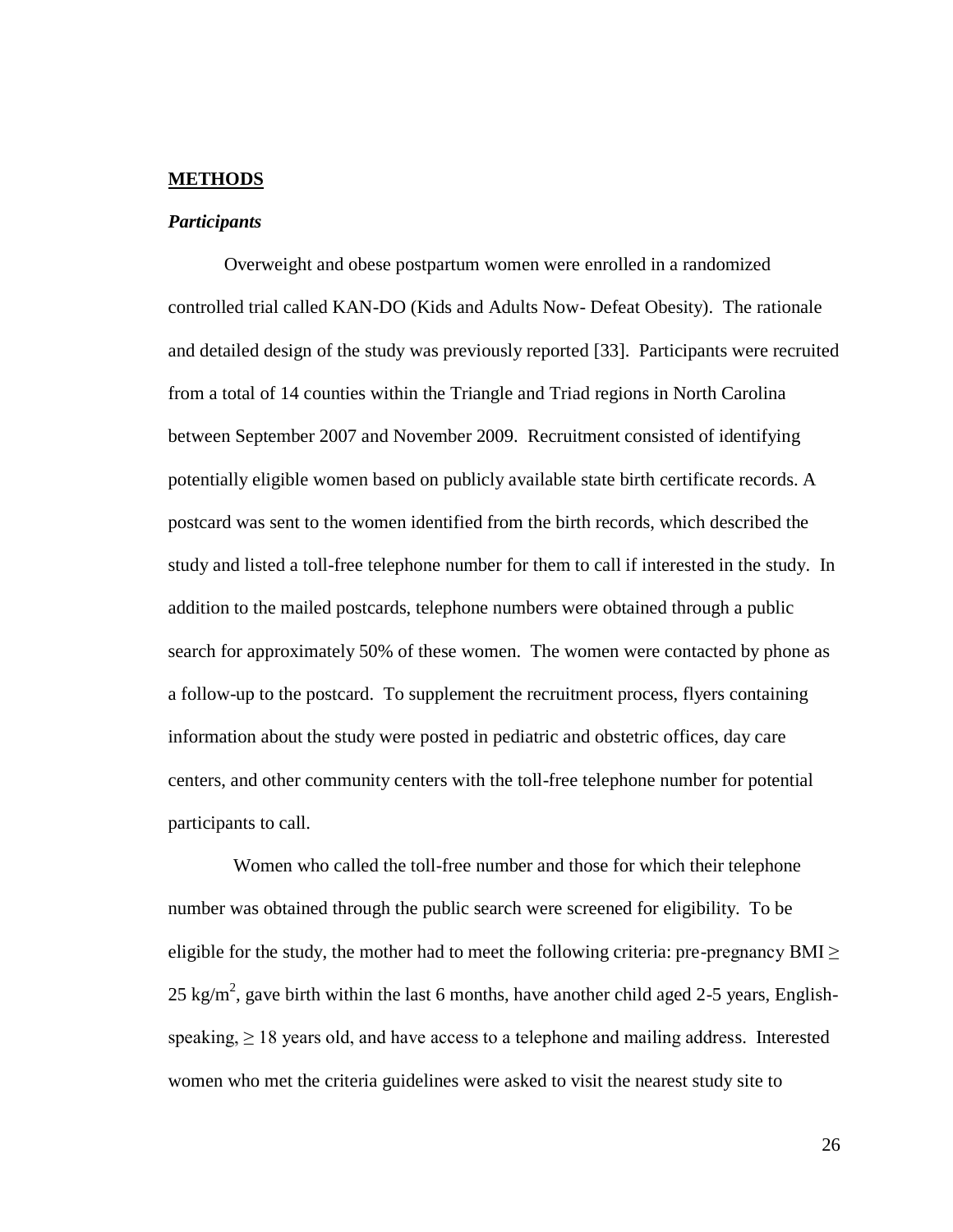#### **METHODS**

#### *Participants*

Overweight and obese postpartum women were enrolled in a randomized controlled trial called KAN-DO (Kids and Adults Now- Defeat Obesity). The rationale and detailed design of the study was previously reported [33]. Participants were recruited from a total of 14 counties within the Triangle and Triad regions in North Carolina between September 2007 and November 2009. Recruitment consisted of identifying potentially eligible women based on publicly available state birth certificate records. A postcard was sent to the women identified from the birth records, which described the study and listed a toll-free telephone number for them to call if interested in the study. In addition to the mailed postcards, telephone numbers were obtained through a public search for approximately 50% of these women. The women were contacted by phone as a follow-up to the postcard. To supplement the recruitment process, flyers containing information about the study were posted in pediatric and obstetric offices, day care centers, and other community centers with the toll-free telephone number for potential participants to call.

 Women who called the toll-free number and those for which their telephone number was obtained through the public search were screened for eligibility. To be eligible for the study, the mother had to meet the following criteria: pre-pregnancy BMI  $\geq$ 25 kg/m<sup>2</sup>, gave birth within the last 6 months, have another child aged 2-5 years, Englishspeaking,  $\geq 18$  years old, and have access to a telephone and mailing address. Interested women who met the criteria guidelines were asked to visit the nearest study site to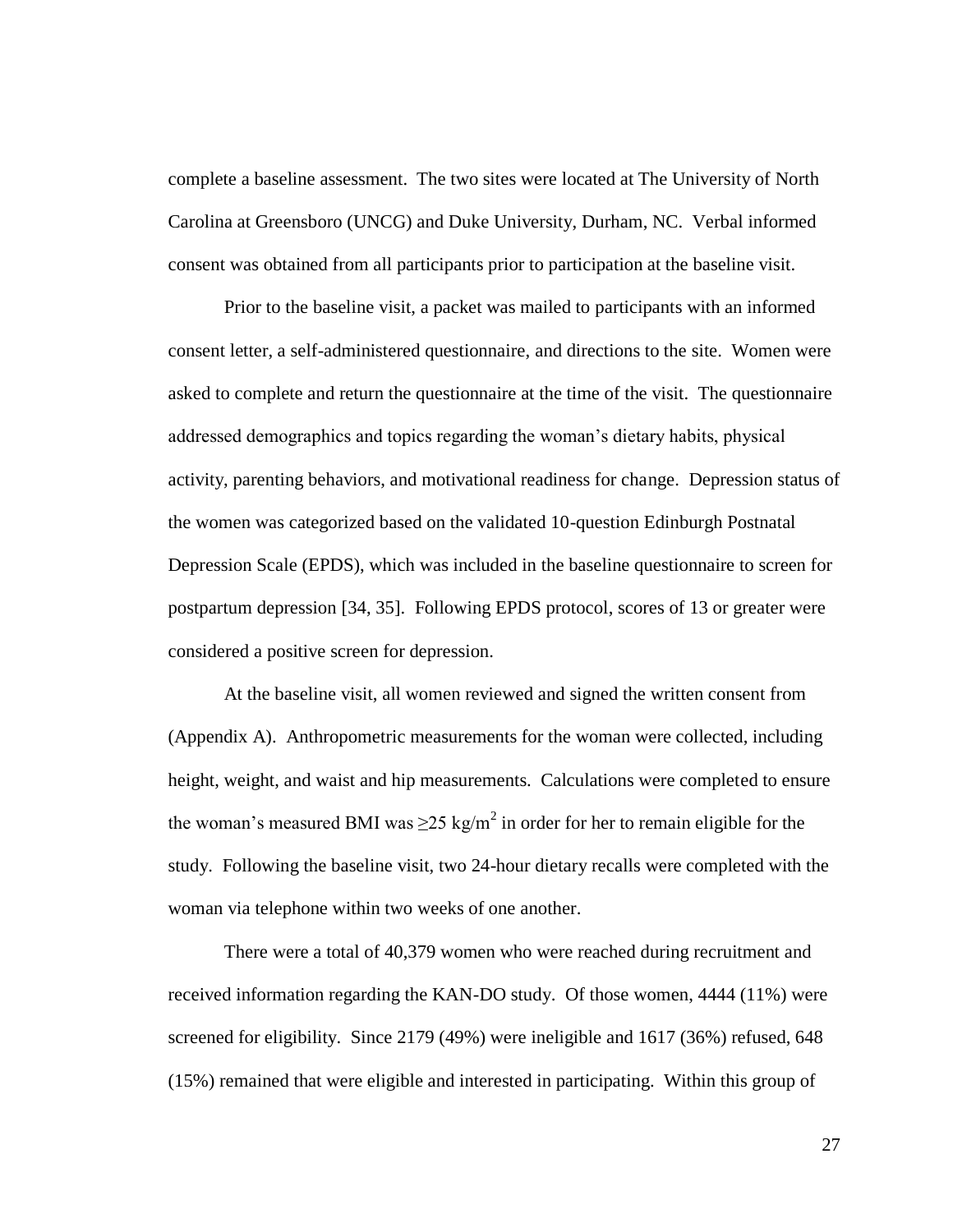complete a baseline assessment. The two sites were located at The University of North Carolina at Greensboro (UNCG) and Duke University, Durham, NC. Verbal informed consent was obtained from all participants prior to participation at the baseline visit.

Prior to the baseline visit, a packet was mailed to participants with an informed consent letter, a self-administered questionnaire, and directions to the site. Women were asked to complete and return the questionnaire at the time of the visit. The questionnaire addressed demographics and topics regarding the woman"s dietary habits, physical activity, parenting behaviors, and motivational readiness for change. Depression status of the women was categorized based on the validated 10-question Edinburgh Postnatal Depression Scale (EPDS), which was included in the baseline questionnaire to screen for postpartum depression [34, 35]. Following EPDS protocol, scores of 13 or greater were considered a positive screen for depression.

At the baseline visit, all women reviewed and signed the written consent from (Appendix A). Anthropometric measurements for the woman were collected, including height, weight, and waist and hip measurements. Calculations were completed to ensure the woman's measured BMI was  $\geq$ 25 kg/m<sup>2</sup> in order for her to remain eligible for the study. Following the baseline visit, two 24-hour dietary recalls were completed with the woman via telephone within two weeks of one another.

There were a total of 40,379 women who were reached during recruitment and received information regarding the KAN-DO study. Of those women, 4444 (11%) were screened for eligibility. Since 2179 (49%) were ineligible and 1617 (36%) refused, 648 (15%) remained that were eligible and interested in participating. Within this group of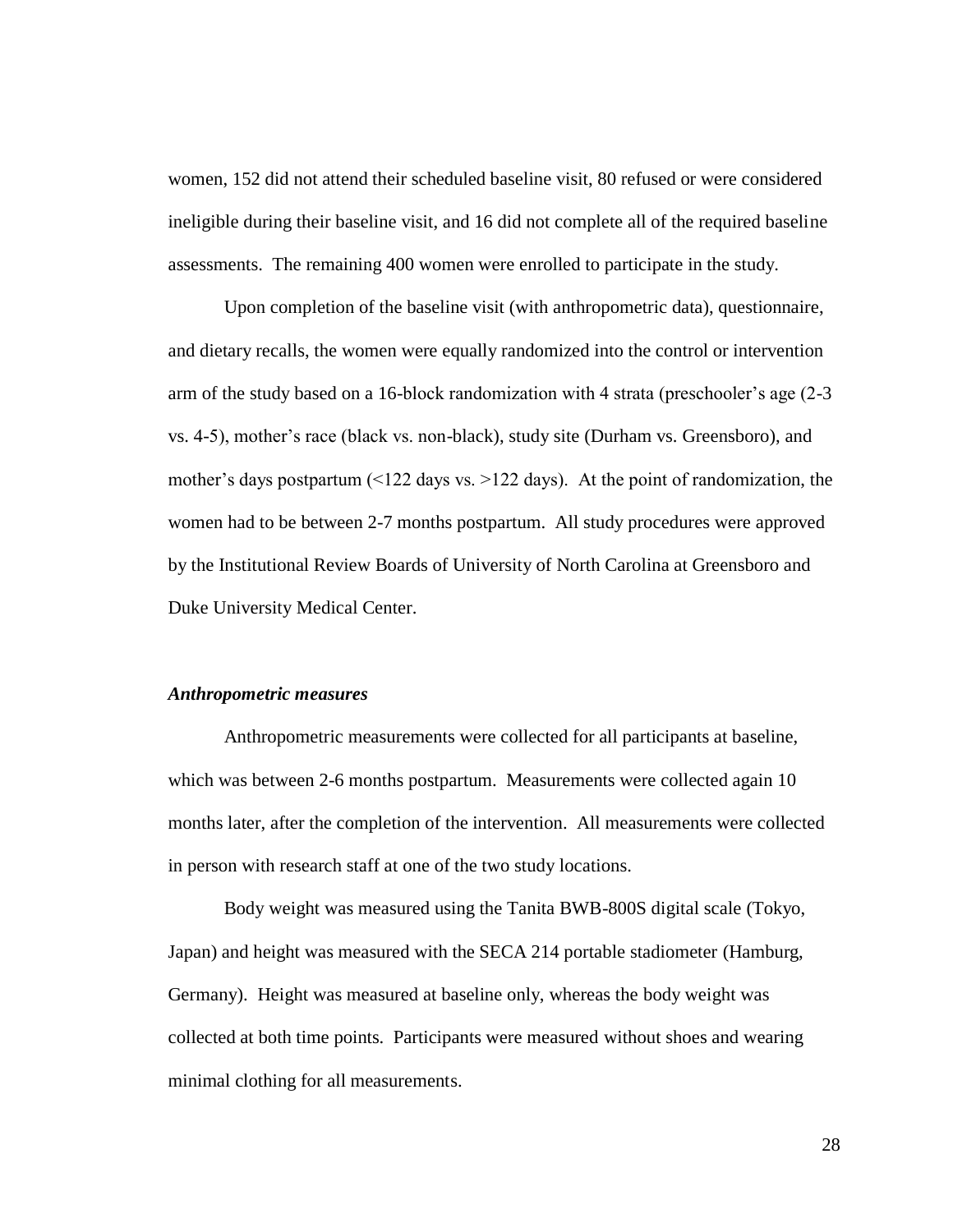women, 152 did not attend their scheduled baseline visit, 80 refused or were considered ineligible during their baseline visit, and 16 did not complete all of the required baseline assessments. The remaining 400 women were enrolled to participate in the study.

Upon completion of the baseline visit (with anthropometric data), questionnaire, and dietary recalls, the women were equally randomized into the control or intervention arm of the study based on a 16-block randomization with 4 strata (preschooler"s age (2-3 vs. 4-5), mother"s race (black vs. non-black), study site (Durham vs. Greensboro), and mother's days postpartum  $\left($  <122 days vs. >122 days). At the point of randomization, the women had to be between 2-7 months postpartum. All study procedures were approved by the Institutional Review Boards of University of North Carolina at Greensboro and Duke University Medical Center.

### *Anthropometric measures*

Anthropometric measurements were collected for all participants at baseline, which was between 2-6 months postpartum. Measurements were collected again 10 months later, after the completion of the intervention. All measurements were collected in person with research staff at one of the two study locations.

Body weight was measured using the Tanita BWB-800S digital scale (Tokyo, Japan) and height was measured with the SECA 214 portable stadiometer (Hamburg, Germany). Height was measured at baseline only, whereas the body weight was collected at both time points. Participants were measured without shoes and wearing minimal clothing for all measurements.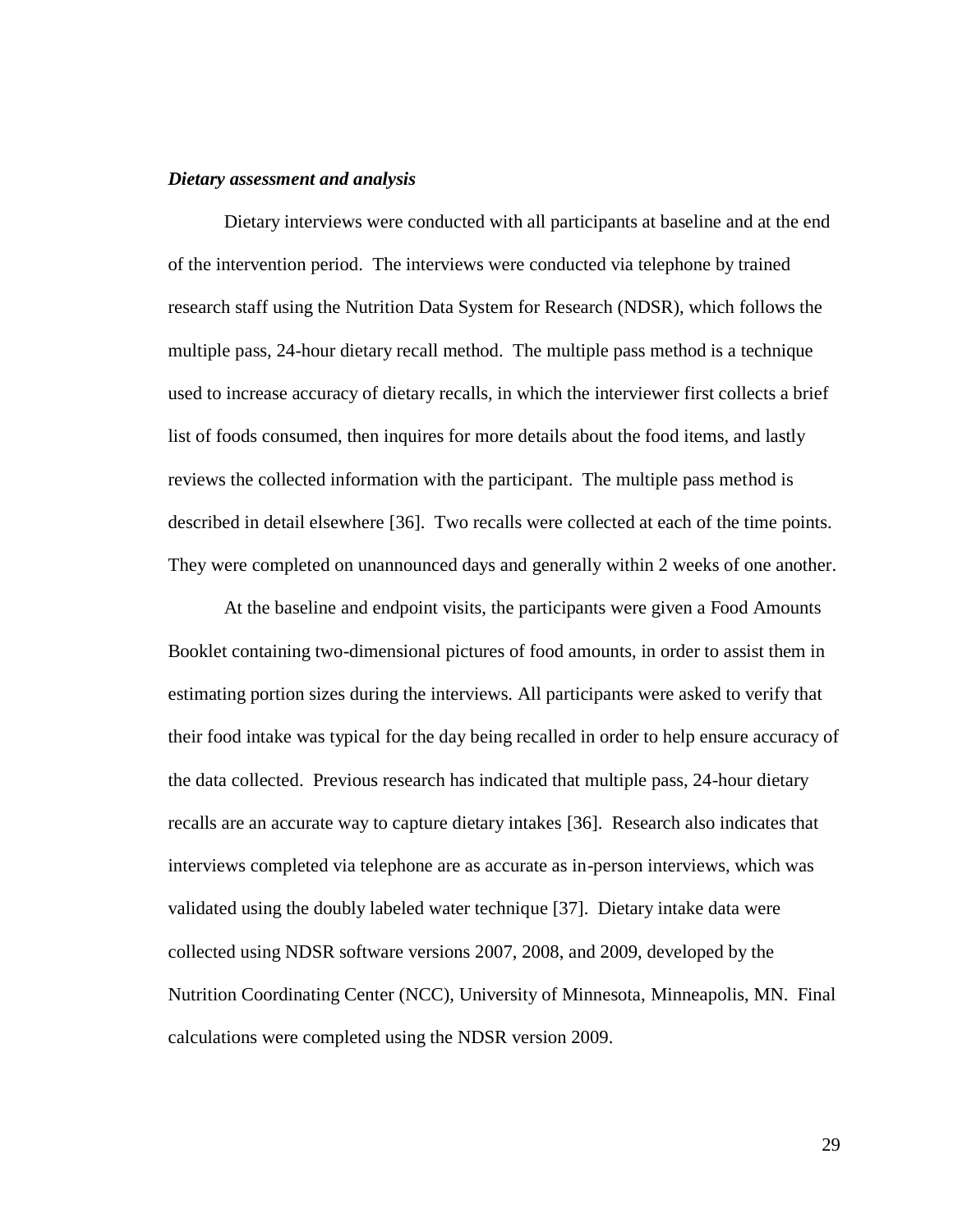#### *Dietary assessment and analysis*

Dietary interviews were conducted with all participants at baseline and at the end of the intervention period. The interviews were conducted via telephone by trained research staff using the Nutrition Data System for Research (NDSR), which follows the multiple pass, 24-hour dietary recall method. The multiple pass method is a technique used to increase accuracy of dietary recalls, in which the interviewer first collects a brief list of foods consumed, then inquires for more details about the food items, and lastly reviews the collected information with the participant. The multiple pass method is described in detail elsewhere [36]. Two recalls were collected at each of the time points. They were completed on unannounced days and generally within 2 weeks of one another.

At the baseline and endpoint visits, the participants were given a Food Amounts Booklet containing two-dimensional pictures of food amounts, in order to assist them in estimating portion sizes during the interviews. All participants were asked to verify that their food intake was typical for the day being recalled in order to help ensure accuracy of the data collected. Previous research has indicated that multiple pass, 24-hour dietary recalls are an accurate way to capture dietary intakes [36]. Research also indicates that interviews completed via telephone are as accurate as in-person interviews, which was validated using the doubly labeled water technique [37]. Dietary intake data were collected using NDSR software versions 2007, 2008, and 2009, developed by the Nutrition Coordinating Center (NCC), University of Minnesota, Minneapolis, MN. Final calculations were completed using the NDSR version 2009.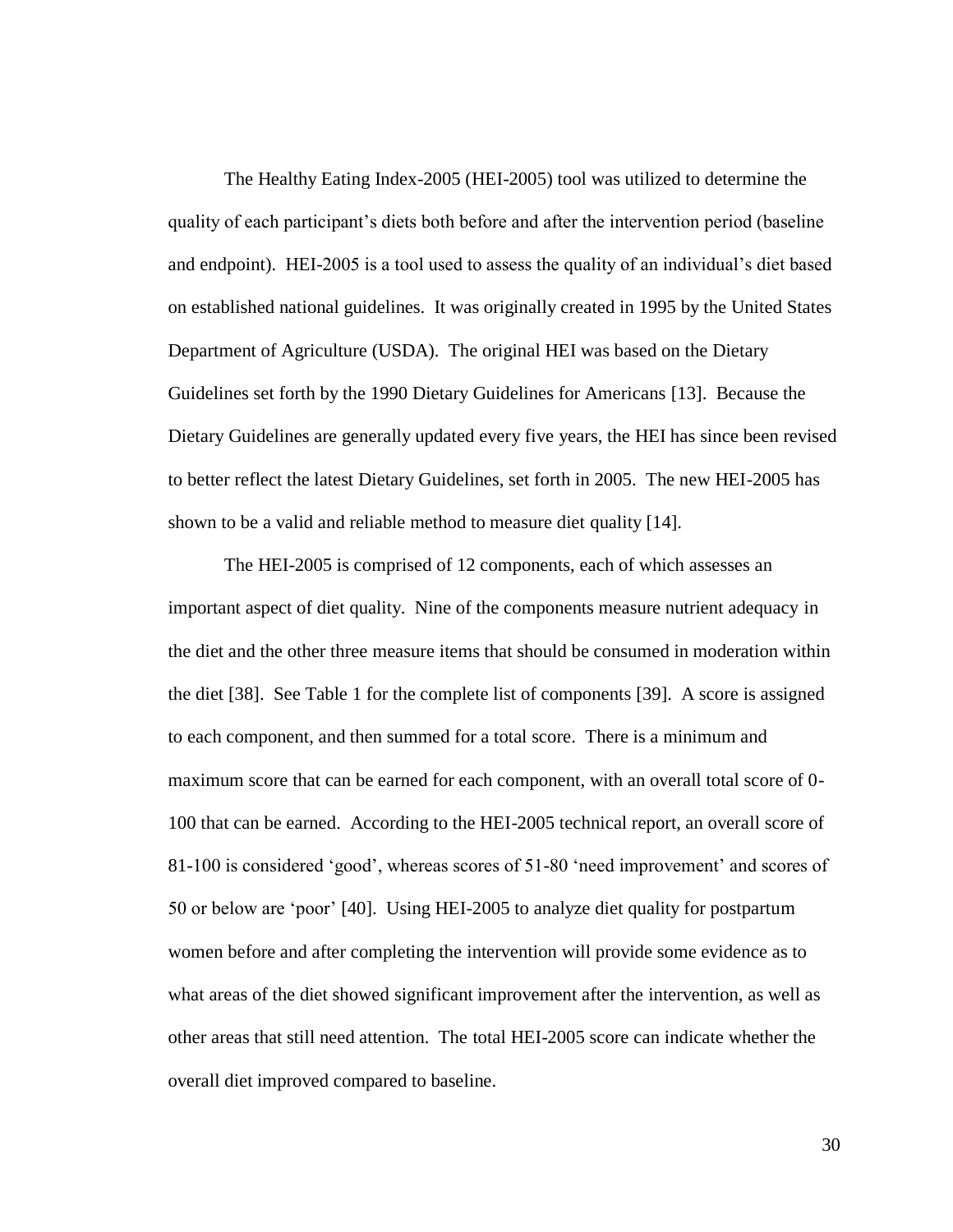The Healthy Eating Index-2005 (HEI-2005) tool was utilized to determine the quality of each participant's diets both before and after the intervention period (baseline and endpoint). HEI-2005 is a tool used to assess the quality of an individual's diet based on established national guidelines. It was originally created in 1995 by the United States Department of Agriculture (USDA). The original HEI was based on the Dietary Guidelines set forth by the 1990 Dietary Guidelines for Americans [13]. Because the Dietary Guidelines are generally updated every five years, the HEI has since been revised to better reflect the latest Dietary Guidelines, set forth in 2005. The new HEI-2005 has shown to be a valid and reliable method to measure diet quality [14].

The HEI-2005 is comprised of 12 components, each of which assesses an important aspect of diet quality. Nine of the components measure nutrient adequacy in the diet and the other three measure items that should be consumed in moderation within the diet [38]. See Table 1 for the complete list of components [39]. A score is assigned to each component, and then summed for a total score. There is a minimum and maximum score that can be earned for each component, with an overall total score of 0- 100 that can be earned. According to the HEI-2005 technical report, an overall score of 81-100 is considered "good", whereas scores of 51-80 "need improvement" and scores of 50 or below are "poor" [40]. Using HEI-2005 to analyze diet quality for postpartum women before and after completing the intervention will provide some evidence as to what areas of the diet showed significant improvement after the intervention, as well as other areas that still need attention. The total HEI-2005 score can indicate whether the overall diet improved compared to baseline.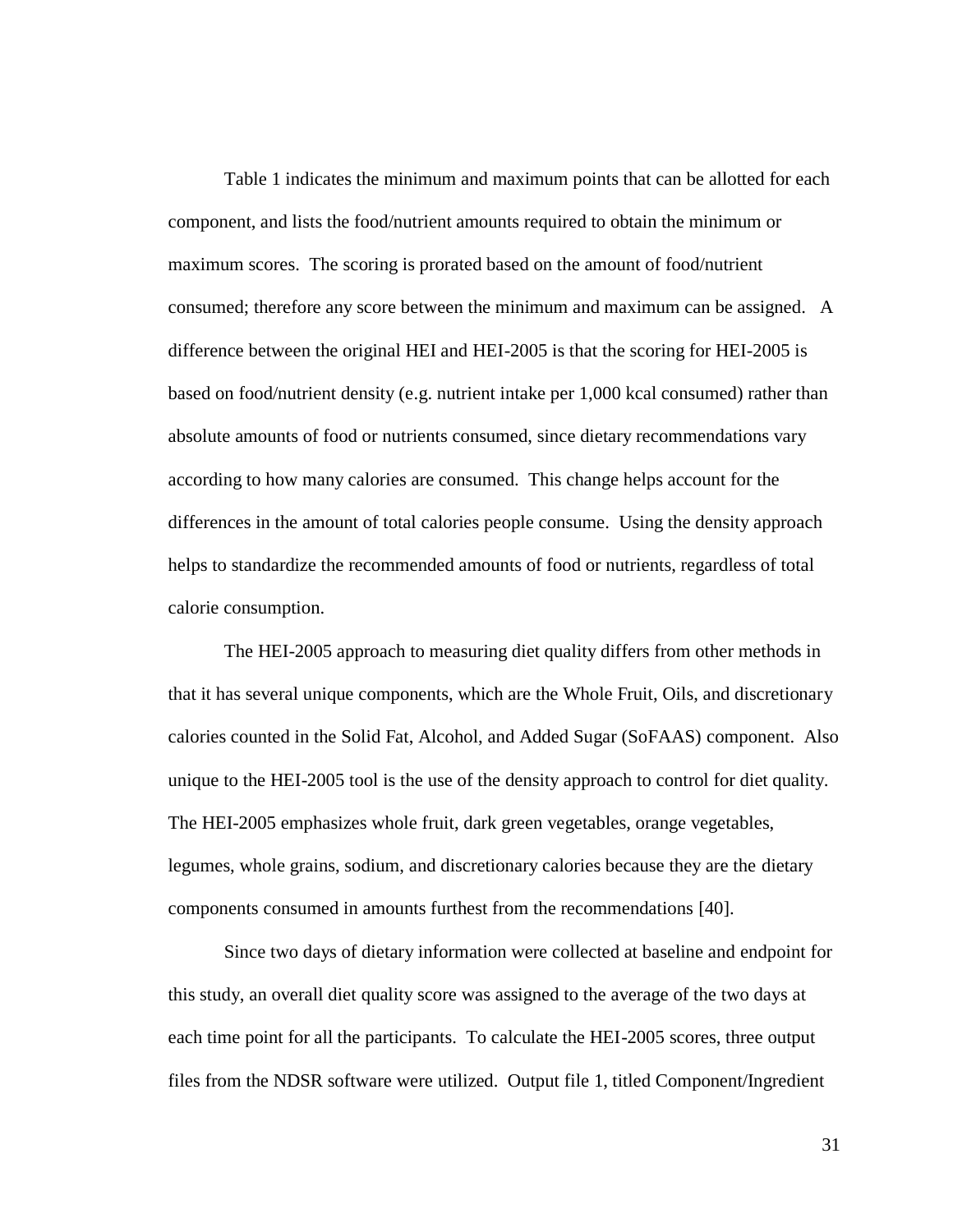Table 1 indicates the minimum and maximum points that can be allotted for each component, and lists the food/nutrient amounts required to obtain the minimum or maximum scores. The scoring is prorated based on the amount of food/nutrient consumed; therefore any score between the minimum and maximum can be assigned. A difference between the original HEI and HEI-2005 is that the scoring for HEI-2005 is based on food/nutrient density (e.g. nutrient intake per 1,000 kcal consumed) rather than absolute amounts of food or nutrients consumed, since dietary recommendations vary according to how many calories are consumed. This change helps account for the differences in the amount of total calories people consume. Using the density approach helps to standardize the recommended amounts of food or nutrients, regardless of total calorie consumption.

The HEI-2005 approach to measuring diet quality differs from other methods in that it has several unique components, which are the Whole Fruit, Oils, and discretionary calories counted in the Solid Fat, Alcohol, and Added Sugar (SoFAAS) component. Also unique to the HEI-2005 tool is the use of the density approach to control for diet quality. The HEI-2005 emphasizes whole fruit, dark green vegetables, orange vegetables, legumes, whole grains, sodium, and discretionary calories because they are the dietary components consumed in amounts furthest from the recommendations [40].

Since two days of dietary information were collected at baseline and endpoint for this study, an overall diet quality score was assigned to the average of the two days at each time point for all the participants. To calculate the HEI-2005 scores, three output files from the NDSR software were utilized. Output file 1, titled Component/Ingredient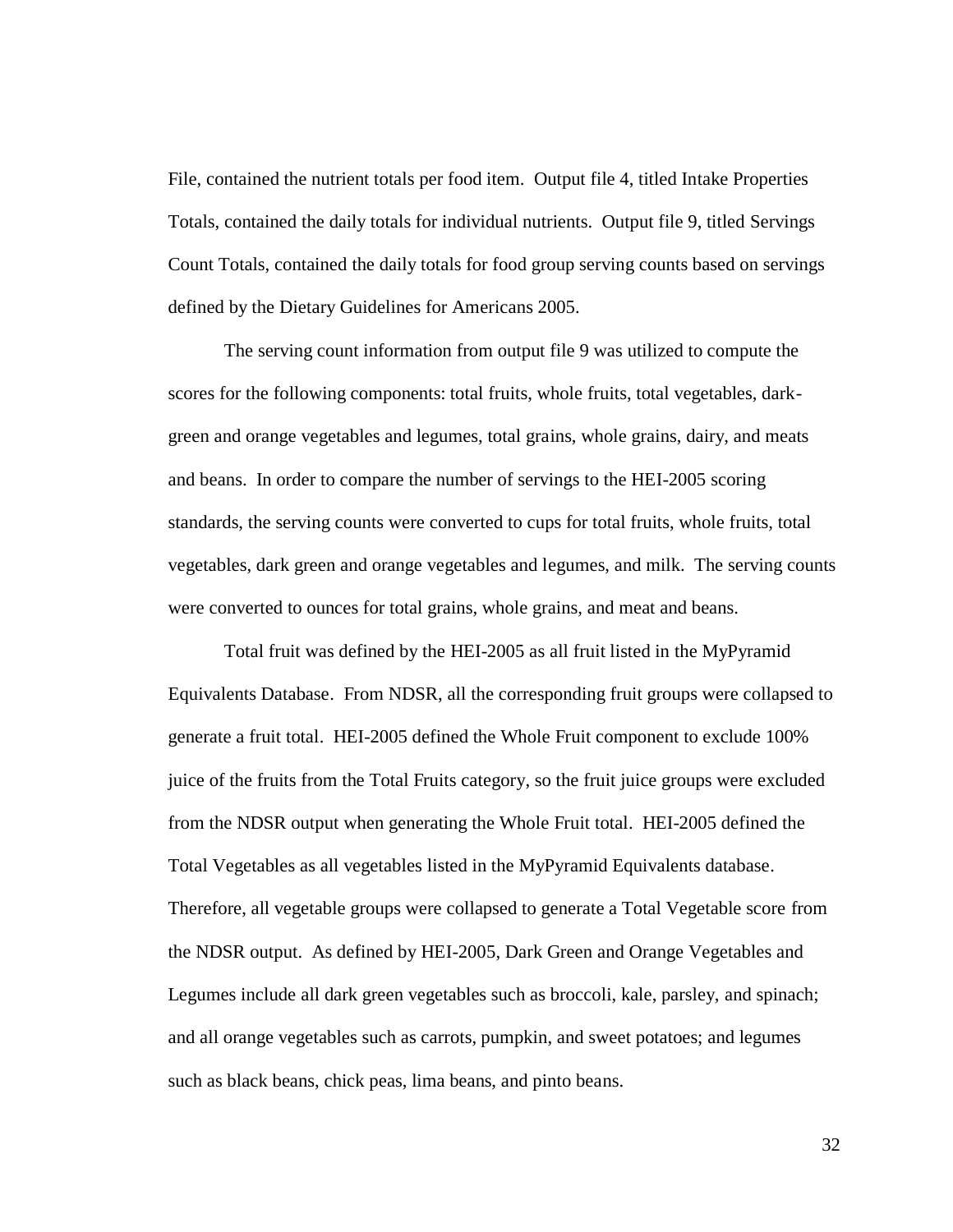File, contained the nutrient totals per food item. Output file 4, titled Intake Properties Totals, contained the daily totals for individual nutrients. Output file 9, titled Servings Count Totals, contained the daily totals for food group serving counts based on servings defined by the Dietary Guidelines for Americans 2005.

The serving count information from output file 9 was utilized to compute the scores for the following components: total fruits, whole fruits, total vegetables, darkgreen and orange vegetables and legumes, total grains, whole grains, dairy, and meats and beans. In order to compare the number of servings to the HEI-2005 scoring standards, the serving counts were converted to cups for total fruits, whole fruits, total vegetables, dark green and orange vegetables and legumes, and milk. The serving counts were converted to ounces for total grains, whole grains, and meat and beans.

Total fruit was defined by the HEI-2005 as all fruit listed in the MyPyramid Equivalents Database. From NDSR, all the corresponding fruit groups were collapsed to generate a fruit total. HEI-2005 defined the Whole Fruit component to exclude 100% juice of the fruits from the Total Fruits category, so the fruit juice groups were excluded from the NDSR output when generating the Whole Fruit total. HEI-2005 defined the Total Vegetables as all vegetables listed in the MyPyramid Equivalents database. Therefore, all vegetable groups were collapsed to generate a Total Vegetable score from the NDSR output. As defined by HEI-2005, Dark Green and Orange Vegetables and Legumes include all dark green vegetables such as broccoli, kale, parsley, and spinach; and all orange vegetables such as carrots, pumpkin, and sweet potatoes; and legumes such as black beans, chick peas, lima beans, and pinto beans.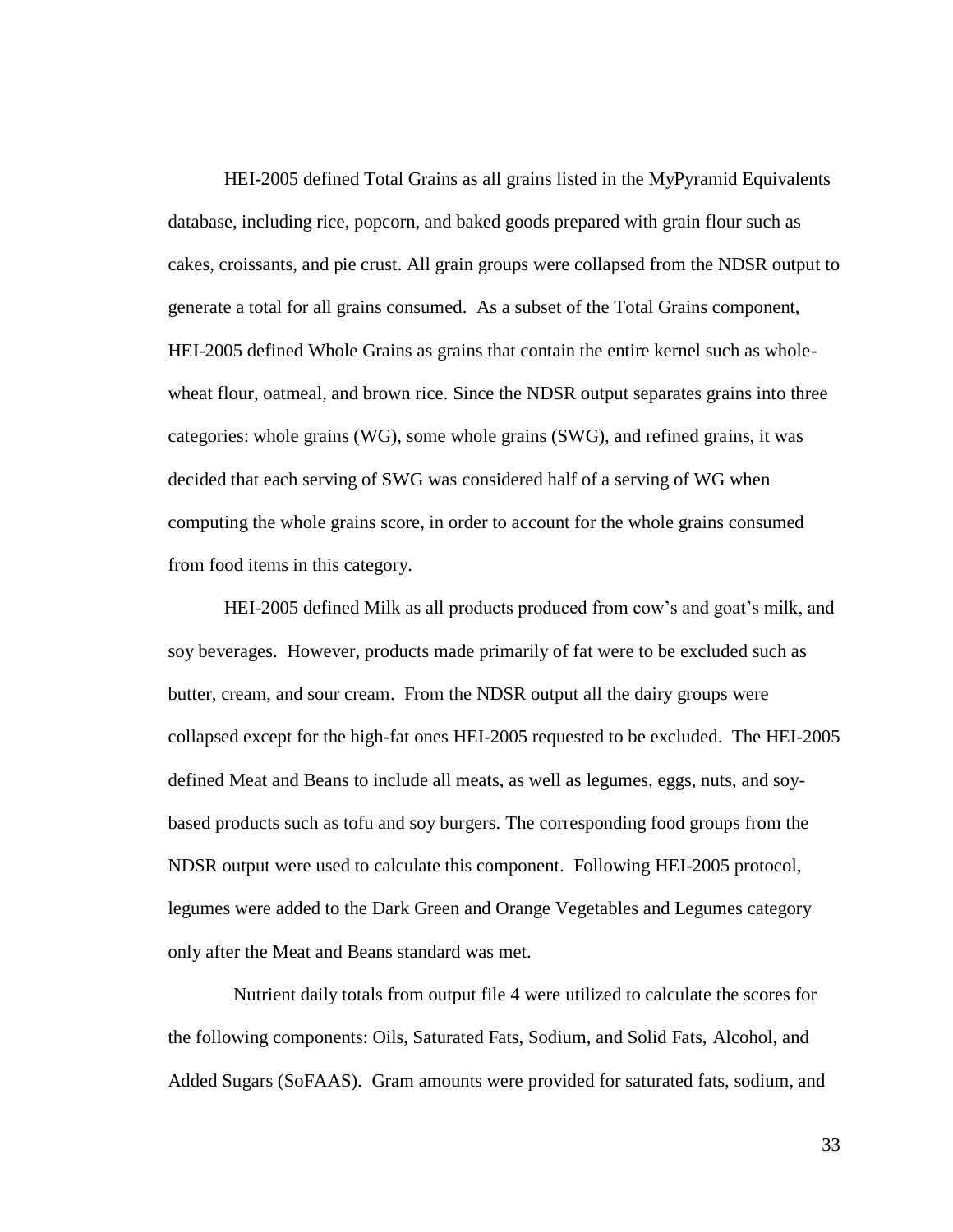HEI-2005 defined Total Grains as all grains listed in the MyPyramid Equivalents database, including rice, popcorn, and baked goods prepared with grain flour such as cakes, croissants, and pie crust. All grain groups were collapsed from the NDSR output to generate a total for all grains consumed. As a subset of the Total Grains component, HEI-2005 defined Whole Grains as grains that contain the entire kernel such as wholewheat flour, oatmeal, and brown rice. Since the NDSR output separates grains into three categories: whole grains (WG), some whole grains (SWG), and refined grains, it was decided that each serving of SWG was considered half of a serving of WG when computing the whole grains score, in order to account for the whole grains consumed from food items in this category.

HEI-2005 defined Milk as all products produced from cow"s and goat"s milk, and soy beverages. However, products made primarily of fat were to be excluded such as butter, cream, and sour cream. From the NDSR output all the dairy groups were collapsed except for the high-fat ones HEI-2005 requested to be excluded. The HEI-2005 defined Meat and Beans to include all meats, as well as legumes, eggs, nuts, and soybased products such as tofu and soy burgers. The corresponding food groups from the NDSR output were used to calculate this component. Following HEI-2005 protocol, legumes were added to the Dark Green and Orange Vegetables and Legumes category only after the Meat and Beans standard was met.

 Nutrient daily totals from output file 4 were utilized to calculate the scores for the following components: Oils, Saturated Fats, Sodium, and Solid Fats, Alcohol, and Added Sugars (SoFAAS). Gram amounts were provided for saturated fats, sodium, and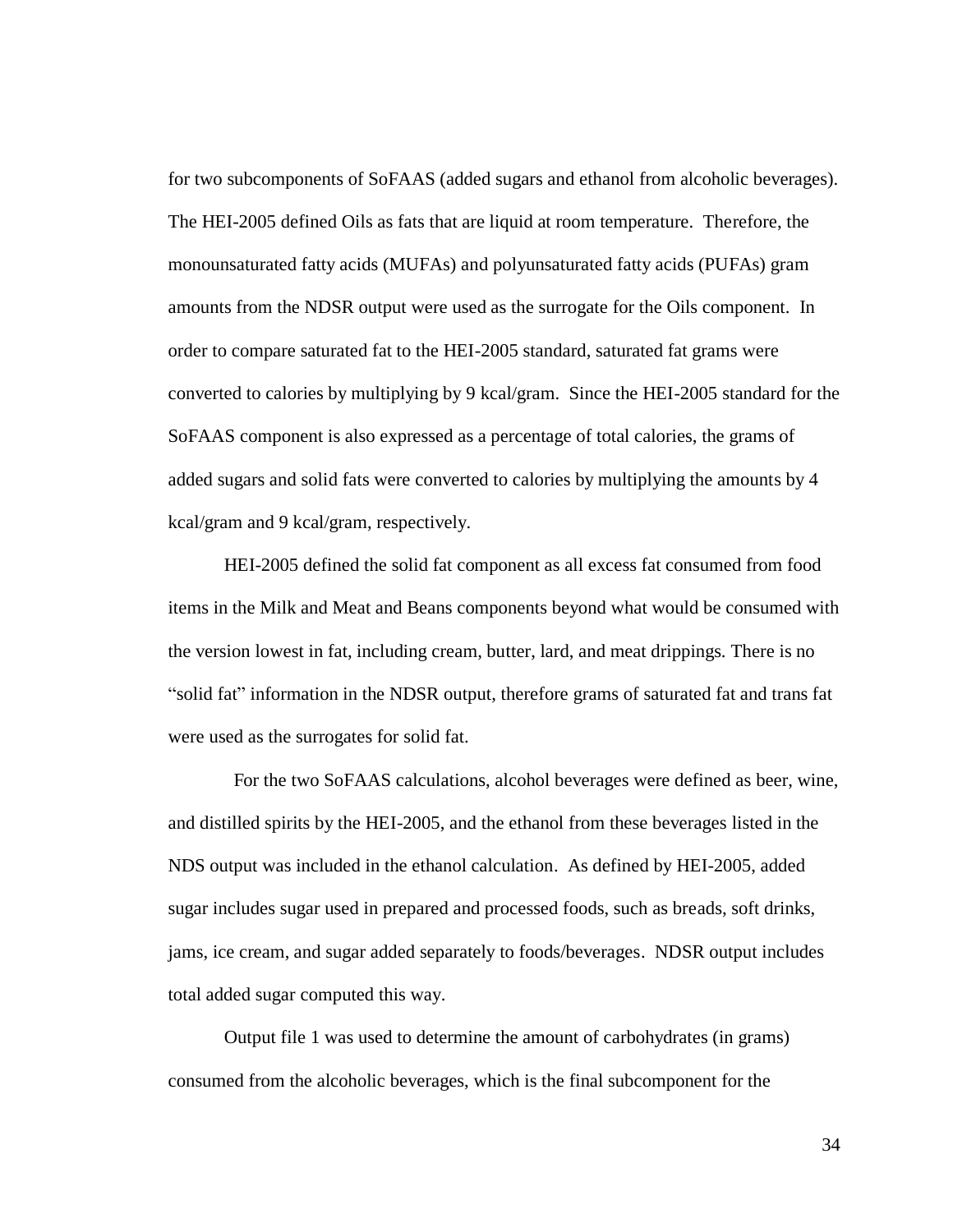for two subcomponents of SoFAAS (added sugars and ethanol from alcoholic beverages). The HEI-2005 defined Oils as fats that are liquid at room temperature. Therefore, the monounsaturated fatty acids (MUFAs) and polyunsaturated fatty acids (PUFAs) gram amounts from the NDSR output were used as the surrogate for the Oils component. In order to compare saturated fat to the HEI-2005 standard, saturated fat grams were converted to calories by multiplying by 9 kcal/gram. Since the HEI-2005 standard for the SoFAAS component is also expressed as a percentage of total calories, the grams of added sugars and solid fats were converted to calories by multiplying the amounts by 4 kcal/gram and 9 kcal/gram, respectively.

HEI-2005 defined the solid fat component as all excess fat consumed from food items in the Milk and Meat and Beans components beyond what would be consumed with the version lowest in fat, including cream, butter, lard, and meat drippings. There is no "solid fat" information in the NDSR output, therefore grams of saturated fat and trans fat were used as the surrogates for solid fat.

 For the two SoFAAS calculations, alcohol beverages were defined as beer, wine, and distilled spirits by the HEI-2005, and the ethanol from these beverages listed in the NDS output was included in the ethanol calculation. As defined by HEI-2005, added sugar includes sugar used in prepared and processed foods, such as breads, soft drinks, jams, ice cream, and sugar added separately to foods/beverages. NDSR output includes total added sugar computed this way.

Output file 1 was used to determine the amount of carbohydrates (in grams) consumed from the alcoholic beverages, which is the final subcomponent for the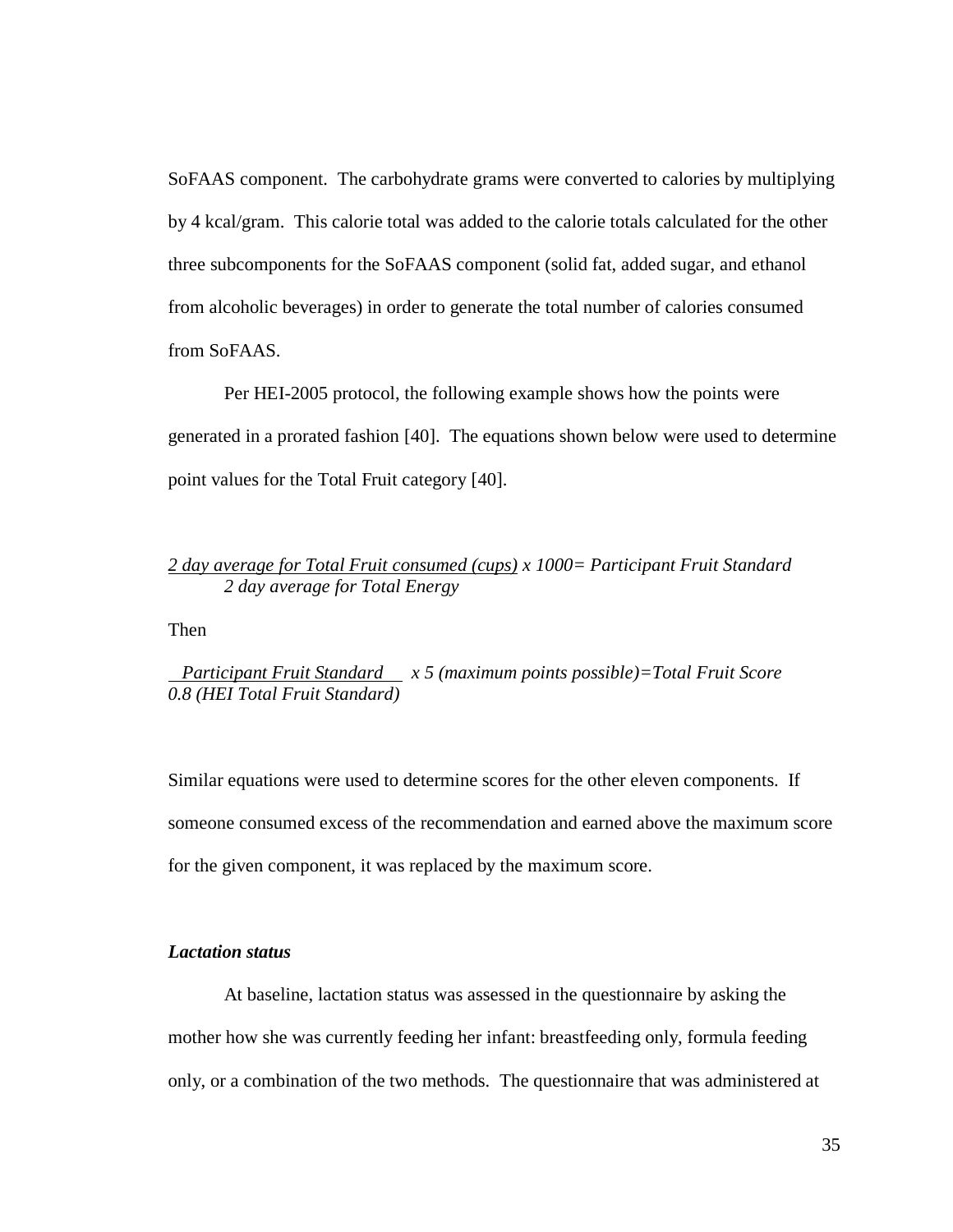SoFAAS component. The carbohydrate grams were converted to calories by multiplying by 4 kcal/gram. This calorie total was added to the calorie totals calculated for the other three subcomponents for the SoFAAS component (solid fat, added sugar, and ethanol from alcoholic beverages) in order to generate the total number of calories consumed from SoFAAS.

Per HEI-2005 protocol, the following example shows how the points were generated in a prorated fashion [40]. The equations shown below were used to determine point values for the Total Fruit category [40].

# *2 day average for Total Fruit consumed (cups) x 1000= Participant Fruit Standard 2 day average for Total Energy*

Then

 *Participant Fruit Standard x 5 (maximum points possible)=Total Fruit Score 0.8 (HEI Total Fruit Standard)*

Similar equations were used to determine scores for the other eleven components. If someone consumed excess of the recommendation and earned above the maximum score for the given component, it was replaced by the maximum score.

# *Lactation status*

At baseline, lactation status was assessed in the questionnaire by asking the mother how she was currently feeding her infant: breastfeeding only, formula feeding only, or a combination of the two methods. The questionnaire that was administered at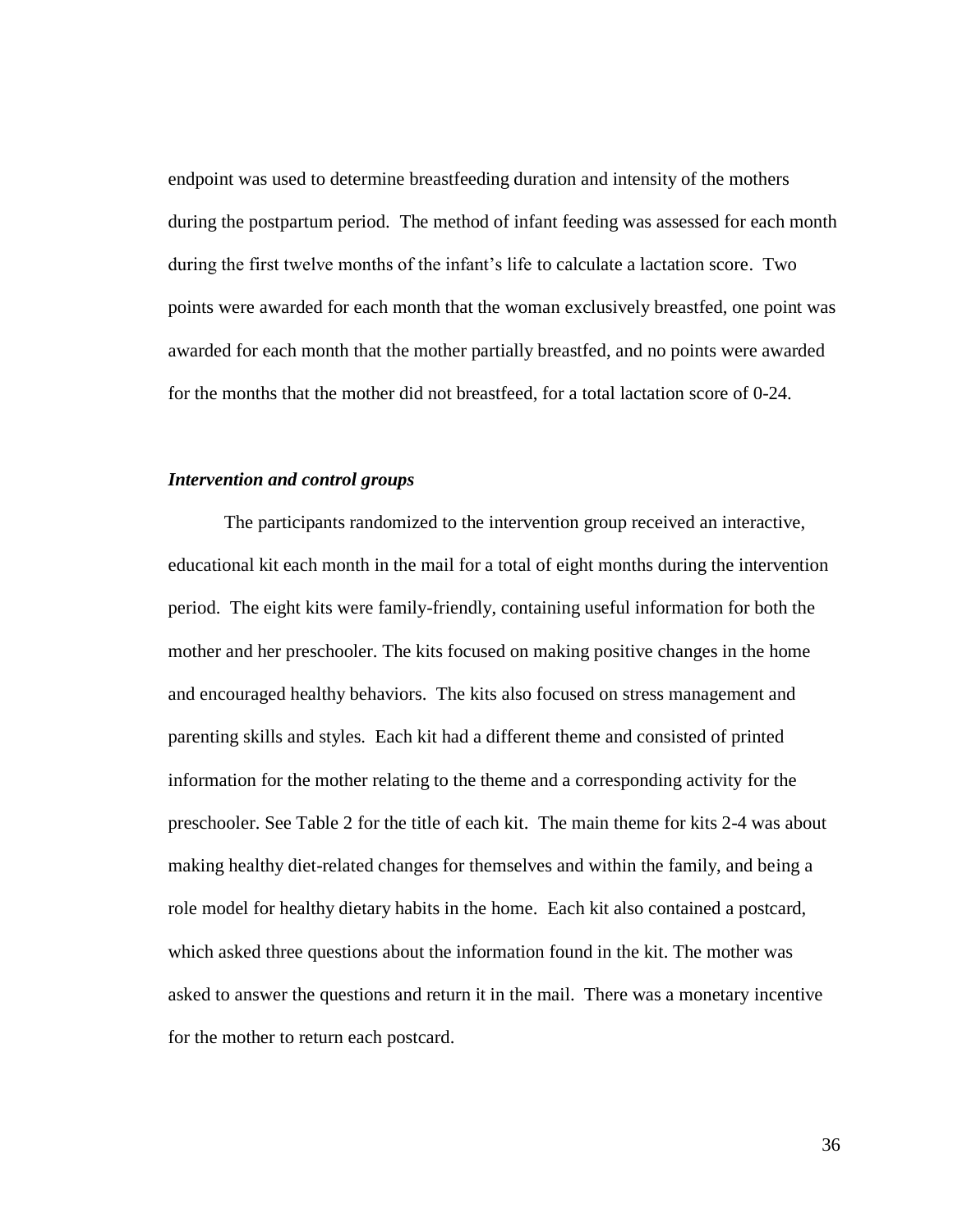endpoint was used to determine breastfeeding duration and intensity of the mothers during the postpartum period. The method of infant feeding was assessed for each month during the first twelve months of the infant's life to calculate a lactation score. Two points were awarded for each month that the woman exclusively breastfed, one point was awarded for each month that the mother partially breastfed, and no points were awarded for the months that the mother did not breastfeed, for a total lactation score of 0-24.

## *Intervention and control groups*

The participants randomized to the intervention group received an interactive, educational kit each month in the mail for a total of eight months during the intervention period. The eight kits were family-friendly, containing useful information for both the mother and her preschooler. The kits focused on making positive changes in the home and encouraged healthy behaviors. The kits also focused on stress management and parenting skills and styles. Each kit had a different theme and consisted of printed information for the mother relating to the theme and a corresponding activity for the preschooler. See Table 2 for the title of each kit. The main theme for kits 2-4 was about making healthy diet-related changes for themselves and within the family, and being a role model for healthy dietary habits in the home. Each kit also contained a postcard, which asked three questions about the information found in the kit. The mother was asked to answer the questions and return it in the mail. There was a monetary incentive for the mother to return each postcard.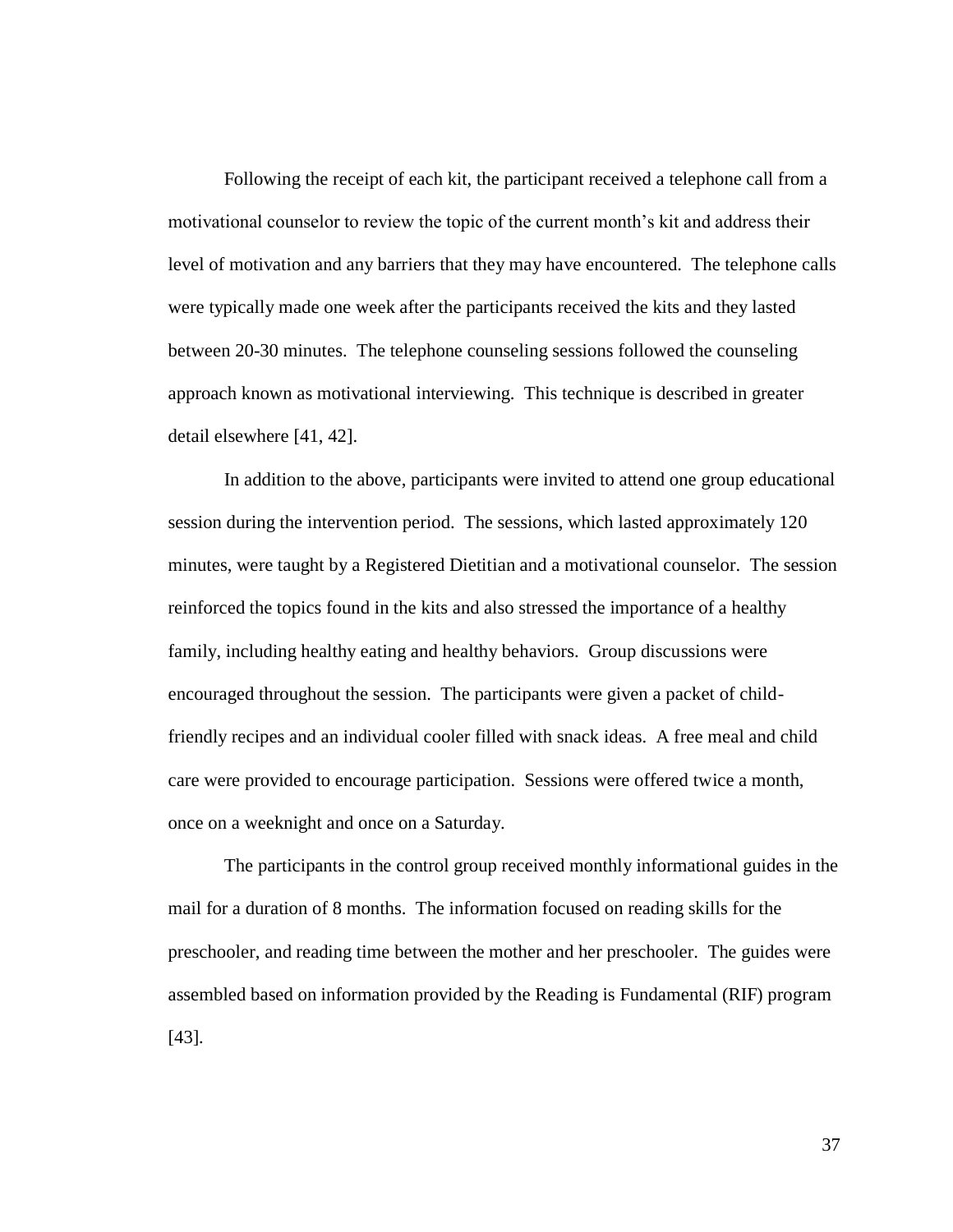Following the receipt of each kit, the participant received a telephone call from a motivational counselor to review the topic of the current month's kit and address their level of motivation and any barriers that they may have encountered. The telephone calls were typically made one week after the participants received the kits and they lasted between 20-30 minutes. The telephone counseling sessions followed the counseling approach known as motivational interviewing. This technique is described in greater detail elsewhere [41, 42].

In addition to the above, participants were invited to attend one group educational session during the intervention period. The sessions, which lasted approximately 120 minutes, were taught by a Registered Dietitian and a motivational counselor. The session reinforced the topics found in the kits and also stressed the importance of a healthy family, including healthy eating and healthy behaviors. Group discussions were encouraged throughout the session. The participants were given a packet of childfriendly recipes and an individual cooler filled with snack ideas. A free meal and child care were provided to encourage participation. Sessions were offered twice a month, once on a weeknight and once on a Saturday.

The participants in the control group received monthly informational guides in the mail for a duration of 8 months. The information focused on reading skills for the preschooler, and reading time between the mother and her preschooler. The guides were assembled based on information provided by the Reading is Fundamental (RIF) program [43]*.*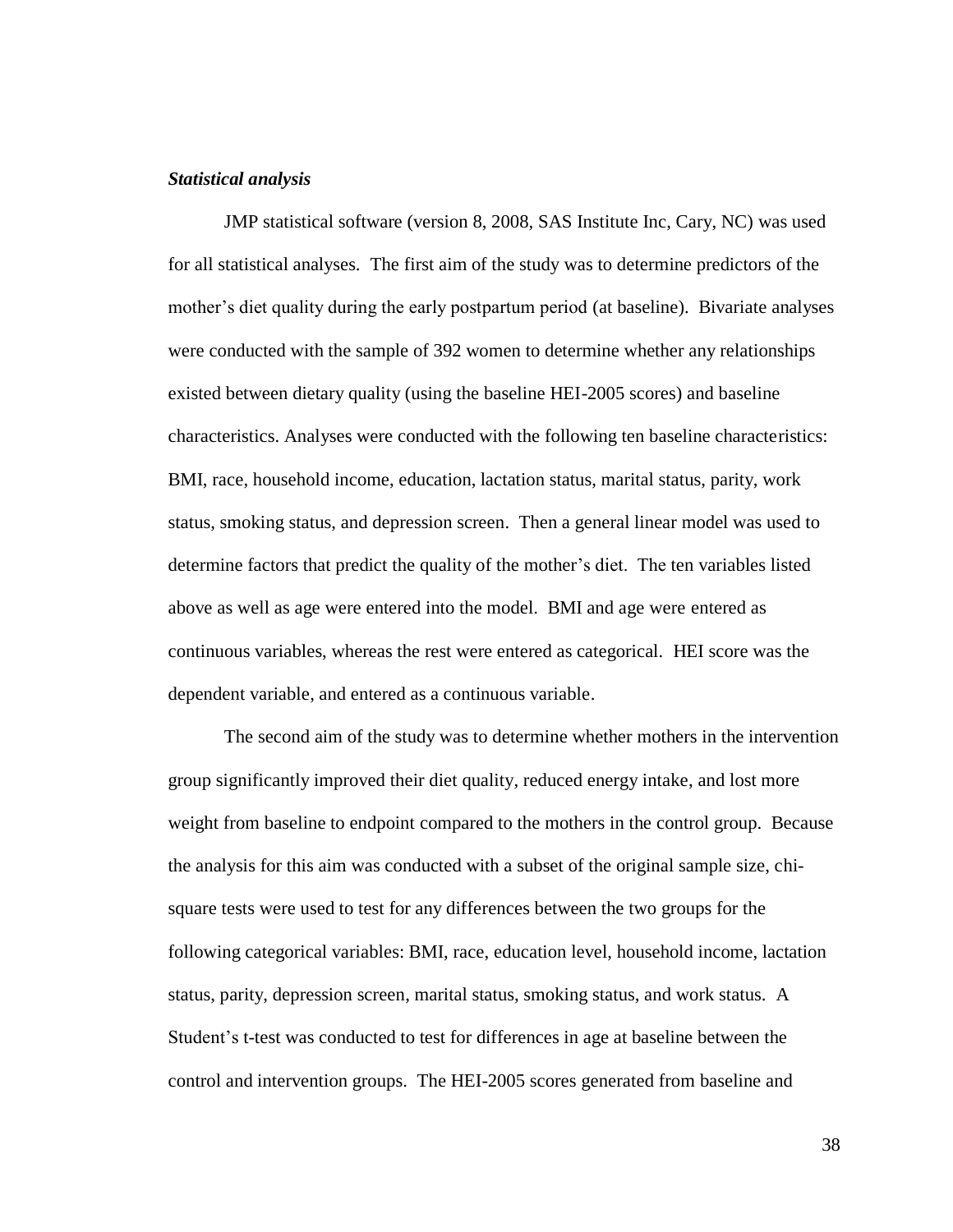### *Statistical analysis*

JMP statistical software (version 8, 2008, SAS Institute Inc, Cary, NC) was used for all statistical analyses. The first aim of the study was to determine predictors of the mother's diet quality during the early postpartum period (at baseline). Bivariate analyses were conducted with the sample of 392 women to determine whether any relationships existed between dietary quality (using the baseline HEI-2005 scores) and baseline characteristics. Analyses were conducted with the following ten baseline characteristics: BMI, race, household income, education, lactation status, marital status, parity, work status, smoking status, and depression screen. Then a general linear model was used to determine factors that predict the quality of the mother"s diet. The ten variables listed above as well as age were entered into the model. BMI and age were entered as continuous variables, whereas the rest were entered as categorical. HEI score was the dependent variable, and entered as a continuous variable.

The second aim of the study was to determine whether mothers in the intervention group significantly improved their diet quality, reduced energy intake, and lost more weight from baseline to endpoint compared to the mothers in the control group. Because the analysis for this aim was conducted with a subset of the original sample size, chisquare tests were used to test for any differences between the two groups for the following categorical variables: BMI, race, education level, household income, lactation status, parity, depression screen, marital status, smoking status, and work status. A Student"s t-test was conducted to test for differences in age at baseline between the control and intervention groups. The HEI-2005 scores generated from baseline and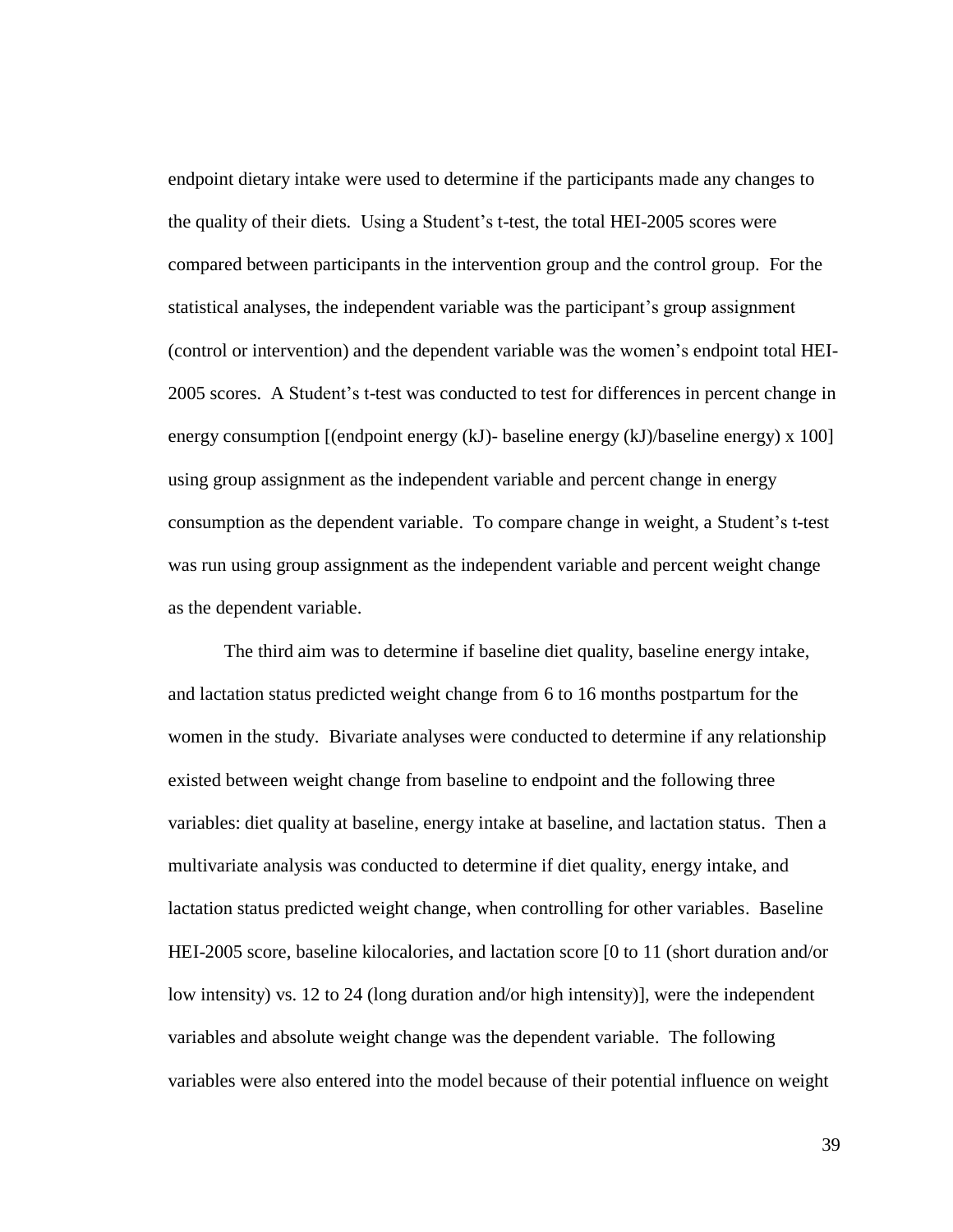endpoint dietary intake were used to determine if the participants made any changes to the quality of their diets. Using a Student"s t-test, the total HEI-2005 scores were compared between participants in the intervention group and the control group. For the statistical analyses, the independent variable was the participant"s group assignment (control or intervention) and the dependent variable was the women"s endpoint total HEI-2005 scores. A Student"s t-test was conducted to test for differences in percent change in energy consumption [(endpoint energy (kJ)- baseline energy (kJ)/baseline energy) x 100] using group assignment as the independent variable and percent change in energy consumption as the dependent variable. To compare change in weight, a Student's t-test was run using group assignment as the independent variable and percent weight change as the dependent variable.

The third aim was to determine if baseline diet quality, baseline energy intake, and lactation status predicted weight change from 6 to 16 months postpartum for the women in the study. Bivariate analyses were conducted to determine if any relationship existed between weight change from baseline to endpoint and the following three variables: diet quality at baseline, energy intake at baseline, and lactation status. Then a multivariate analysis was conducted to determine if diet quality, energy intake, and lactation status predicted weight change, when controlling for other variables. Baseline HEI-2005 score, baseline kilocalories, and lactation score [0 to 11 (short duration and/or low intensity) vs. 12 to 24 (long duration and/or high intensity)], were the independent variables and absolute weight change was the dependent variable. The following variables were also entered into the model because of their potential influence on weight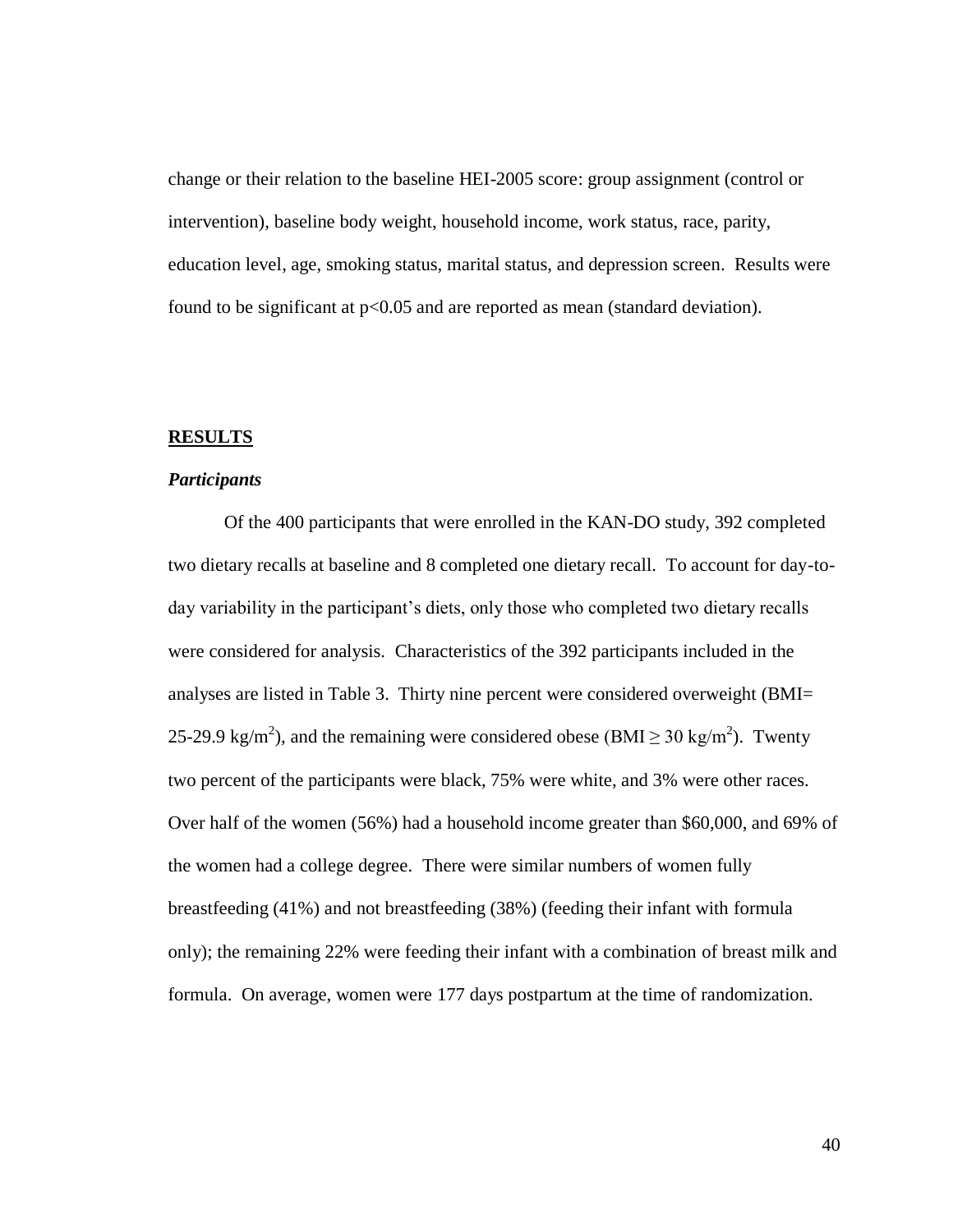change or their relation to the baseline HEI-2005 score: group assignment (control or intervention), baseline body weight, household income, work status, race, parity, education level, age, smoking status, marital status, and depression screen. Results were found to be significant at  $p<0.05$  and are reported as mean (standard deviation).

#### **RESULTS**

### *Participants*

Of the 400 participants that were enrolled in the KAN-DO study, 392 completed two dietary recalls at baseline and 8 completed one dietary recall. To account for day-today variability in the participant's diets, only those who completed two dietary recalls were considered for analysis. Characteristics of the 392 participants included in the analyses are listed in Table 3. Thirty nine percent were considered overweight (BMI= 25-29.9 kg/m<sup>2</sup>), and the remaining were considered obese (BMI  $\geq$  30 kg/m<sup>2</sup>). Twenty two percent of the participants were black, 75% were white, and 3% were other races. Over half of the women (56%) had a household income greater than \$60,000, and 69% of the women had a college degree. There were similar numbers of women fully breastfeeding (41%) and not breastfeeding (38%) (feeding their infant with formula only); the remaining 22% were feeding their infant with a combination of breast milk and formula. On average, women were 177 days postpartum at the time of randomization.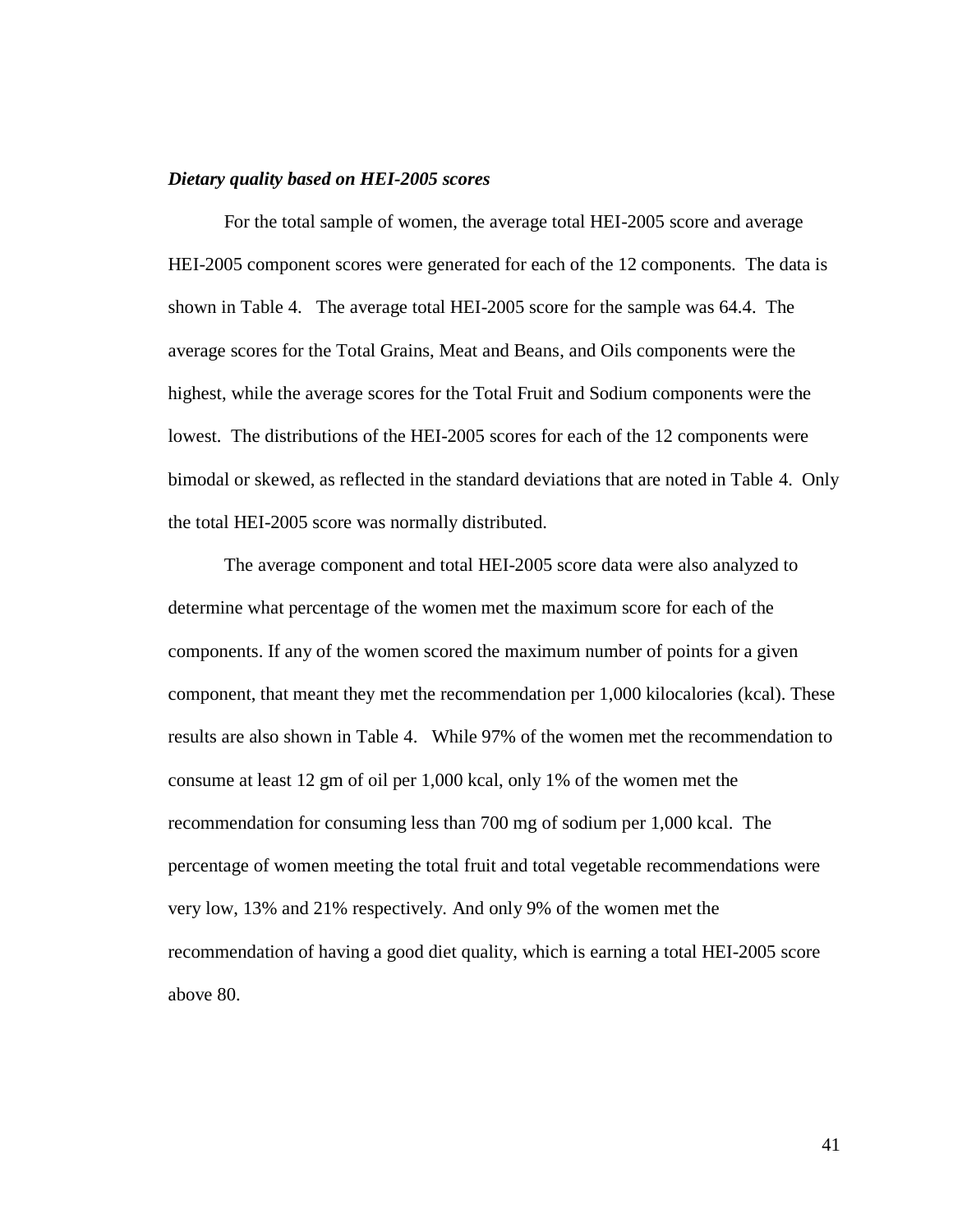#### *Dietary quality based on HEI-2005 scores*

For the total sample of women, the average total HEI-2005 score and average HEI-2005 component scores were generated for each of the 12 components. The data is shown in Table 4. The average total HEI-2005 score for the sample was 64.4. The average scores for the Total Grains, Meat and Beans, and Oils components were the highest, while the average scores for the Total Fruit and Sodium components were the lowest. The distributions of the HEI-2005 scores for each of the 12 components were bimodal or skewed, as reflected in the standard deviations that are noted in Table 4. Only the total HEI-2005 score was normally distributed.

The average component and total HEI-2005 score data were also analyzed to determine what percentage of the women met the maximum score for each of the components. If any of the women scored the maximum number of points for a given component, that meant they met the recommendation per 1,000 kilocalories (kcal). These results are also shown in Table 4. While 97% of the women met the recommendation to consume at least 12 gm of oil per 1,000 kcal, only 1% of the women met the recommendation for consuming less than 700 mg of sodium per 1,000 kcal. The percentage of women meeting the total fruit and total vegetable recommendations were very low, 13% and 21% respectively. And only 9% of the women met the recommendation of having a good diet quality, which is earning a total HEI-2005 score above 80.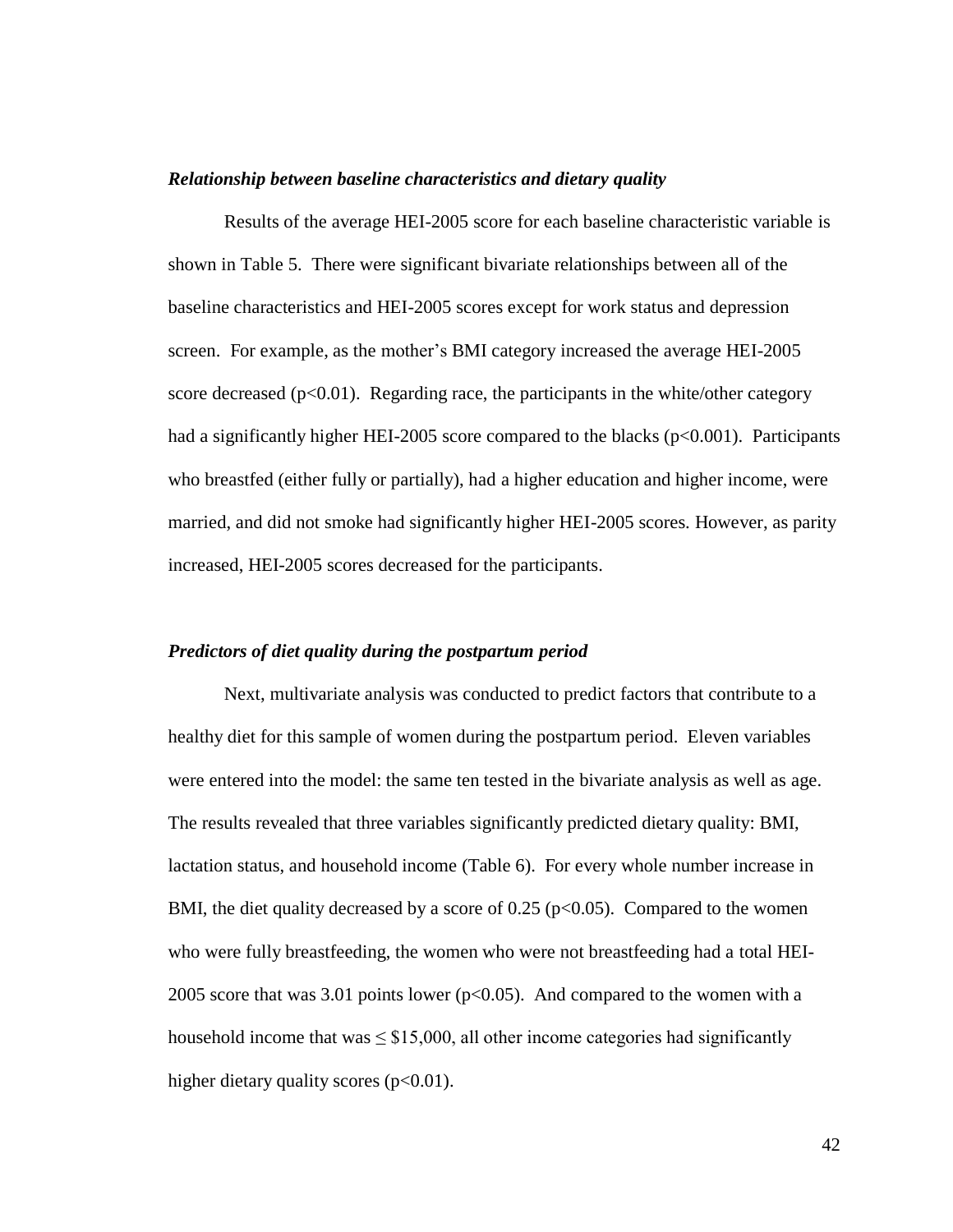### *Relationship between baseline characteristics and dietary quality*

Results of the average HEI-2005 score for each baseline characteristic variable is shown in Table 5. There were significant bivariate relationships between all of the baseline characteristics and HEI-2005 scores except for work status and depression screen. For example, as the mother's BMI category increased the average HEI-2005 score decreased ( $p<0.01$ ). Regarding race, the participants in the white/other category had a significantly higher HEI-2005 score compared to the blacks ( $p<0.001$ ). Participants who breastfed (either fully or partially), had a higher education and higher income, were married, and did not smoke had significantly higher HEI-2005 scores. However, as parity increased, HEI-2005 scores decreased for the participants.

### *Predictors of diet quality during the postpartum period*

Next, multivariate analysis was conducted to predict factors that contribute to a healthy diet for this sample of women during the postpartum period. Eleven variables were entered into the model: the same ten tested in the bivariate analysis as well as age. The results revealed that three variables significantly predicted dietary quality: BMI, lactation status, and household income (Table 6). For every whole number increase in BMI, the diet quality decreased by a score of  $0.25$  ( $p<0.05$ ). Compared to the women who were fully breastfeeding, the women who were not breastfeeding had a total HEI-2005 score that was  $3.01$  points lower (p $< 0.05$ ). And compared to the women with a household income that was  $\leq$  \$15,000, all other income categories had significantly higher dietary quality scores  $(p<0.01)$ .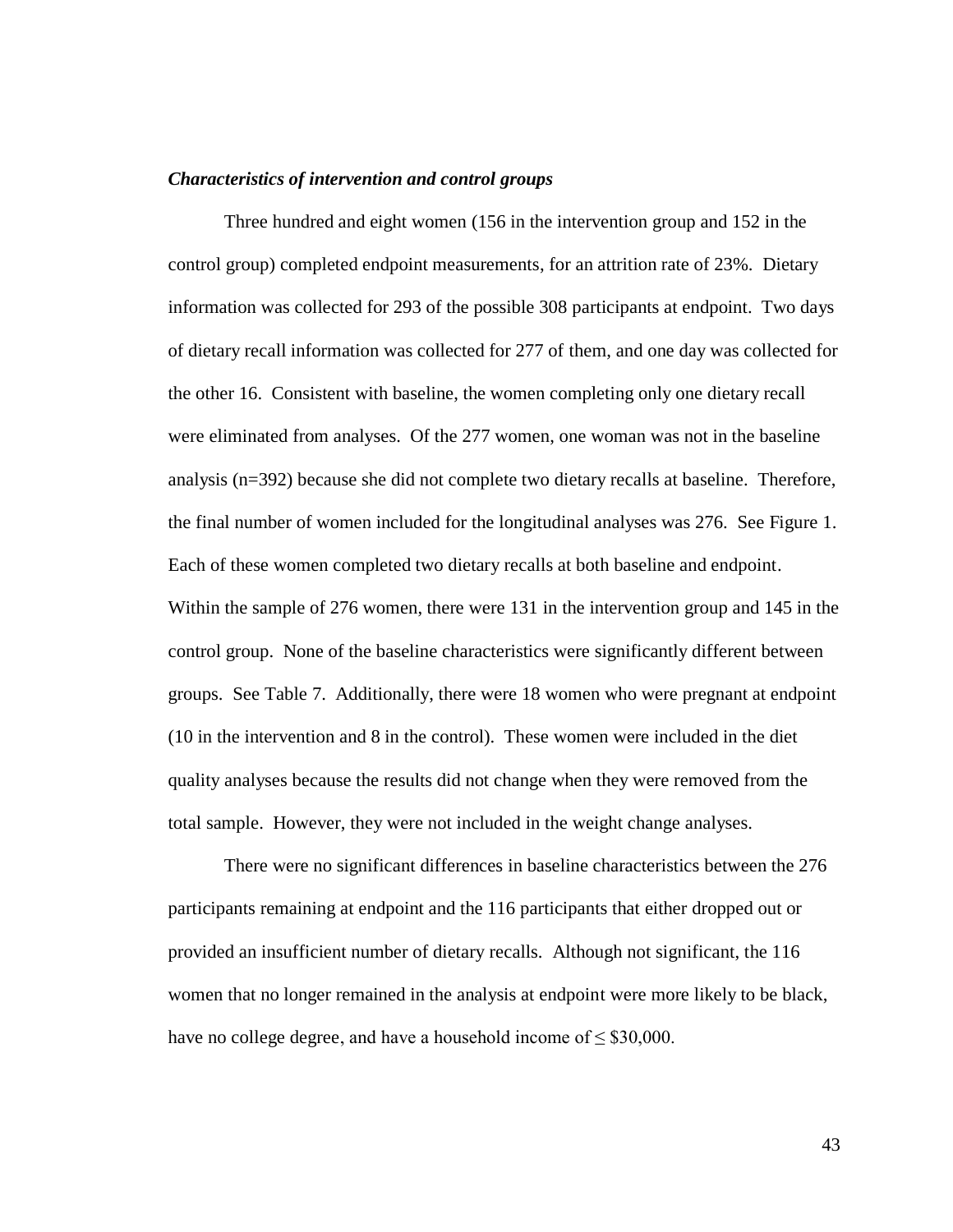#### *Characteristics of intervention and control groups*

Three hundred and eight women (156 in the intervention group and 152 in the control group) completed endpoint measurements, for an attrition rate of 23%. Dietary information was collected for 293 of the possible 308 participants at endpoint. Two days of dietary recall information was collected for 277 of them, and one day was collected for the other 16. Consistent with baseline, the women completing only one dietary recall were eliminated from analyses. Of the 277 women, one woman was not in the baseline analysis (n=392) because she did not complete two dietary recalls at baseline. Therefore, the final number of women included for the longitudinal analyses was 276. See Figure 1. Each of these women completed two dietary recalls at both baseline and endpoint. Within the sample of 276 women, there were 131 in the intervention group and 145 in the control group. None of the baseline characteristics were significantly different between groups. See Table 7. Additionally, there were 18 women who were pregnant at endpoint (10 in the intervention and 8 in the control). These women were included in the diet quality analyses because the results did not change when they were removed from the total sample. However, they were not included in the weight change analyses.

There were no significant differences in baseline characteristics between the 276 participants remaining at endpoint and the 116 participants that either dropped out or provided an insufficient number of dietary recalls. Although not significant, the 116 women that no longer remained in the analysis at endpoint were more likely to be black, have no college degree, and have a household income of  $\leq$  \$30,000.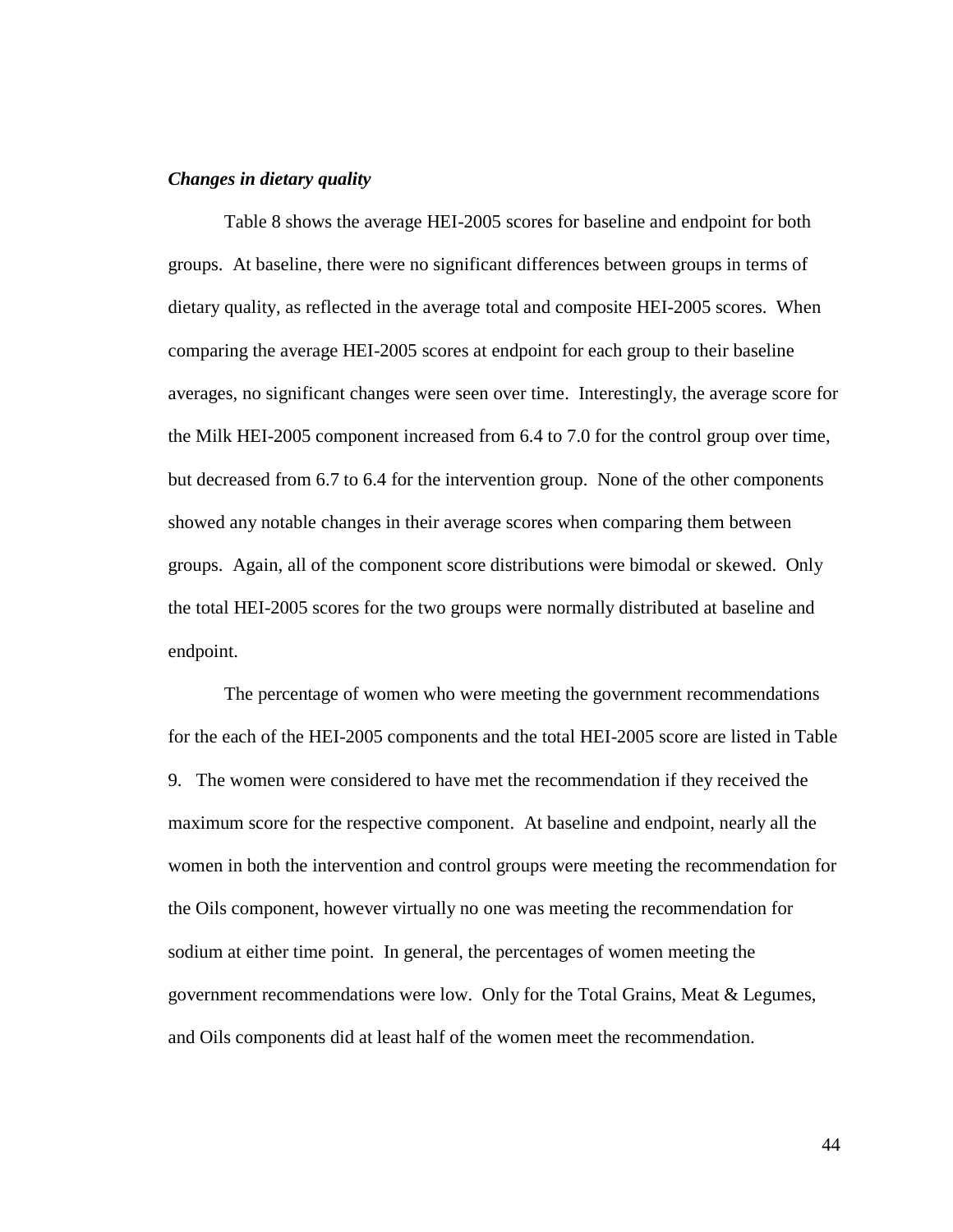### *Changes in dietary quality*

Table 8 shows the average HEI-2005 scores for baseline and endpoint for both groups. At baseline, there were no significant differences between groups in terms of dietary quality, as reflected in the average total and composite HEI-2005 scores. When comparing the average HEI-2005 scores at endpoint for each group to their baseline averages, no significant changes were seen over time. Interestingly, the average score for the Milk HEI-2005 component increased from 6.4 to 7.0 for the control group over time, but decreased from 6.7 to 6.4 for the intervention group. None of the other components showed any notable changes in their average scores when comparing them between groups. Again, all of the component score distributions were bimodal or skewed. Only the total HEI-2005 scores for the two groups were normally distributed at baseline and endpoint.

The percentage of women who were meeting the government recommendations for the each of the HEI-2005 components and the total HEI-2005 score are listed in Table 9. The women were considered to have met the recommendation if they received the maximum score for the respective component. At baseline and endpoint, nearly all the women in both the intervention and control groups were meeting the recommendation for the Oils component, however virtually no one was meeting the recommendation for sodium at either time point. In general, the percentages of women meeting the government recommendations were low. Only for the Total Grains, Meat & Legumes, and Oils components did at least half of the women meet the recommendation.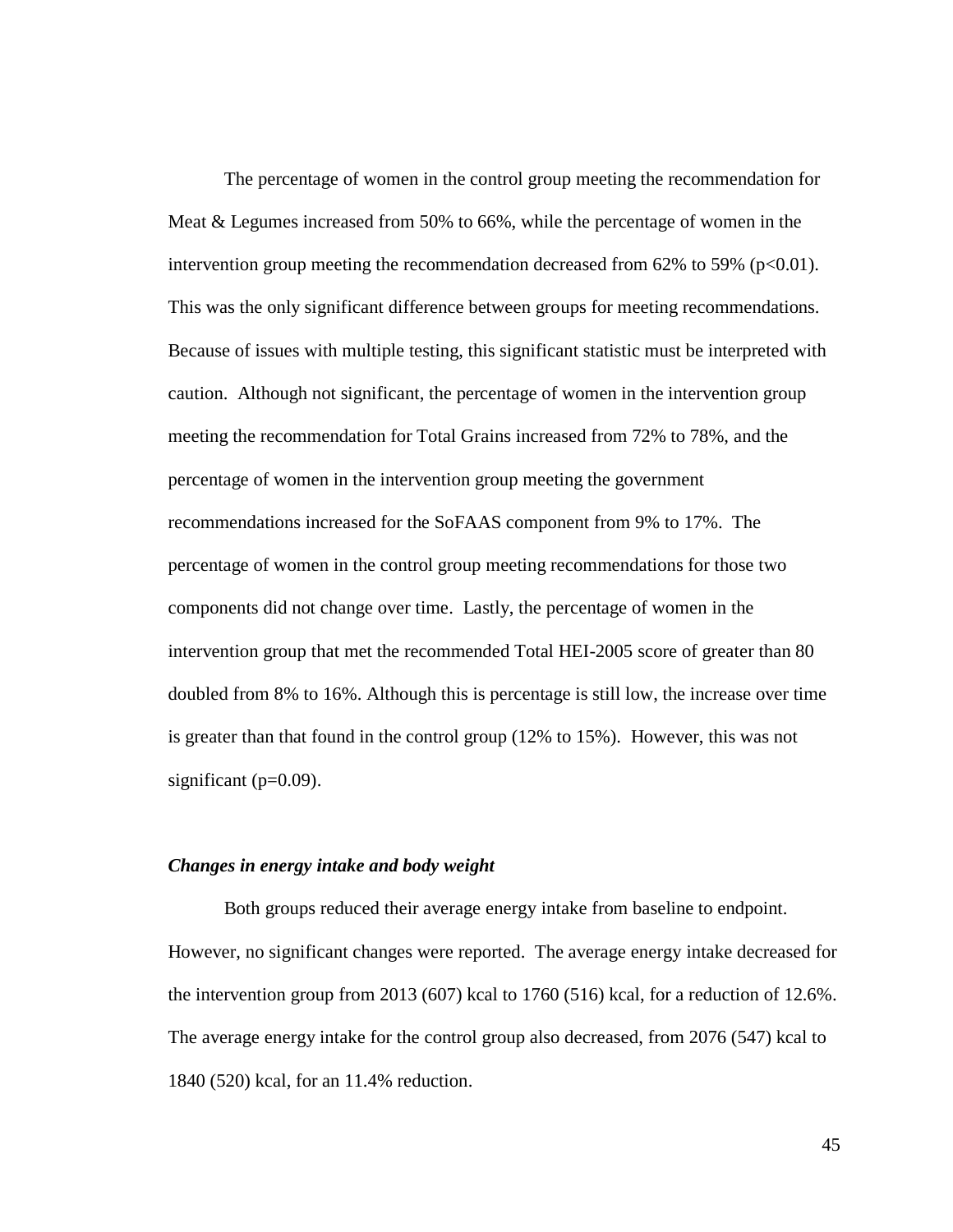The percentage of women in the control group meeting the recommendation for Meat & Legumes increased from 50% to 66%, while the percentage of women in the intervention group meeting the recommendation decreased from  $62\%$  to 59% ( $p<0.01$ ). This was the only significant difference between groups for meeting recommendations. Because of issues with multiple testing, this significant statistic must be interpreted with caution. Although not significant, the percentage of women in the intervention group meeting the recommendation for Total Grains increased from 72% to 78%, and the percentage of women in the intervention group meeting the government recommendations increased for the SoFAAS component from 9% to 17%. The percentage of women in the control group meeting recommendations for those two components did not change over time. Lastly, the percentage of women in the intervention group that met the recommended Total HEI-2005 score of greater than 80 doubled from 8% to 16%. Although this is percentage is still low, the increase over time is greater than that found in the control group (12% to 15%). However, this was not significant  $(p=0.09)$ .

### *Changes in energy intake and body weight*

Both groups reduced their average energy intake from baseline to endpoint. However, no significant changes were reported. The average energy intake decreased for the intervention group from 2013 (607) kcal to 1760 (516) kcal, for a reduction of 12.6%. The average energy intake for the control group also decreased, from 2076 (547) kcal to 1840 (520) kcal, for an 11.4% reduction.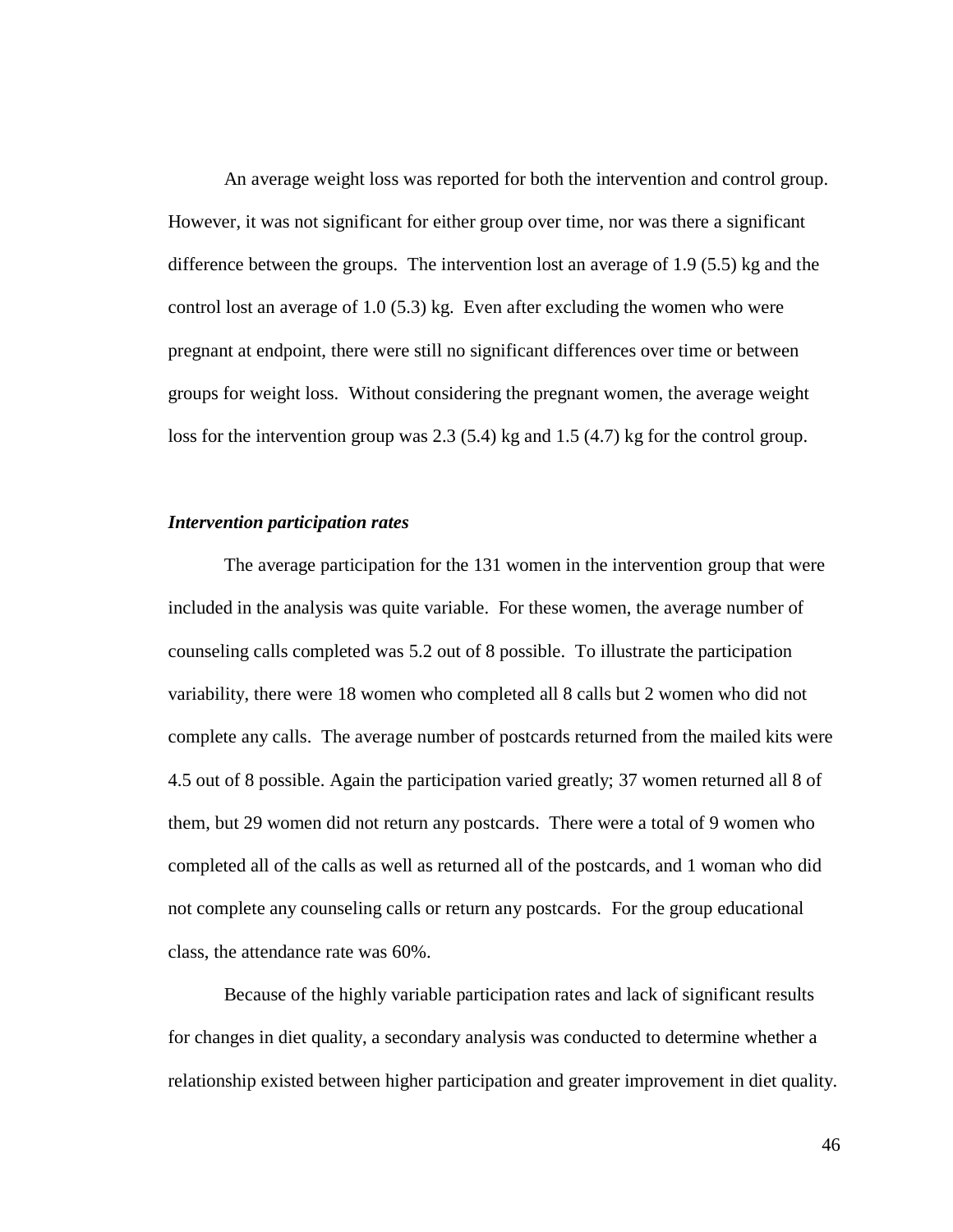An average weight loss was reported for both the intervention and control group. However, it was not significant for either group over time, nor was there a significant difference between the groups. The intervention lost an average of 1.9 (5.5) kg and the control lost an average of 1.0 (5.3) kg. Even after excluding the women who were pregnant at endpoint, there were still no significant differences over time or between groups for weight loss. Without considering the pregnant women, the average weight loss for the intervention group was 2.3 (5.4) kg and 1.5 (4.7) kg for the control group.

#### *Intervention participation rates*

The average participation for the 131 women in the intervention group that were included in the analysis was quite variable. For these women, the average number of counseling calls completed was 5.2 out of 8 possible. To illustrate the participation variability, there were 18 women who completed all 8 calls but 2 women who did not complete any calls. The average number of postcards returned from the mailed kits were 4.5 out of 8 possible. Again the participation varied greatly; 37 women returned all 8 of them, but 29 women did not return any postcards. There were a total of 9 women who completed all of the calls as well as returned all of the postcards, and 1 woman who did not complete any counseling calls or return any postcards. For the group educational class, the attendance rate was 60%.

Because of the highly variable participation rates and lack of significant results for changes in diet quality, a secondary analysis was conducted to determine whether a relationship existed between higher participation and greater improvement in diet quality.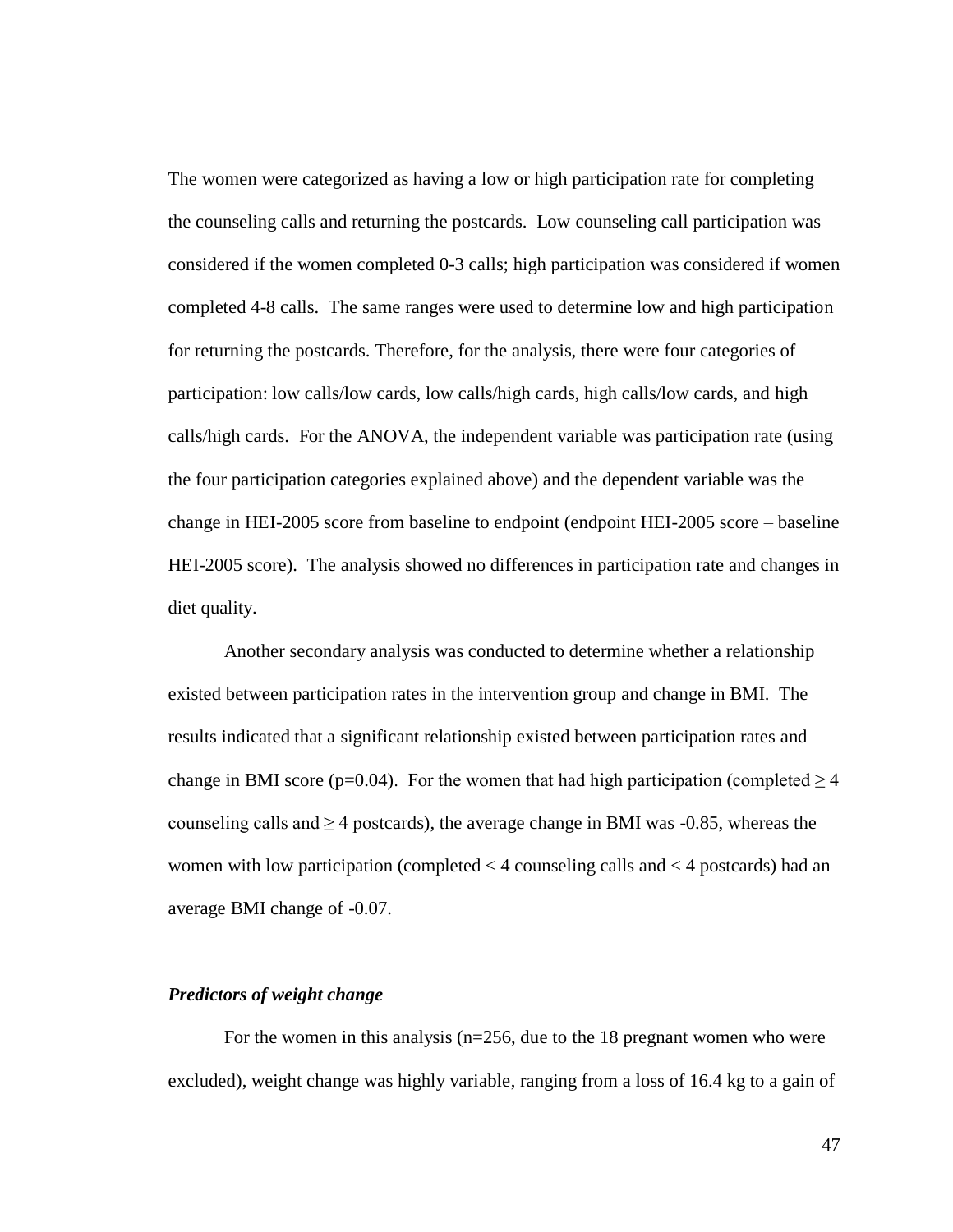The women were categorized as having a low or high participation rate for completing the counseling calls and returning the postcards. Low counseling call participation was considered if the women completed 0-3 calls; high participation was considered if women completed 4-8 calls. The same ranges were used to determine low and high participation for returning the postcards. Therefore, for the analysis, there were four categories of participation: low calls/low cards, low calls/high cards, high calls/low cards, and high calls/high cards. For the ANOVA, the independent variable was participation rate (using the four participation categories explained above) and the dependent variable was the change in HEI-2005 score from baseline to endpoint (endpoint HEI-2005 score – baseline HEI-2005 score). The analysis showed no differences in participation rate and changes in diet quality.

Another secondary analysis was conducted to determine whether a relationship existed between participation rates in the intervention group and change in BMI. The results indicated that a significant relationship existed between participation rates and change in BMI score (p=0.04). For the women that had high participation (completed  $\geq 4$ ) counseling calls and  $\geq$  4 postcards), the average change in BMI was -0.85, whereas the women with low participation (completed < 4 counseling calls and < 4 postcards) had an average BMI change of -0.07.

# *Predictors of weight change*

For the women in this analysis ( $n=256$ , due to the 18 pregnant women who were excluded), weight change was highly variable, ranging from a loss of 16.4 kg to a gain of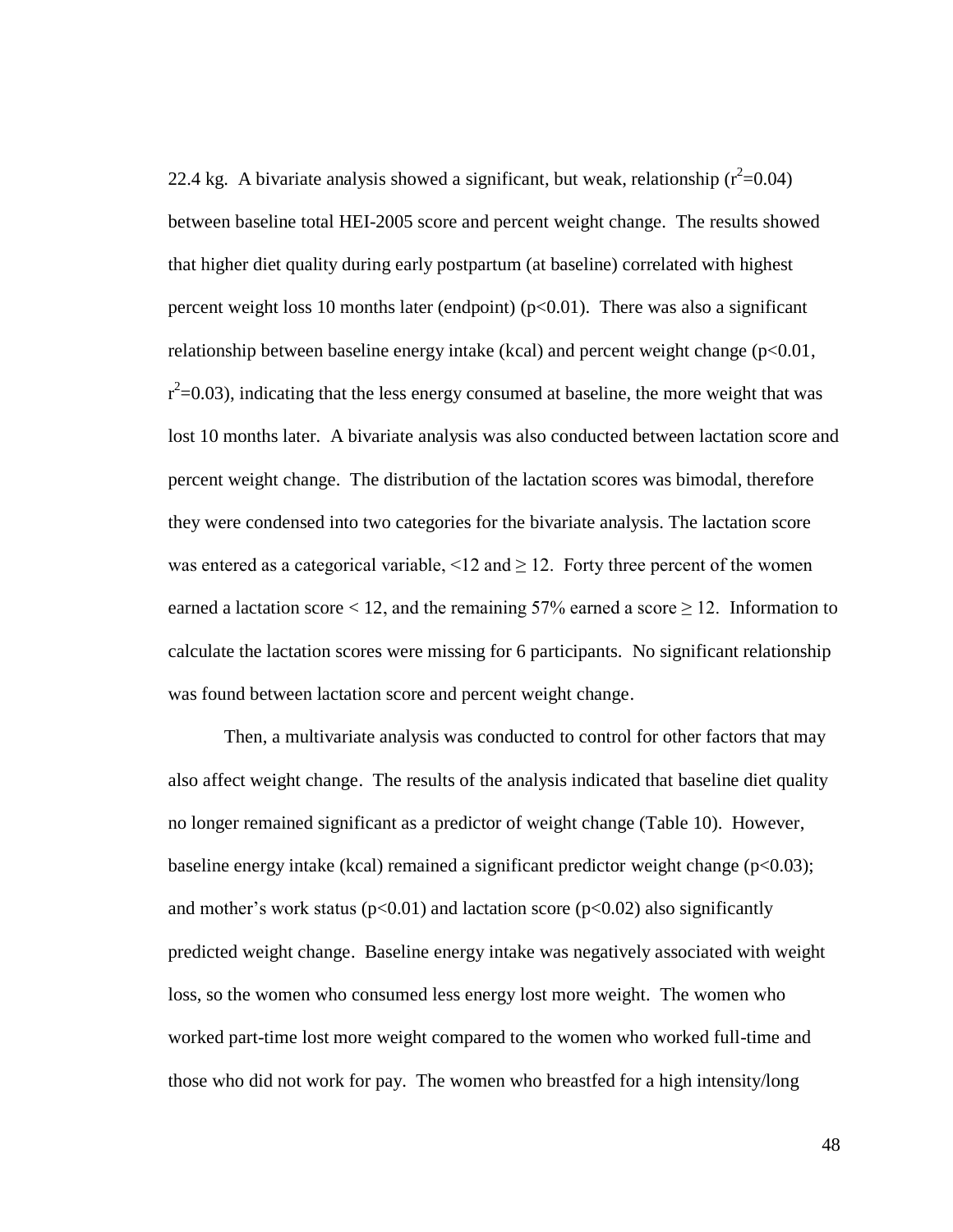22.4 kg. A bivariate analysis showed a significant, but weak, relationship  $(r^2=0.04)$ between baseline total HEI-2005 score and percent weight change. The results showed that higher diet quality during early postpartum (at baseline) correlated with highest percent weight loss 10 months later (endpoint)  $(p<0.01)$ . There was also a significant relationship between baseline energy intake (kcal) and percent weight change  $(p<0.01,$  $r^2$ =0.03), indicating that the less energy consumed at baseline, the more weight that was lost 10 months later. A bivariate analysis was also conducted between lactation score and percent weight change. The distribution of the lactation scores was bimodal, therefore they were condensed into two categories for the bivariate analysis. The lactation score was entered as a categorical variable, <12 and  $\geq$  12. Forty three percent of the women earned a lactation score < 12, and the remaining 57% earned a score  $\geq$  12. Information to calculate the lactation scores were missing for 6 participants. No significant relationship was found between lactation score and percent weight change.

Then, a multivariate analysis was conducted to control for other factors that may also affect weight change. The results of the analysis indicated that baseline diet quality no longer remained significant as a predictor of weight change (Table 10). However, baseline energy intake (kcal) remained a significant predictor weight change ( $p < 0.03$ ); and mother's work status ( $p<0.01$ ) and lactation score ( $p<0.02$ ) also significantly predicted weight change. Baseline energy intake was negatively associated with weight loss, so the women who consumed less energy lost more weight. The women who worked part-time lost more weight compared to the women who worked full-time and those who did not work for pay. The women who breastfed for a high intensity/long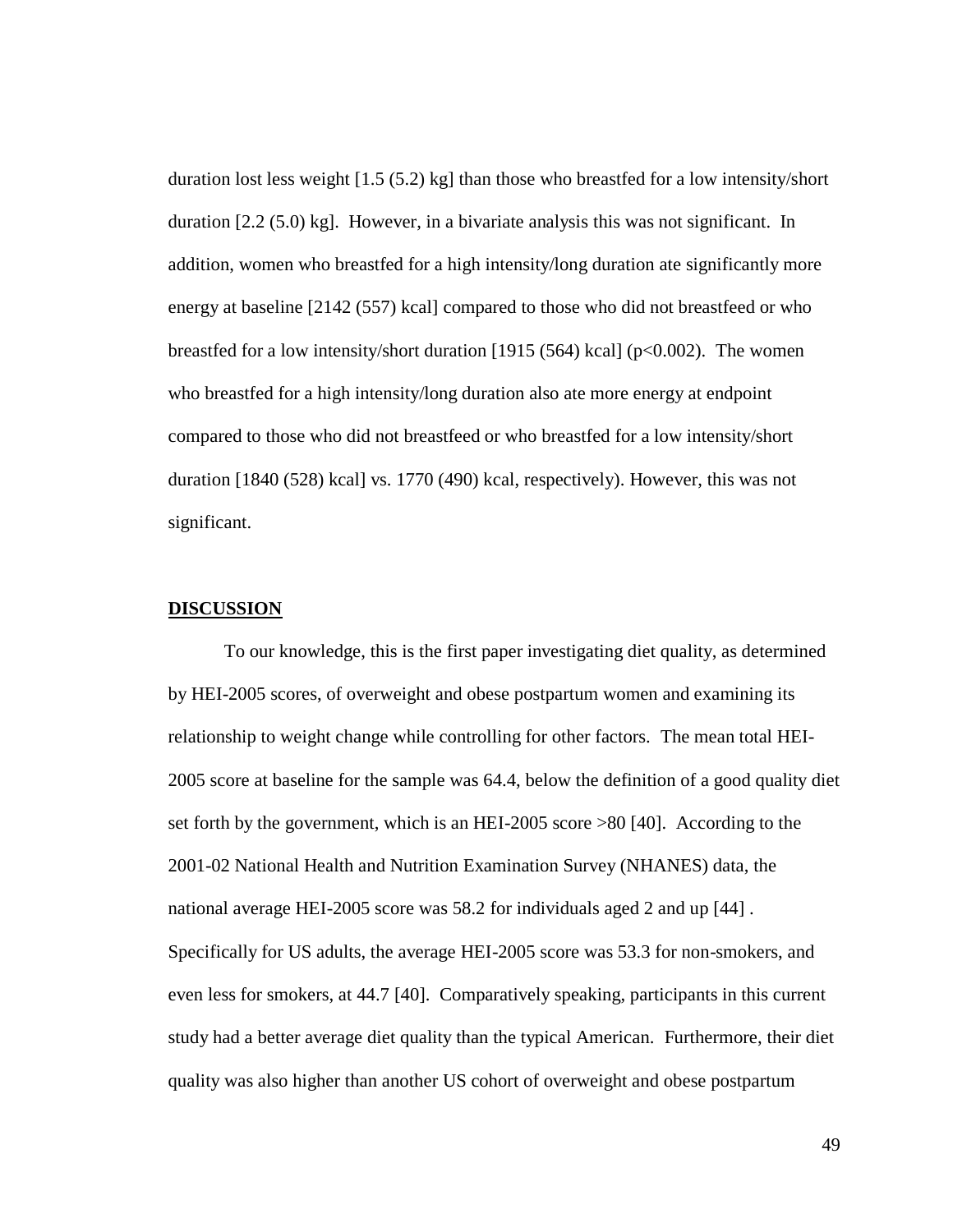duration lost less weight [1.5 (5.2) kg] than those who breastfed for a low intensity/short duration [2.2 (5.0) kg]. However, in a bivariate analysis this was not significant. In addition, women who breastfed for a high intensity/long duration ate significantly more energy at baseline [2142 (557) kcal] compared to those who did not breastfeed or who breastfed for a low intensity/short duration [1915 (564) kcal] ( $p<0.002$ ). The women who breastfed for a high intensity/long duration also ate more energy at endpoint compared to those who did not breastfeed or who breastfed for a low intensity/short duration [1840 (528) kcal] vs. 1770 (490) kcal, respectively). However, this was not significant.

#### **DISCUSSION**

To our knowledge, this is the first paper investigating diet quality, as determined by HEI-2005 scores, of overweight and obese postpartum women and examining its relationship to weight change while controlling for other factors. The mean total HEI-2005 score at baseline for the sample was 64.4, below the definition of a good quality diet set forth by the government, which is an HEI-2005 score >80 [40]. According to the 2001-02 National Health and Nutrition Examination Survey (NHANES) data, the national average HEI-2005 score was 58.2 for individuals aged 2 and up [44] . Specifically for US adults, the average HEI-2005 score was 53.3 for non-smokers, and even less for smokers, at 44.7 [40]. Comparatively speaking, participants in this current study had a better average diet quality than the typical American. Furthermore, their diet quality was also higher than another US cohort of overweight and obese postpartum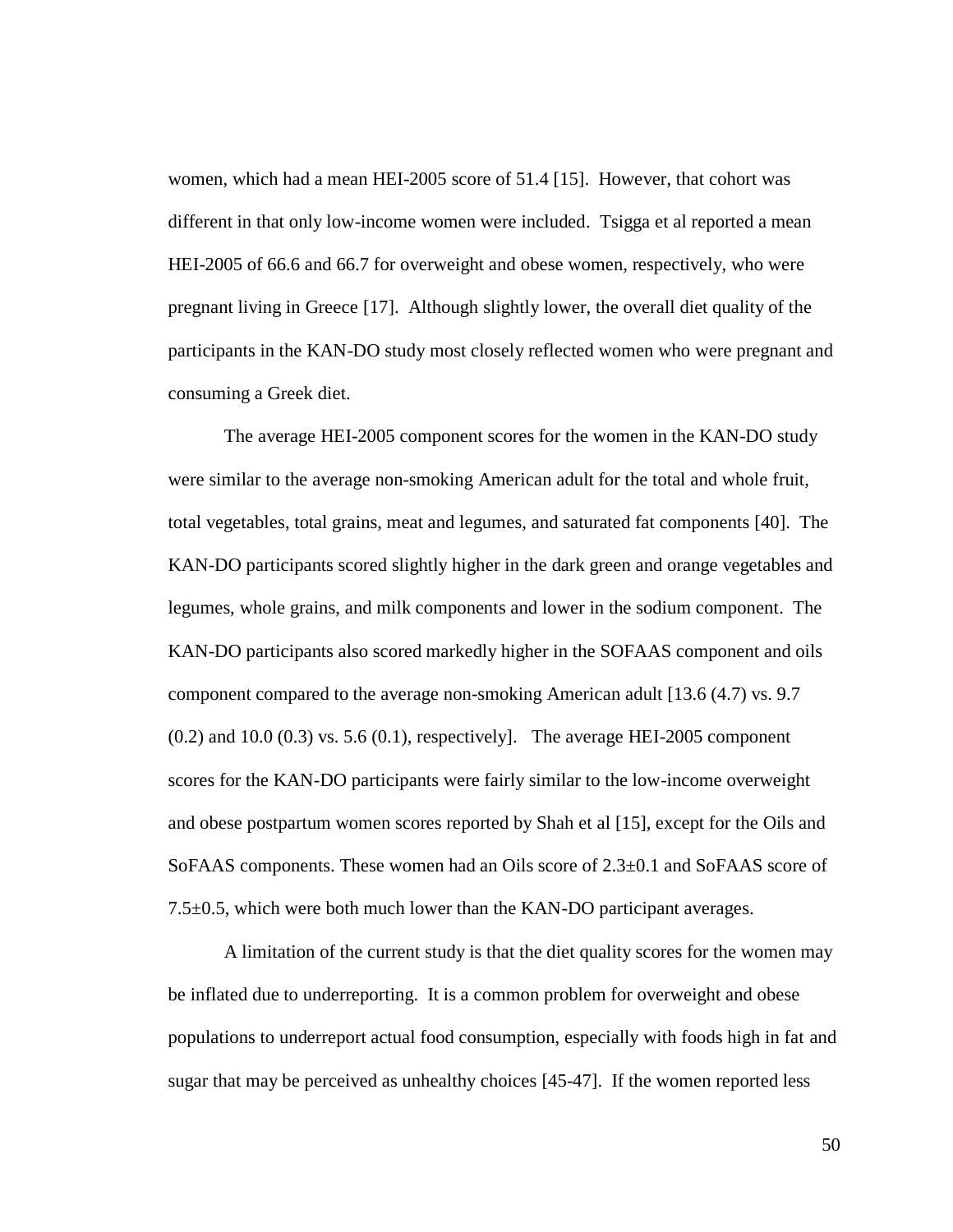women, which had a mean HEI-2005 score of 51.4 [15]. However, that cohort was different in that only low-income women were included. Tsigga et al reported a mean HEI-2005 of 66.6 and 66.7 for overweight and obese women, respectively, who were pregnant living in Greece [17]. Although slightly lower, the overall diet quality of the participants in the KAN-DO study most closely reflected women who were pregnant and consuming a Greek diet.

The average HEI-2005 component scores for the women in the KAN-DO study were similar to the average non-smoking American adult for the total and whole fruit, total vegetables, total grains, meat and legumes, and saturated fat components [40]. The KAN-DO participants scored slightly higher in the dark green and orange vegetables and legumes, whole grains, and milk components and lower in the sodium component. The KAN-DO participants also scored markedly higher in the SOFAAS component and oils component compared to the average non-smoking American adult [13.6 (4.7) vs. 9.7  $(0.2)$  and  $10.0$   $(0.3)$  vs. 5.6  $(0.1)$ , respectively]. The average HEI-2005 component scores for the KAN-DO participants were fairly similar to the low-income overweight and obese postpartum women scores reported by Shah et al [15], except for the Oils and SoFAAS components. These women had an Oils score of  $2.3\pm0.1$  and SoFAAS score of 7.5±0.5, which were both much lower than the KAN-DO participant averages.

A limitation of the current study is that the diet quality scores for the women may be inflated due to underreporting. It is a common problem for overweight and obese populations to underreport actual food consumption, especially with foods high in fat and sugar that may be perceived as unhealthy choices [45-47]. If the women reported less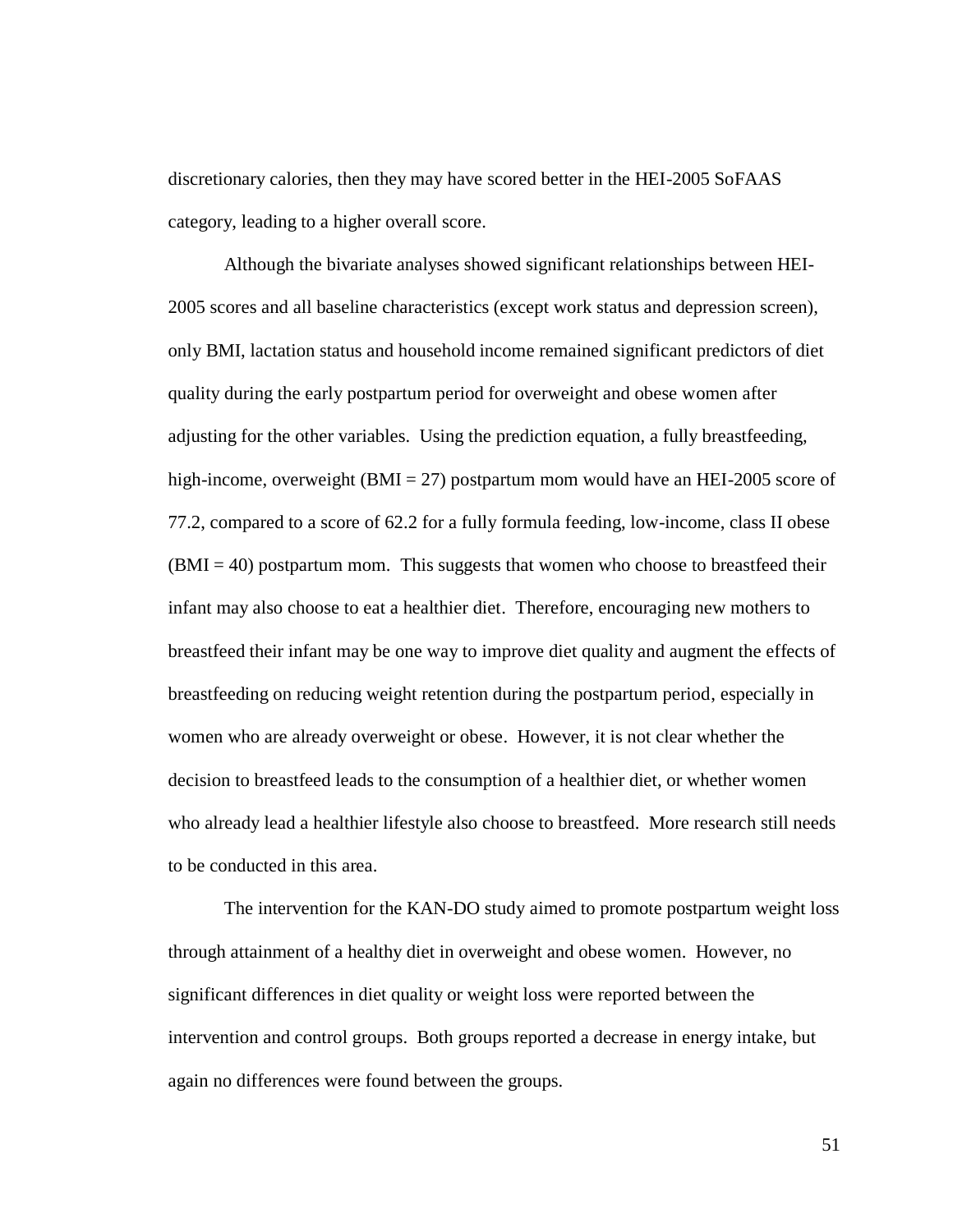discretionary calories, then they may have scored better in the HEI-2005 SoFAAS category, leading to a higher overall score.

Although the bivariate analyses showed significant relationships between HEI-2005 scores and all baseline characteristics (except work status and depression screen), only BMI, lactation status and household income remained significant predictors of diet quality during the early postpartum period for overweight and obese women after adjusting for the other variables. Using the prediction equation, a fully breastfeeding, high-income, overweight (BMI = 27) postpartum mom would have an HEI-2005 score of 77.2, compared to a score of 62.2 for a fully formula feeding, low-income, class II obese  $(BMI = 40)$  postpartum mom. This suggests that women who choose to breastfeed their infant may also choose to eat a healthier diet. Therefore, encouraging new mothers to breastfeed their infant may be one way to improve diet quality and augment the effects of breastfeeding on reducing weight retention during the postpartum period, especially in women who are already overweight or obese. However, it is not clear whether the decision to breastfeed leads to the consumption of a healthier diet, or whether women who already lead a healthier lifestyle also choose to breastfeed. More research still needs to be conducted in this area.

The intervention for the KAN-DO study aimed to promote postpartum weight loss through attainment of a healthy diet in overweight and obese women. However, no significant differences in diet quality or weight loss were reported between the intervention and control groups. Both groups reported a decrease in energy intake, but again no differences were found between the groups.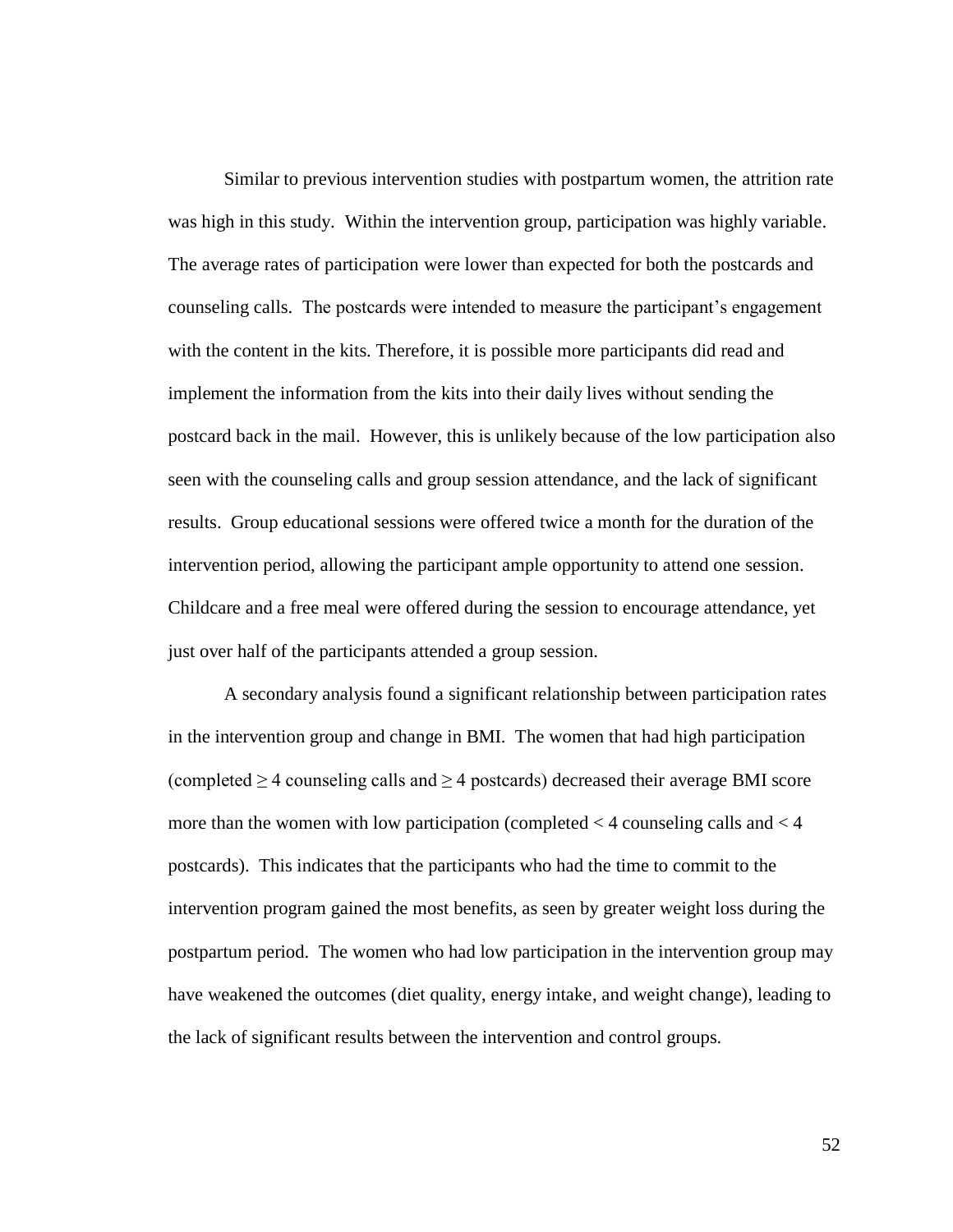Similar to previous intervention studies with postpartum women, the attrition rate was high in this study. Within the intervention group, participation was highly variable. The average rates of participation were lower than expected for both the postcards and counseling calls. The postcards were intended to measure the participant"s engagement with the content in the kits. Therefore, it is possible more participants did read and implement the information from the kits into their daily lives without sending the postcard back in the mail. However, this is unlikely because of the low participation also seen with the counseling calls and group session attendance, and the lack of significant results. Group educational sessions were offered twice a month for the duration of the intervention period, allowing the participant ample opportunity to attend one session. Childcare and a free meal were offered during the session to encourage attendance, yet just over half of the participants attended a group session.

A secondary analysis found a significant relationship between participation rates in the intervention group and change in BMI. The women that had high participation (completed  $\geq$  4 counseling calls and  $\geq$  4 postcards) decreased their average BMI score more than the women with low participation (completed  $<$  4 counseling calls and  $<$  4 postcards). This indicates that the participants who had the time to commit to the intervention program gained the most benefits, as seen by greater weight loss during the postpartum period. The women who had low participation in the intervention group may have weakened the outcomes (diet quality, energy intake, and weight change), leading to the lack of significant results between the intervention and control groups.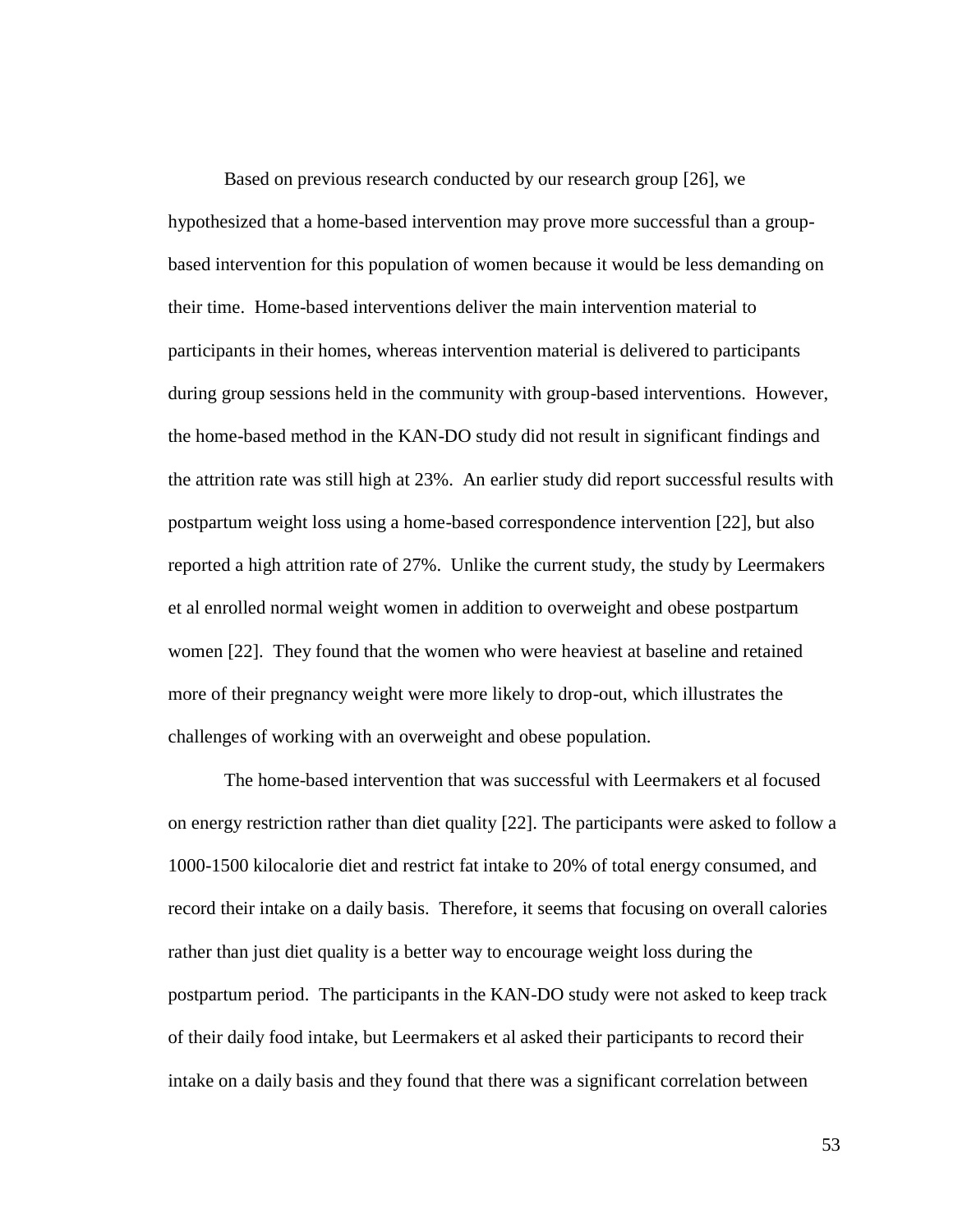Based on previous research conducted by our research group [26], we hypothesized that a home-based intervention may prove more successful than a groupbased intervention for this population of women because it would be less demanding on their time. Home-based interventions deliver the main intervention material to participants in their homes, whereas intervention material is delivered to participants during group sessions held in the community with group-based interventions. However, the home-based method in the KAN-DO study did not result in significant findings and the attrition rate was still high at 23%. An earlier study did report successful results with postpartum weight loss using a home-based correspondence intervention [22], but also reported a high attrition rate of 27%. Unlike the current study, the study by Leermakers et al enrolled normal weight women in addition to overweight and obese postpartum women [22]. They found that the women who were heaviest at baseline and retained more of their pregnancy weight were more likely to drop-out, which illustrates the challenges of working with an overweight and obese population.

The home-based intervention that was successful with Leermakers et al focused on energy restriction rather than diet quality [22]. The participants were asked to follow a 1000-1500 kilocalorie diet and restrict fat intake to 20% of total energy consumed, and record their intake on a daily basis. Therefore, it seems that focusing on overall calories rather than just diet quality is a better way to encourage weight loss during the postpartum period. The participants in the KAN-DO study were not asked to keep track of their daily food intake, but Leermakers et al asked their participants to record their intake on a daily basis and they found that there was a significant correlation between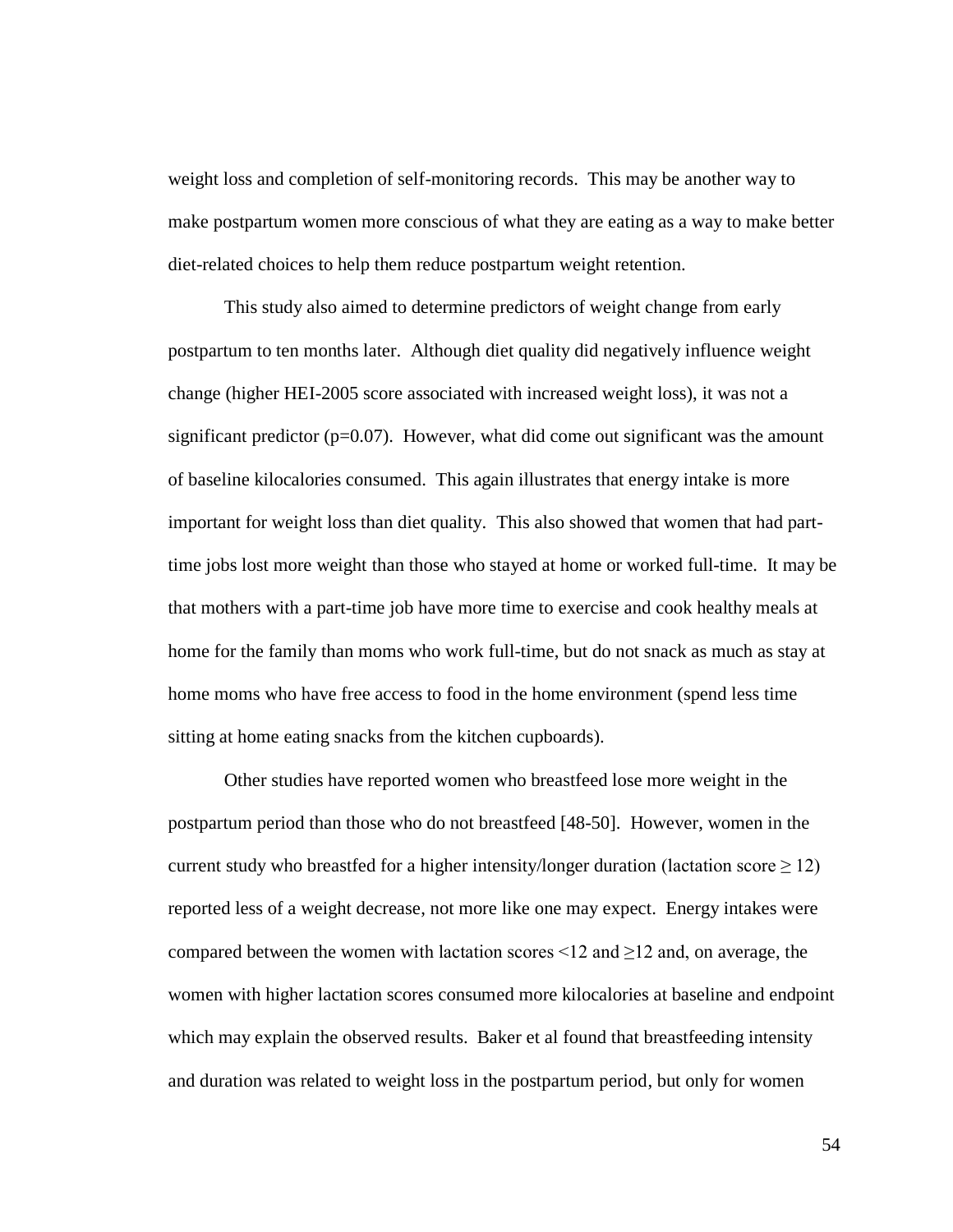weight loss and completion of self-monitoring records. This may be another way to make postpartum women more conscious of what they are eating as a way to make better diet-related choices to help them reduce postpartum weight retention.

This study also aimed to determine predictors of weight change from early postpartum to ten months later. Although diet quality did negatively influence weight change (higher HEI-2005 score associated with increased weight loss), it was not a significant predictor  $(p=0.07)$ . However, what did come out significant was the amount of baseline kilocalories consumed. This again illustrates that energy intake is more important for weight loss than diet quality. This also showed that women that had parttime jobs lost more weight than those who stayed at home or worked full-time. It may be that mothers with a part-time job have more time to exercise and cook healthy meals at home for the family than moms who work full-time, but do not snack as much as stay at home moms who have free access to food in the home environment (spend less time sitting at home eating snacks from the kitchen cupboards).

Other studies have reported women who breastfeed lose more weight in the postpartum period than those who do not breastfeed [48-50]. However, women in the current study who breastfed for a higher intensity/longer duration (lactation score  $\geq 12$ ) reported less of a weight decrease, not more like one may expect. Energy intakes were compared between the women with lactation scores  $\leq 12$  and  $\geq 12$  and, on average, the women with higher lactation scores consumed more kilocalories at baseline and endpoint which may explain the observed results. Baker et al found that breastfeeding intensity and duration was related to weight loss in the postpartum period, but only for women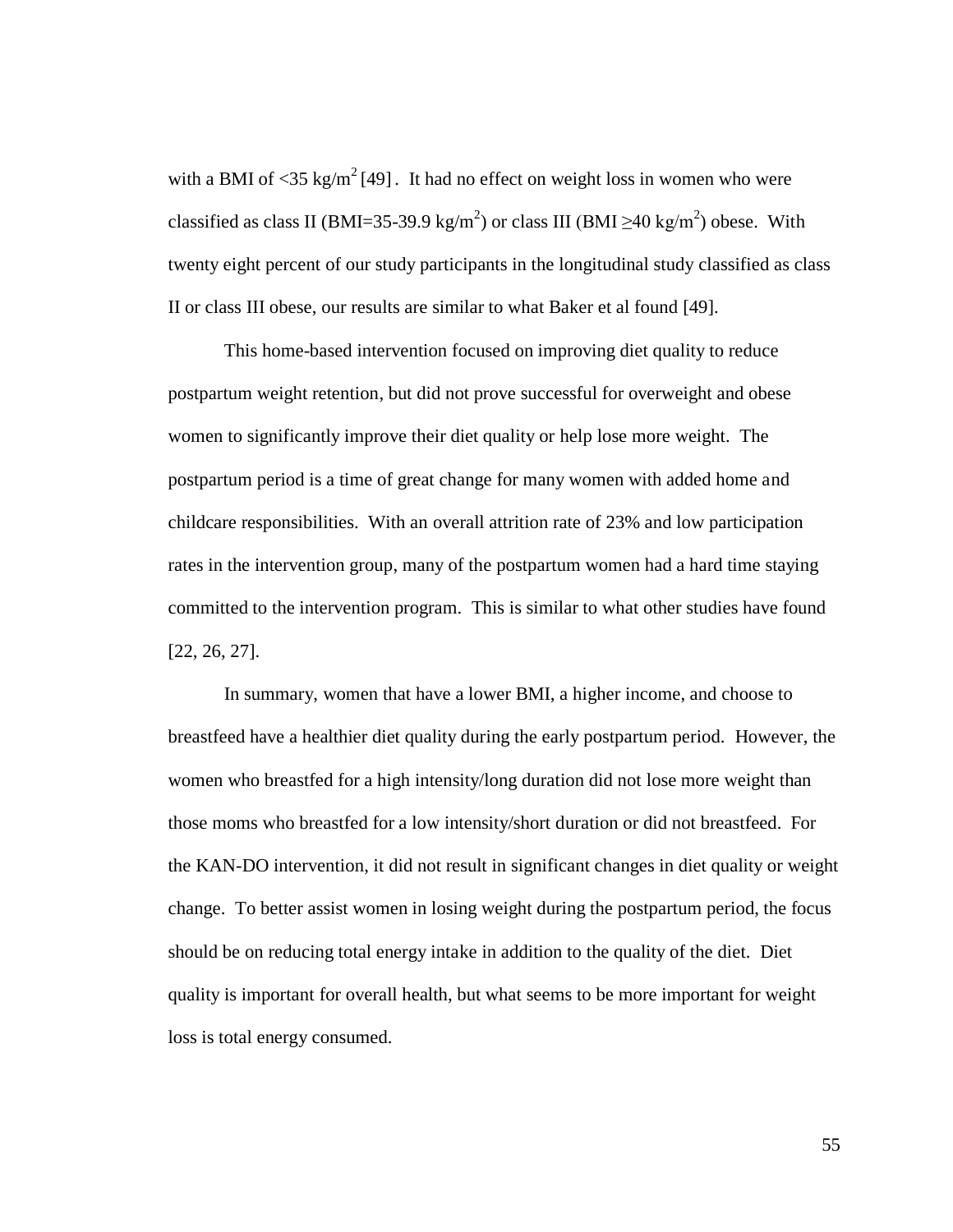with a BMI of  $\langle 35 \text{ kg/m}^2 [49]$ . It had no effect on weight loss in women who were classified as class II (BMI=35-39.9 kg/m<sup>2</sup>) or class III (BMI  $\geq$ 40 kg/m<sup>2</sup>) obese. With twenty eight percent of our study participants in the longitudinal study classified as class II or class III obese, our results are similar to what Baker et al found [49].

This home-based intervention focused on improving diet quality to reduce postpartum weight retention, but did not prove successful for overweight and obese women to significantly improve their diet quality or help lose more weight. The postpartum period is a time of great change for many women with added home and childcare responsibilities. With an overall attrition rate of 23% and low participation rates in the intervention group, many of the postpartum women had a hard time staying committed to the intervention program. This is similar to what other studies have found [22, 26, 27].

In summary, women that have a lower BMI, a higher income, and choose to breastfeed have a healthier diet quality during the early postpartum period. However, the women who breastfed for a high intensity/long duration did not lose more weight than those moms who breastfed for a low intensity/short duration or did not breastfeed. For the KAN-DO intervention, it did not result in significant changes in diet quality or weight change. To better assist women in losing weight during the postpartum period, the focus should be on reducing total energy intake in addition to the quality of the diet. Diet quality is important for overall health, but what seems to be more important for weight loss is total energy consumed.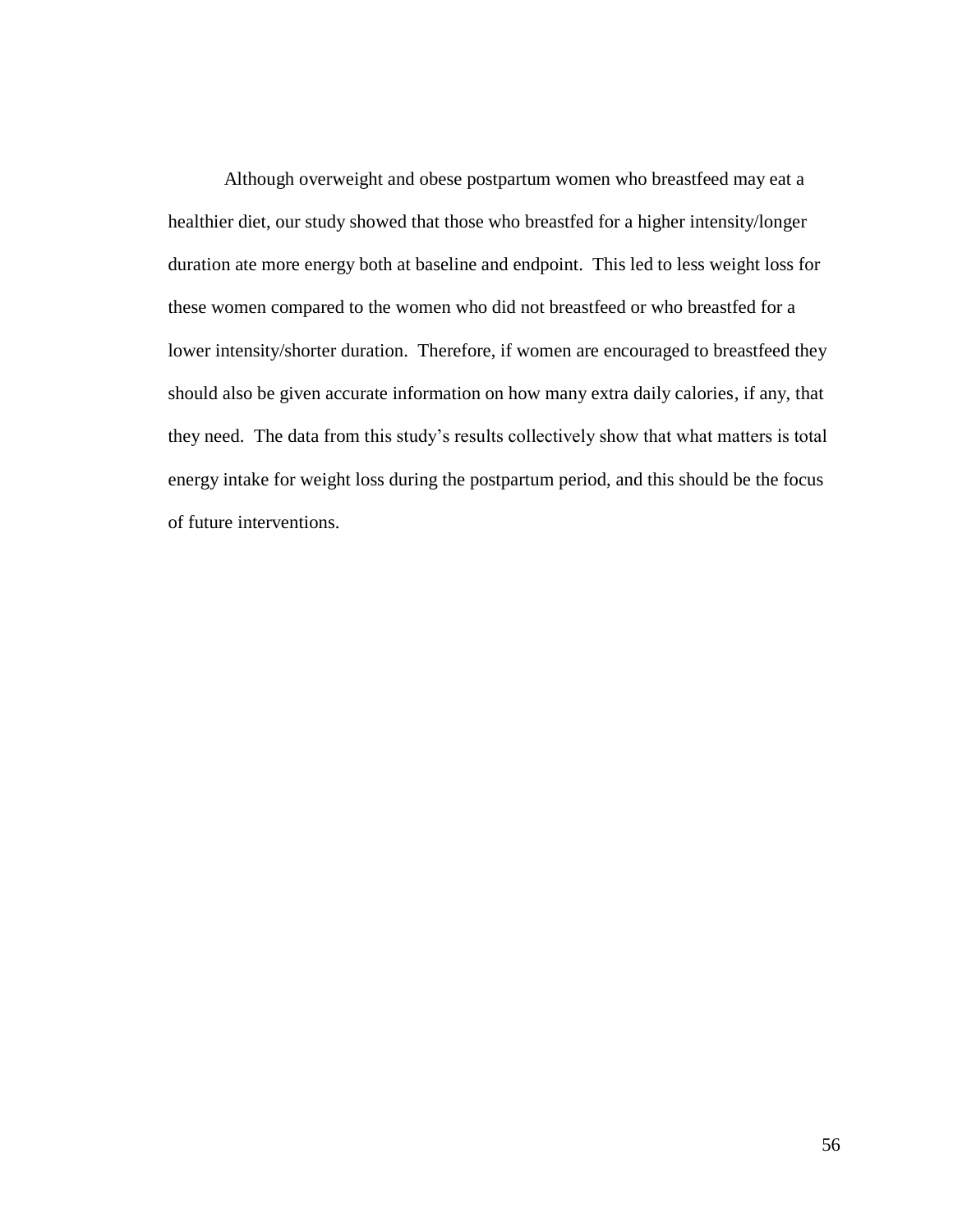Although overweight and obese postpartum women who breastfeed may eat a healthier diet, our study showed that those who breastfed for a higher intensity/longer duration ate more energy both at baseline and endpoint. This led to less weight loss for these women compared to the women who did not breastfeed or who breastfed for a lower intensity/shorter duration. Therefore, if women are encouraged to breastfeed they should also be given accurate information on how many extra daily calories, if any, that they need. The data from this study"s results collectively show that what matters is total energy intake for weight loss during the postpartum period, and this should be the focus of future interventions.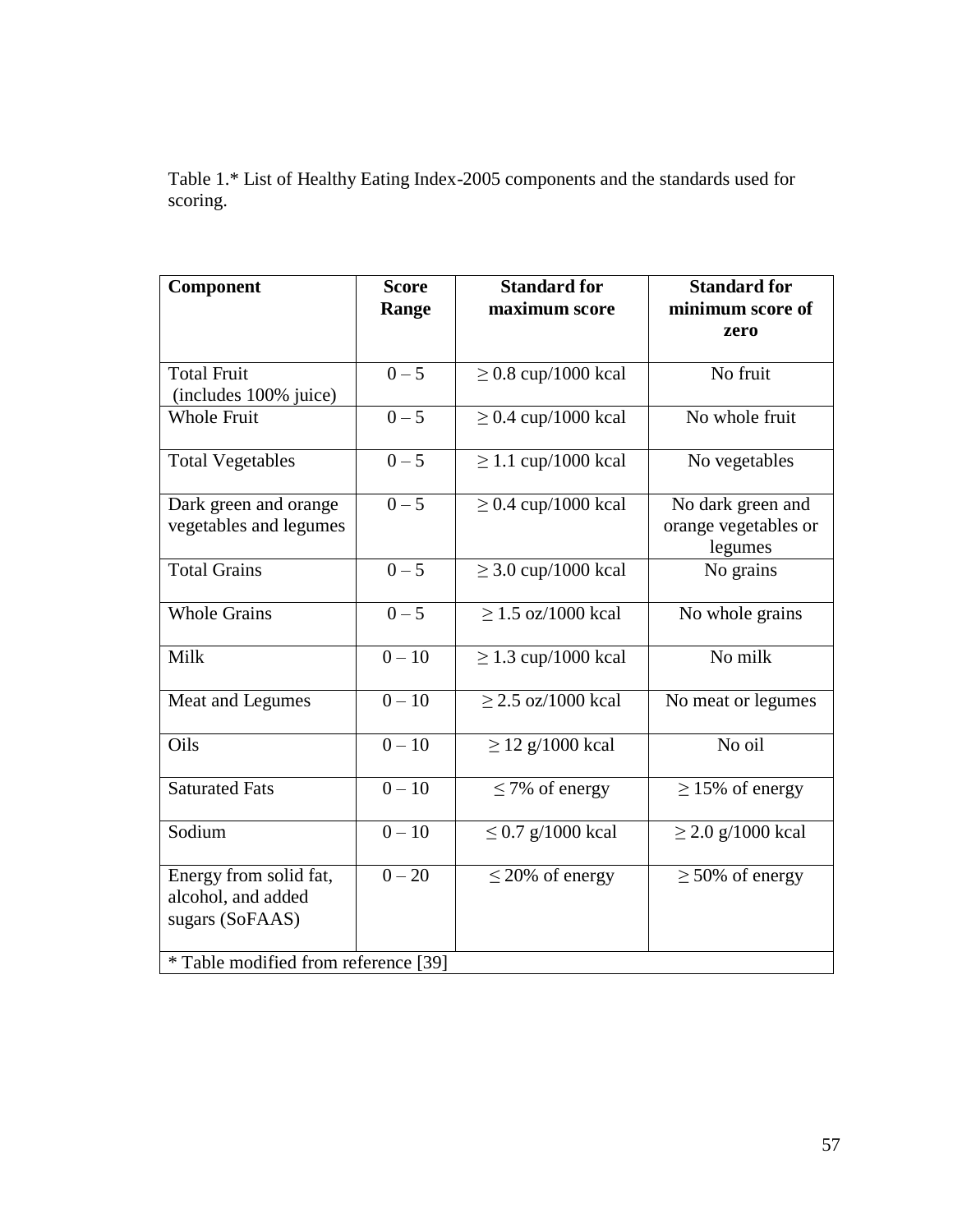Table 1.\* List of Healthy Eating Index-2005 components and the standards used for scoring.

| Component                                                       | <b>Score</b><br>Range | <b>Standard for</b><br>maximum score | <b>Standard for</b><br>minimum score of              |
|-----------------------------------------------------------------|-----------------------|--------------------------------------|------------------------------------------------------|
|                                                                 |                       |                                      | zero                                                 |
| <b>Total Fruit</b><br>(includes 100% juice)                     | $0 - 5$               | $\geq$ 0.8 cup/1000 kcal             | No fruit                                             |
| <b>Whole Fruit</b>                                              | $0 - 5$               | $\geq$ 0.4 cup/1000 kcal             | No whole fruit                                       |
| <b>Total Vegetables</b>                                         | $0 - 5$               | $\geq$ 1.1 cup/1000 kcal             | No vegetables                                        |
| Dark green and orange<br>vegetables and legumes                 | $0 - 5$               | $\geq$ 0.4 cup/1000 kcal             | No dark green and<br>orange vegetables or<br>legumes |
| <b>Total Grains</b>                                             | $0 - 5$               | $\geq$ 3.0 cup/1000 kcal             | No grains                                            |
| <b>Whole Grains</b>                                             | $0 - 5$               | $\geq$ 1.5 oz/1000 kcal              | No whole grains                                      |
| Milk                                                            | $0 - 10$              | $\geq$ 1.3 cup/1000 kcal             | No milk                                              |
| Meat and Legumes                                                | $0 - 10$              | $> 2.5$ oz/1000 kcal                 | No meat or legumes                                   |
| Oils                                                            | $0 - 10$              | $\geq$ 12 g/1000 kcal                | No oil                                               |
| <b>Saturated Fats</b>                                           | $0 - 10$              | $\leq$ 7% of energy                  | $\geq$ 15% of energy                                 |
| Sodium                                                          | $0 - 10$              | $\leq$ 0.7 g/1000 kcal               | $\geq$ 2.0 g/1000 kcal                               |
| Energy from solid fat,<br>alcohol, and added<br>sugars (SoFAAS) | $0 - 20$              | $\leq$ 20% of energy                 | $\geq 50\%$ of energy                                |
| * Table modified from reference [39]                            |                       |                                      |                                                      |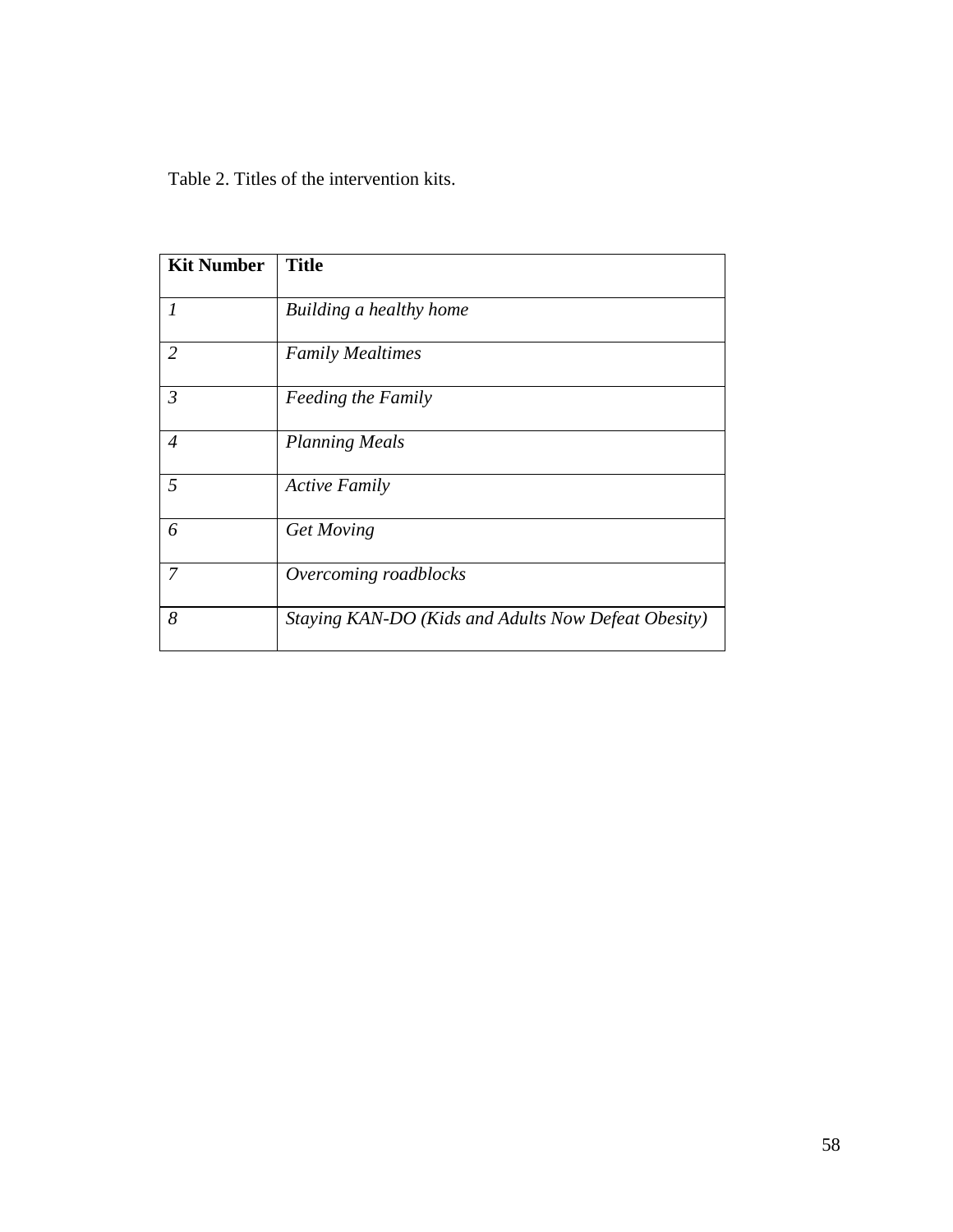Table 2. Titles of the intervention kits.

| <b>Kit Number</b> | <b>Title</b>                                        |
|-------------------|-----------------------------------------------------|
| $\mathcal{I}$     | Building a healthy home                             |
| $\overline{2}$    | <b>Family Mealtimes</b>                             |
| $\mathfrak{Z}$    | <b>Feeding the Family</b>                           |
| $\overline{4}$    | <b>Planning Meals</b>                               |
| 5                 | <b>Active Family</b>                                |
| 6                 | Get Moving                                          |
| 7                 | Overcoming roadblocks                               |
| 8                 | Staying KAN-DO (Kids and Adults Now Defeat Obesity) |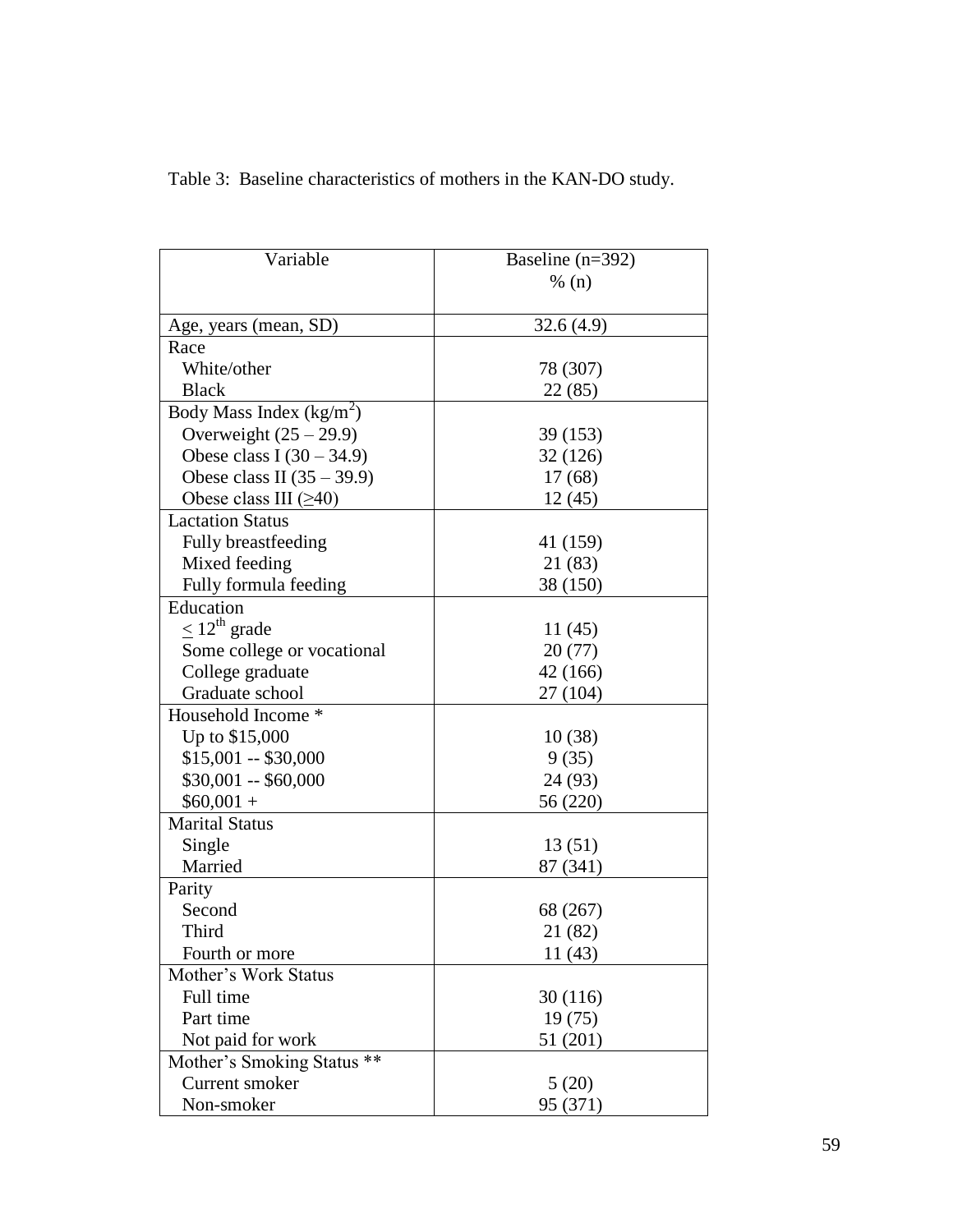| Variable                     | Baseline $(n=392)$ |
|------------------------------|--------------------|
|                              | % (n)              |
|                              |                    |
| Age, years (mean, SD)        | 32.6(4.9)          |
| Race                         |                    |
| White/other                  | 78 (307)           |
| <b>Black</b>                 | 22 (85)            |
| Body Mass Index $(kg/m^2)$   |                    |
| Overweight $(25 – 29.9)$     | 39 (153)           |
| Obese class I $(30 – 34.9)$  | 32 (126)           |
| Obese class II $(35 – 39.9)$ | 17(68)             |
| Obese class III $(\geq 40)$  | 12(45)             |
| <b>Lactation Status</b>      |                    |
| Fully breastfeeding          | 41 (159)           |
| Mixed feeding                | 21 (83)            |
| Fully formula feeding        | 38 (150)           |
| Education                    |                    |
| $\leq 12^{\text{th}}$ grade  | 11(45)             |
| Some college or vocational   | 20(77)             |
| College graduate             | 42 (166)           |
| Graduate school              | 27 (104)           |
| Household Income *           |                    |
| Up to \$15,000               | 10(38)             |
| $$15,001 - $30,000$          | 9(35)              |
| $$30,001 - $60,000$          | 24 (93)            |
| $$60,001 +$                  | 56 (220)           |
| <b>Marital Status</b>        |                    |
| Single                       | 13 (51)            |
| Married                      | 87 (341)           |
| Parity                       |                    |
| Second                       | 68 (267)           |
| Third                        | 21 (82)            |
| Fourth or more               | 11 (43)            |
| Mother's Work Status         |                    |
| Full time                    | 30 (116)           |
| Part time                    | 19(75)             |
| Not paid for work            | 51 (201)           |
| Mother's Smoking Status **   |                    |
| Current smoker               | 5(20)              |
| Non-smoker                   | 95 (371)           |

Table 3: Baseline characteristics of mothers in the KAN-DO study.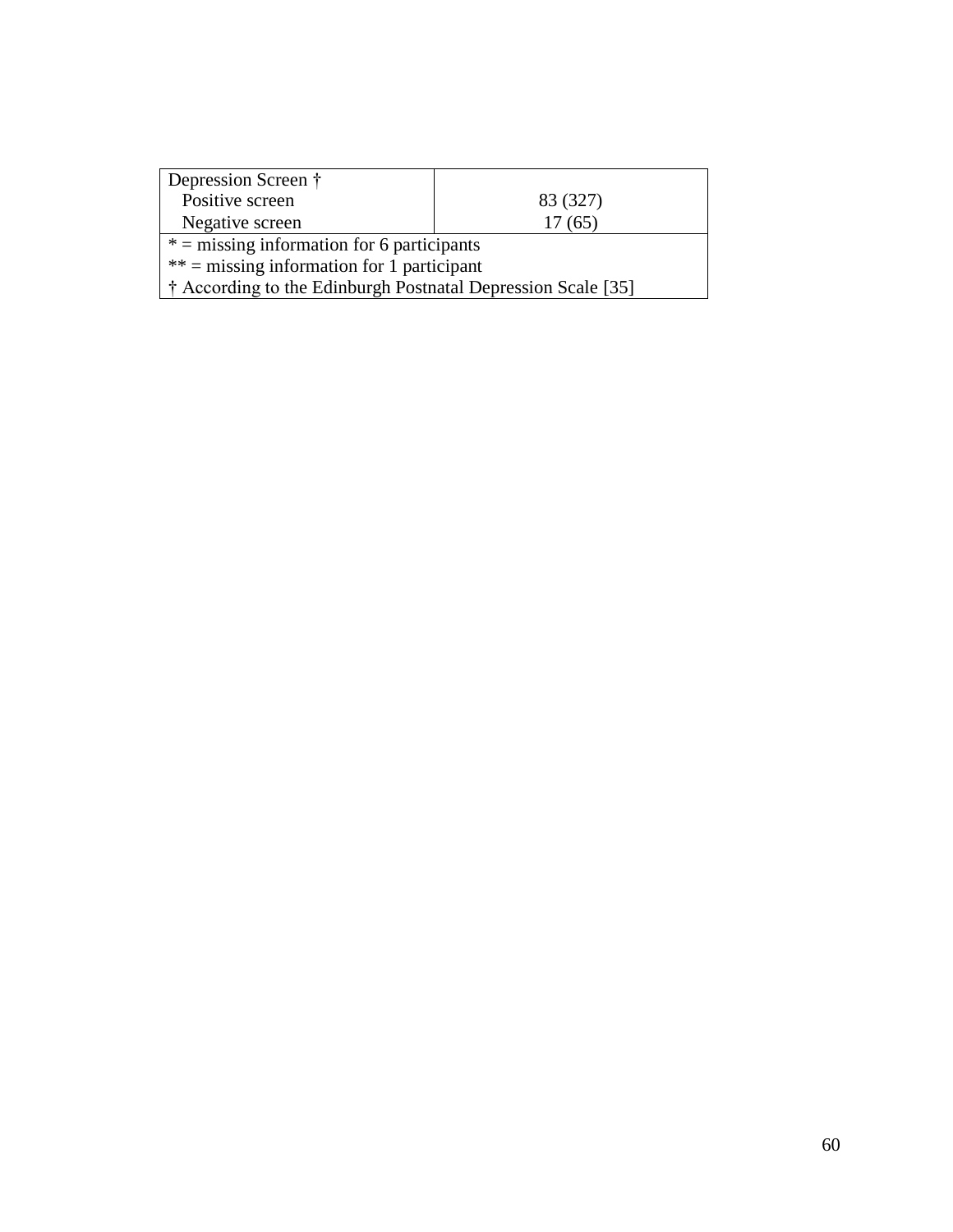| Depression Screen †                                          |          |  |
|--------------------------------------------------------------|----------|--|
| Positive screen                                              | 83 (327) |  |
| Negative screen                                              | 17(65)   |  |
| $* =$ missing information for 6 participants                 |          |  |
| $**$ = missing information for 1 participant                 |          |  |
| † According to the Edinburgh Postnatal Depression Scale [35] |          |  |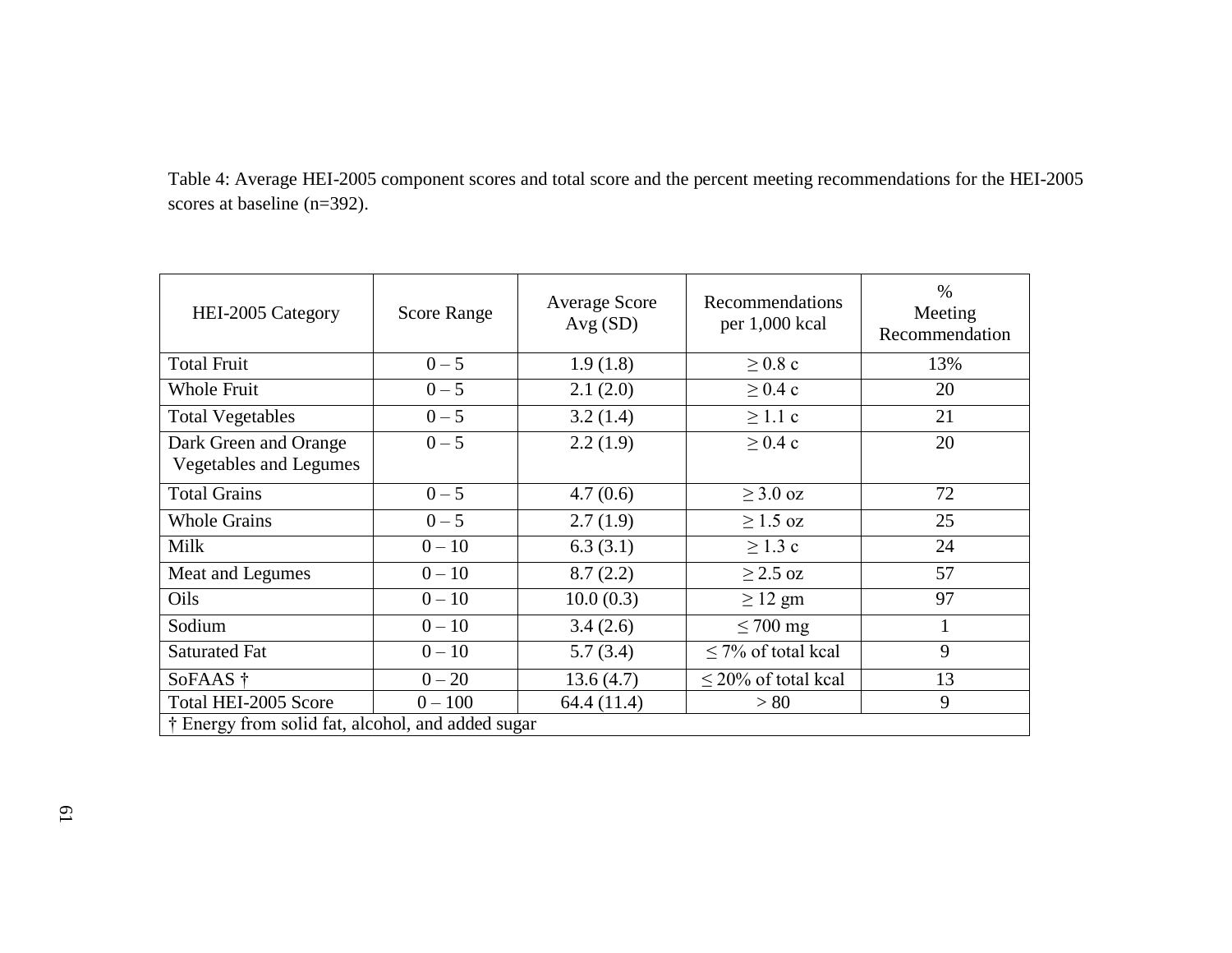|                                | Table 4: Average HEI-2005 component scores and total score and the percent meeting recommendations for the HEI-2005 |  |
|--------------------------------|---------------------------------------------------------------------------------------------------------------------|--|
| scores at baseline $(n=392)$ . |                                                                                                                     |  |

| HEI-2005 Category                                      | <b>Score Range</b> | <b>Average Score</b><br>Avg(SD) | Recommendations<br>per 1,000 kcal | $\%$<br>Meeting<br>Recommendation |
|--------------------------------------------------------|--------------------|---------------------------------|-----------------------------------|-----------------------------------|
| <b>Total Fruit</b>                                     | $0 - 5$            | 1.9(1.8)                        | $\geq 0.8$ c                      | 13%                               |
| Whole Fruit                                            | $0 - 5$            | 2.1(2.0)                        | $\geq$ 0.4 c                      | 20                                |
| <b>Total Vegetables</b>                                | $0 - 5$            | 3.2(1.4)                        | $\geq 1.1$ c                      | 21                                |
| Dark Green and Orange<br><b>Vegetables and Legumes</b> | $0 - 5$            | 2.2(1.9)                        | $\geq 0.4$ c                      | 20                                |
| <b>Total Grains</b>                                    | $0 - 5$            | 4.7(0.6)                        | $\geq$ 3.0 oz                     | 72                                |
| <b>Whole Grains</b>                                    | $0 - 5$            | 2.7(1.9)                        | $>1.5$ oz                         | 25                                |
| Milk                                                   | $0 - 10$           | 6.3(3.1)                        | $\geq$ 1.3 c                      | 24                                |
| Meat and Legumes                                       | $0 - 10$           | 8.7(2.2)                        | $\geq$ 2.5 oz                     | 57                                |
| Oils                                                   | $0 - 10$           | 10.0(0.3)                       | $\geq$ 12 gm                      | 97                                |
| Sodium                                                 | $0 - 10$           | 3.4(2.6)                        | $\leq 700$ mg                     |                                   |
| <b>Saturated Fat</b>                                   | $0 - 10$           | 5.7(3.4)                        | $\leq$ 7% of total kcal           | 9                                 |
| SoFAAS †                                               | $0 - 20$           | 13.6(4.7)                       | $\leq$ 20% of total kcal          | 13                                |
| Total HEI-2005 Score                                   | $0 - 100$          | 64.4 (11.4)                     | > 80                              | 9                                 |
| † Energy from solid fat, alcohol, and added sugar      |                    |                                 |                                   |                                   |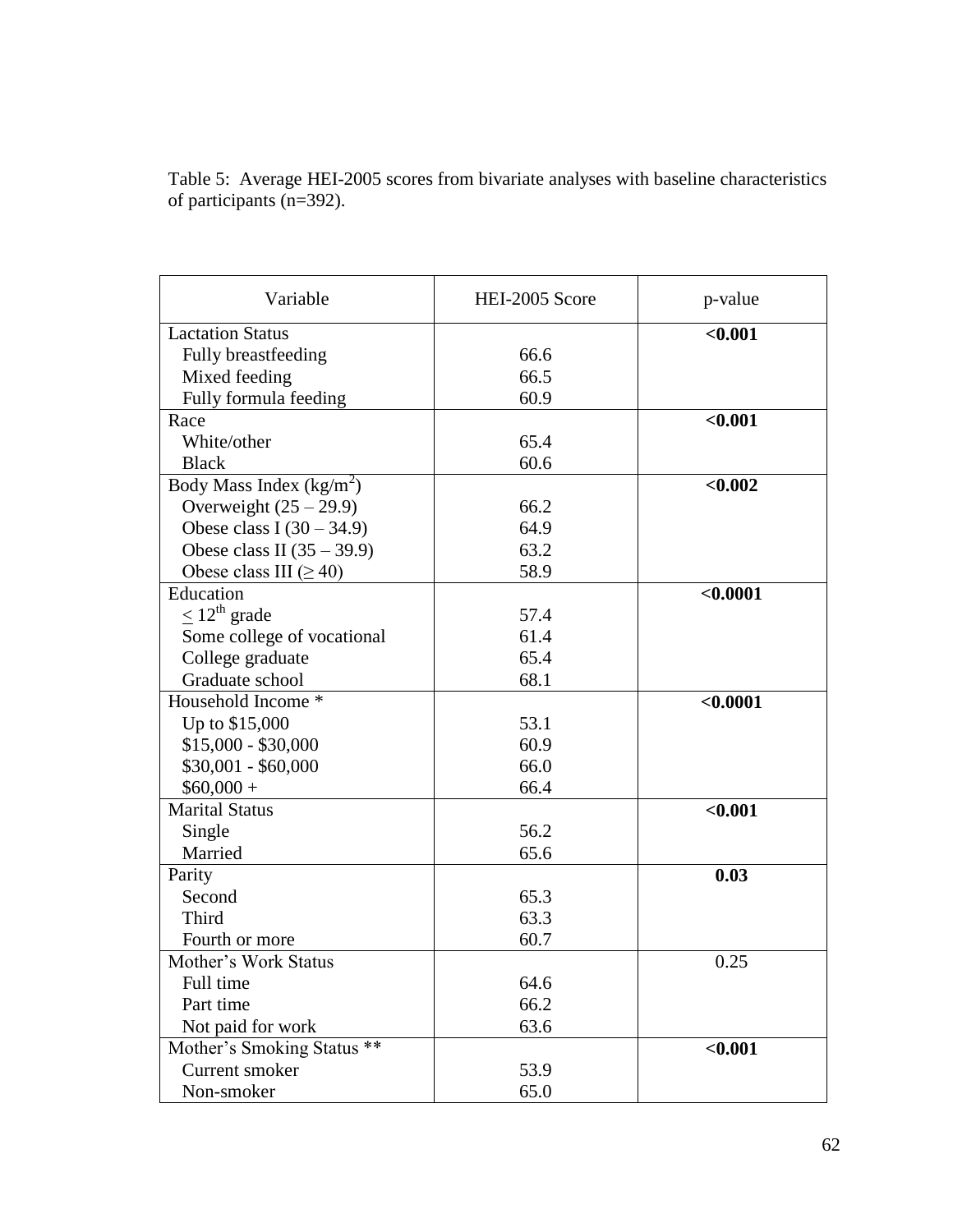Table 5: Average HEI-2005 scores from bivariate analyses with baseline characteristics of participants (n=392).

| Variable                     | HEI-2005 Score | p-value  |
|------------------------------|----------------|----------|
| <b>Lactation Status</b>      |                | < 0.001  |
| Fully breastfeeding          | 66.6           |          |
| Mixed feeding                | 66.5           |          |
| Fully formula feeding        | 60.9           |          |
| Race                         |                | < 0.001  |
| White/other                  | 65.4           |          |
| <b>Black</b>                 | 60.6           |          |
| Body Mass Index $(kg/m2)$    |                | < 0.002  |
| Overweight $(25 – 29.9)$     | 66.2           |          |
| Obese class I $(30 – 34.9)$  | 64.9           |          |
| Obese class II $(35 – 39.9)$ | 63.2           |          |
| Obese class III $(\geq 40)$  | 58.9           |          |
| Education                    |                | < 0.0001 |
| $\leq 12^{\text{th}}$ grade  | 57.4           |          |
| Some college of vocational   | 61.4           |          |
| College graduate             | 65.4           |          |
| Graduate school              | 68.1           |          |
| Household Income *           |                | < 0.0001 |
| Up to \$15,000               | 53.1           |          |
| $$15,000 - $30,000$          | 60.9           |          |
| $$30,001 - $60,000$          | 66.0           |          |
| $$60,000 +$                  | 66.4           |          |
| <b>Marital Status</b>        |                | < 0.001  |
| Single                       | 56.2           |          |
| Married                      | 65.6           |          |
| Parity                       |                | 0.03     |
| Second                       | 65.3           |          |
| Third                        | 63.3           |          |
| Fourth or more               | 60.7           |          |
| Mother's Work Status         |                | 0.25     |
| Full time                    | 64.6           |          |
| Part time                    | 66.2           |          |
| Not paid for work            | 63.6           |          |
| Mother's Smoking Status **   |                | < 0.001  |
| Current smoker               | 53.9           |          |
| Non-smoker                   | 65.0           |          |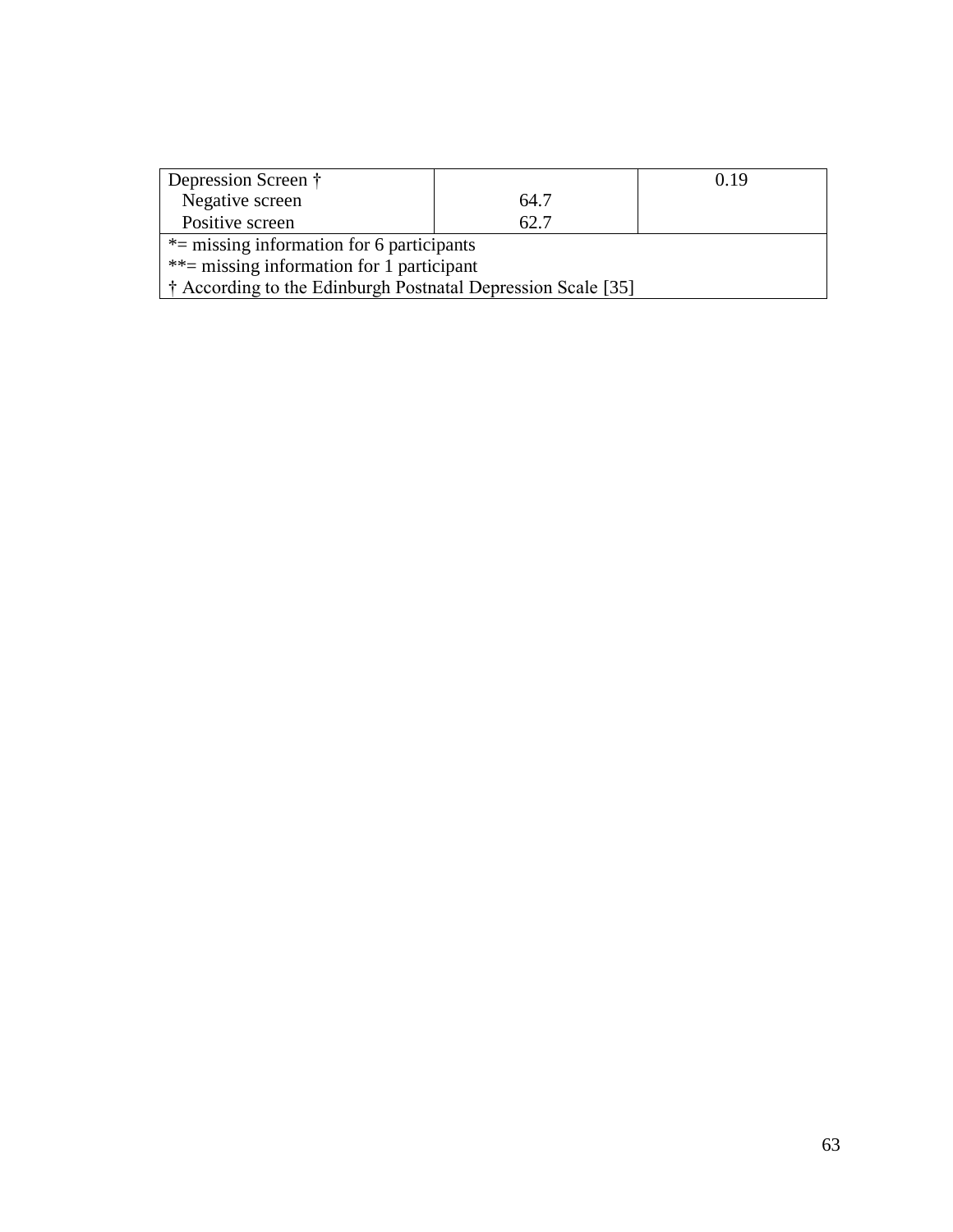| Depression Screen †                                          |      | 0.19 |  |
|--------------------------------------------------------------|------|------|--|
| Negative screen                                              | 64.7 |      |  |
| Positive screen                                              | 62.7 |      |  |
| $*$ = missing information for 6 participants                 |      |      |  |
| $**$ = missing information for 1 participant                 |      |      |  |
| † According to the Edinburgh Postnatal Depression Scale [35] |      |      |  |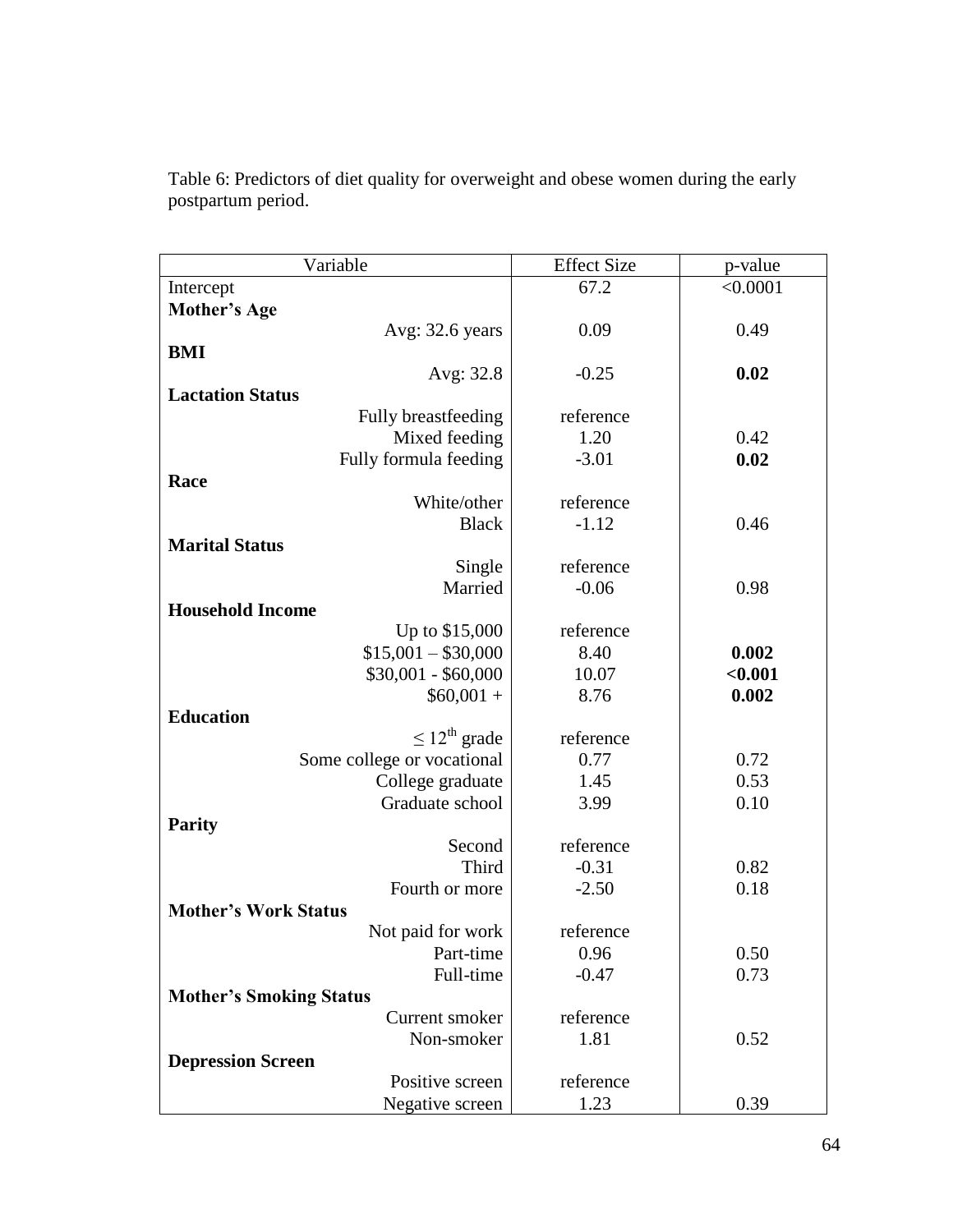| Variable                       | <b>Effect Size</b> | p-value  |
|--------------------------------|--------------------|----------|
| Intercept                      | 67.2               | < 0.0001 |
| <b>Mother's Age</b>            |                    |          |
| Avg: 32.6 years                | 0.09               | 0.49     |
| <b>BMI</b>                     |                    |          |
| Avg: 32.8                      | $-0.25$            | 0.02     |
| <b>Lactation Status</b>        |                    |          |
| Fully breastfeeding            | reference          |          |
| Mixed feeding                  | 1.20               | 0.42     |
| Fully formula feeding          | $-3.01$            | 0.02     |
| Race                           |                    |          |
| White/other                    | reference          |          |
| <b>Black</b>                   | $-1.12$            | 0.46     |
| <b>Marital Status</b>          |                    |          |
| Single                         | reference          |          |
| Married                        | $-0.06$            | 0.98     |
| <b>Household Income</b>        |                    |          |
| Up to \$15,000                 | reference          |          |
| $$15,001 - $30,000$            | 8.40               | 0.002    |
| $$30,001 - $60,000$            | 10.07              | < 0.001  |
| $$60,001 +$                    | 8.76               | 0.002    |
| <b>Education</b>               |                    |          |
| $\leq 12^{\text{th}}$ grade    | reference          |          |
| Some college or vocational     | 0.77               | 0.72     |
| College graduate               | 1.45               | 0.53     |
| Graduate school                | 3.99               | 0.10     |
| <b>Parity</b>                  |                    |          |
| Second                         | reference          |          |
| Third                          | $-0.31$            | 0.82     |
| Fourth or more                 | $-2.50$            | 0.18     |
| <b>Mother's Work Status</b>    |                    |          |
| Not paid for work              | reference          |          |
| Part-time                      | 0.96               | 0.50     |
| Full-time                      | $-0.47$            | 0.73     |
| <b>Mother's Smoking Status</b> |                    |          |
| Current smoker                 | reference          |          |
| Non-smoker                     | 1.81               | 0.52     |
| <b>Depression Screen</b>       |                    |          |
| Positive screen                | reference          |          |
| Negative screen                | 1.23               | 0.39     |

Table 6: Predictors of diet quality for overweight and obese women during the early postpartum period.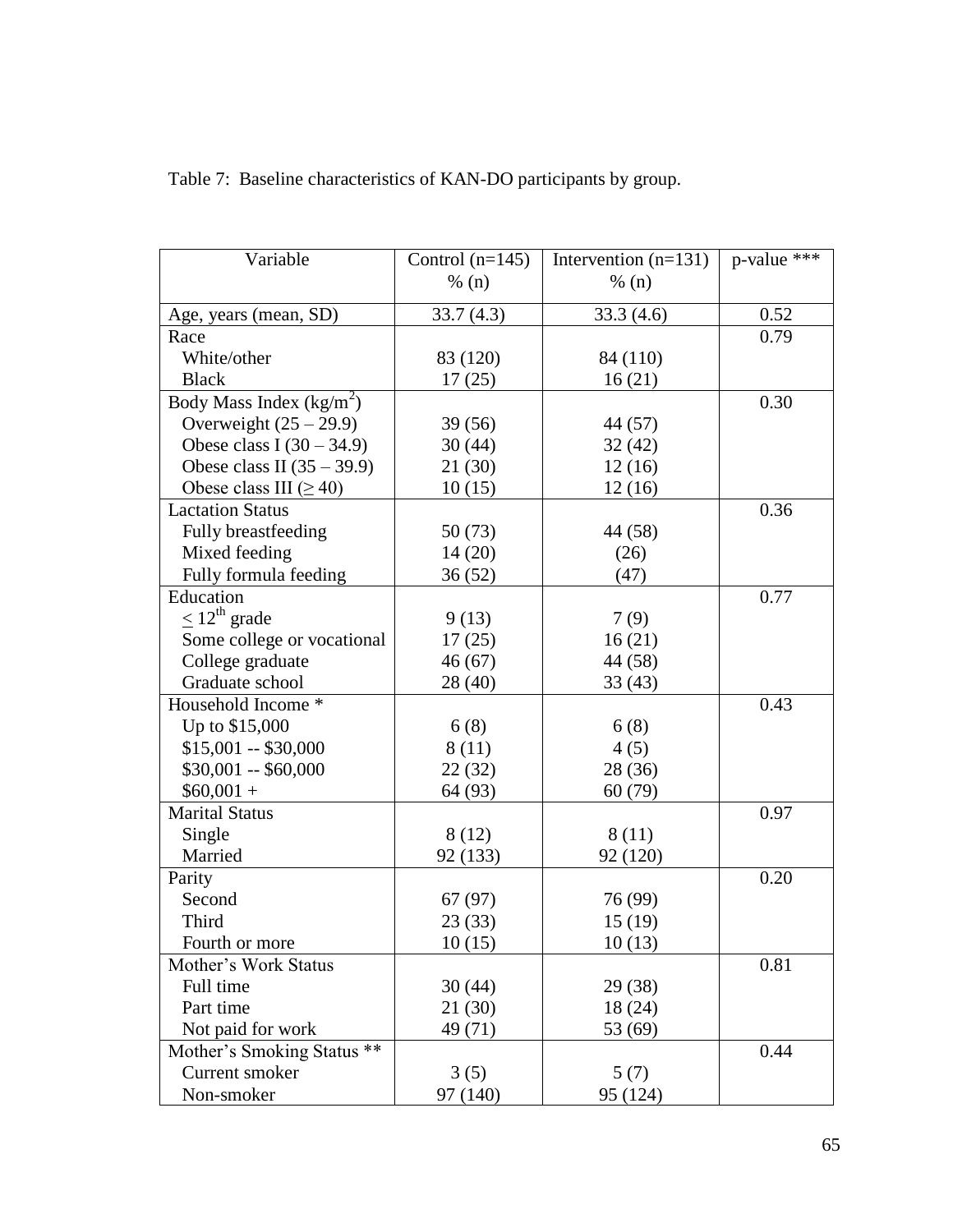| Variable                     | Control $(n=145)$ | Intervention $(n=131)$ | p-value *** |
|------------------------------|-------------------|------------------------|-------------|
|                              | % (n)             | % (n)                  |             |
|                              |                   |                        |             |
| Age, years (mean, SD)        | 33.7(4.3)         | 33.3(4.6)              | 0.52        |
| Race                         |                   |                        | 0.79        |
| White/other                  | 83 (120)          | 84 (110)               |             |
| <b>Black</b>                 | 17(25)            | 16(21)                 |             |
| Body Mass Index $(kg/m^2)$   |                   |                        | 0.30        |
| Overweight $(25 – 29.9)$     | 39(56)            | 44 (57)                |             |
| Obese class I $(30 – 34.9)$  | 30(44)            | 32(42)                 |             |
| Obese class II $(35 – 39.9)$ | 21(30)            | 12(16)                 |             |
| Obese class III ( $\geq$ 40) | 10(15)            | 12(16)                 |             |
| <b>Lactation Status</b>      |                   |                        | 0.36        |
| Fully breastfeeding          | 50(73)            | 44 (58)                |             |
| Mixed feeding                | 14(20)            | (26)                   |             |
| Fully formula feeding        | 36(52)            | (47)                   |             |
| Education                    |                   |                        | 0.77        |
| $\leq 12^{\text{th}}$ grade  | 9(13)             | 7(9)                   |             |
| Some college or vocational   | 17(25)            | 16(21)                 |             |
| College graduate             | 46(67)            | 44 (58)                |             |
| Graduate school              | 28 (40)           | 33(43)                 |             |
| Household Income *           |                   |                        | 0.43        |
| Up to \$15,000               | 6(8)              | 6(8)                   |             |
| $$15,001 - $30,000$          | 8 (11)            | 4(5)                   |             |
| $$30,001 - $60,000$          | 22(32)            | 28 (36)                |             |
| $$60,001 +$                  | 64 (93)           | 60(79)                 |             |
| <b>Marital Status</b>        |                   |                        | 0.97        |
| Single                       | 8(12)             | 8 (11)                 |             |
| Married                      | 92 (133)          | 92 (120)               |             |
| Parity                       |                   |                        | 0.20        |
| Second                       | 67(97)            | 76 (99)                |             |
| Third                        | 23(33)            | 15(19)                 |             |
| Fourth or more               | 10(15)            | 10(13)                 |             |
| Mother's Work Status         |                   |                        | 0.81        |
| Full time                    | 30(44)            | 29 (38)                |             |
| Part time                    | 21 (30)           | 18 (24)                |             |
| Not paid for work            | 49 (71)           | 53 (69)                |             |
| Mother's Smoking Status **   |                   |                        | 0.44        |
| Current smoker               | 3(5)              | 5(7)                   |             |
| Non-smoker                   | 97 (140)          | 95 (124)               |             |

Table 7: Baseline characteristics of KAN-DO participants by group.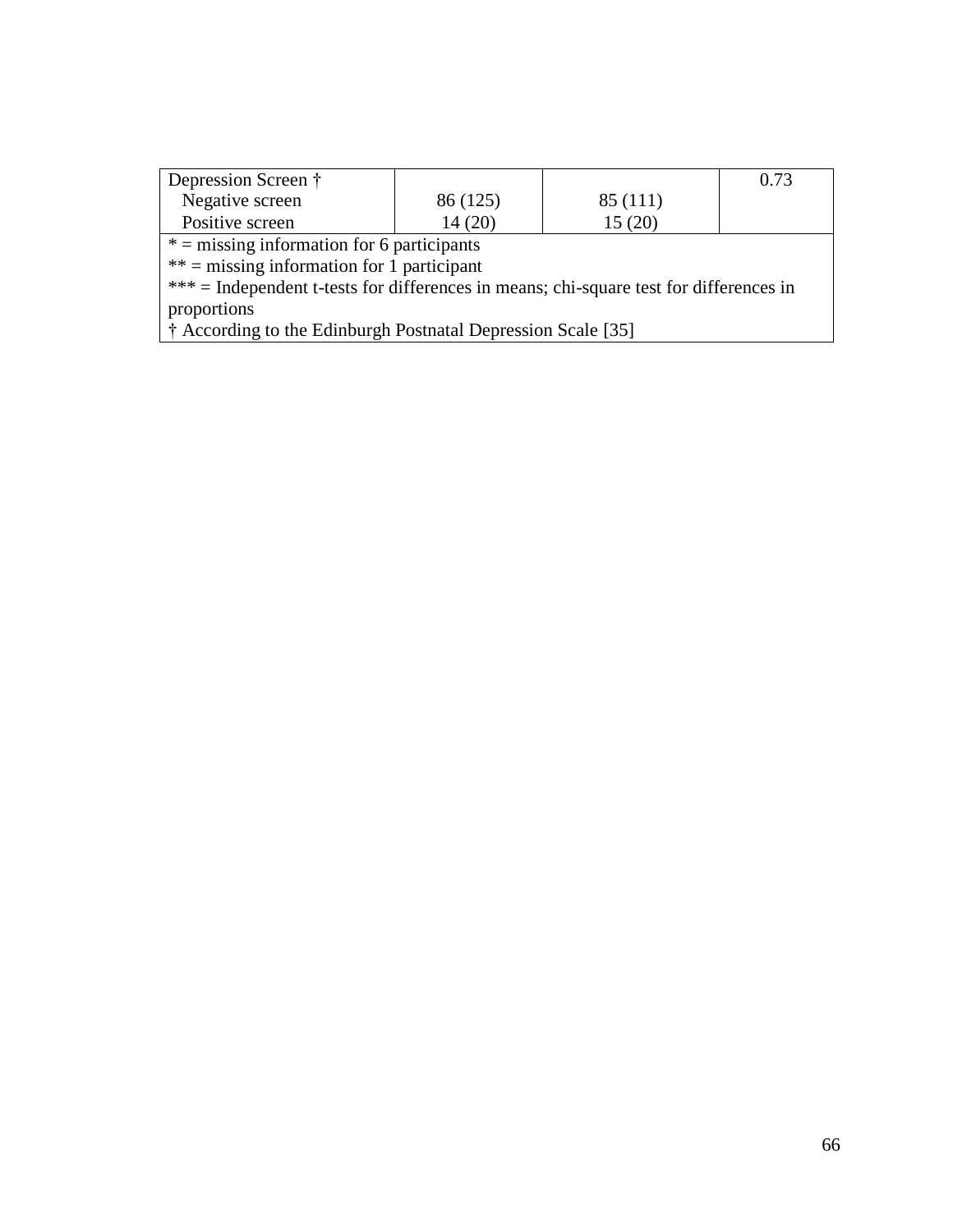| Depression Screen †                                                                      |          |          | 0.73 |  |
|------------------------------------------------------------------------------------------|----------|----------|------|--|
| Negative screen                                                                          | 86 (125) | 85 (111) |      |  |
| Positive screen                                                                          | 14(20)   | 15(20)   |      |  |
| $* =$ missing information for 6 participants                                             |          |          |      |  |
| $**$ = missing information for 1 participant                                             |          |          |      |  |
| $***$ = Independent t-tests for differences in means; chi-square test for differences in |          |          |      |  |
| proportions                                                                              |          |          |      |  |
| † According to the Edinburgh Postnatal Depression Scale [35]                             |          |          |      |  |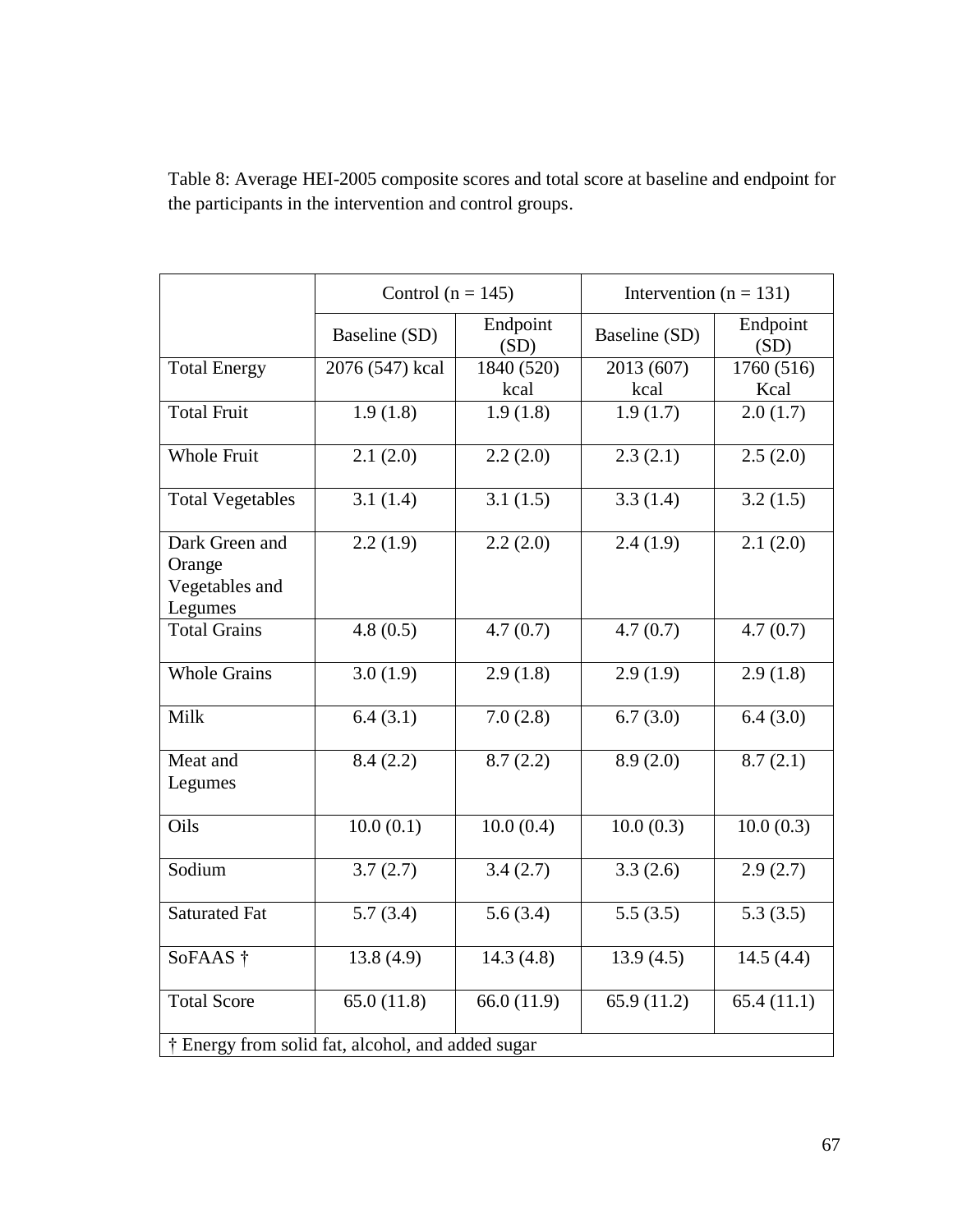Table 8: Average HEI-2005 composite scores and total score at baseline and endpoint for the participants in the intervention and control groups.

|                                                              | Control ( $n = 145$ ) |                  | Intervention ( $n = 131$ ) |                  |
|--------------------------------------------------------------|-----------------------|------------------|----------------------------|------------------|
|                                                              | Baseline (SD)         | Endpoint<br>(SD) | Baseline (SD)              | Endpoint<br>(SD) |
| <b>Total Energy</b>                                          | 2076 (547) kcal       | 1840 (520)       | 2013 (607)                 | 1760 (516)       |
|                                                              |                       | kcal             | kcal                       | Kcal             |
| <b>Total Fruit</b>                                           | 1.9(1.8)              | 1.9(1.8)         | 1.9(1.7)                   | 2.0(1.7)         |
| <b>Whole Fruit</b>                                           | 2.1(2.0)              | 2.2(2.0)         | 2.3(2.1)                   | 2.5(2.0)         |
| <b>Total Vegetables</b>                                      | 3.1(1.4)              | 3.1(1.5)         | 3.3(1.4)                   | 3.2(1.5)         |
| Dark Green and<br>Orange<br>Vegetables and<br>Legumes        | 2.2(1.9)              | 2.2(2.0)         | 2.4(1.9)                   | 2.1(2.0)         |
| <b>Total Grains</b>                                          | 4.8(0.5)              | 4.7(0.7)         | 4.7(0.7)                   | 4.7(0.7)         |
| <b>Whole Grains</b>                                          | 3.0(1.9)              | 2.9(1.8)         | 2.9(1.9)                   | 2.9(1.8)         |
| Milk                                                         | 6.4(3.1)              | 7.0(2.8)         | 6.7(3.0)                   | 6.4(3.0)         |
| Meat and<br>Legumes                                          | 8.4(2.2)              | 8.7(2.2)         | 8.9(2.0)                   | 8.7(2.1)         |
| Oils                                                         | 10.0(0.1)             | 10.0(0.4)        | 10.0(0.3)                  | 10.0(0.3)        |
| Sodium                                                       | 3.7(2.7)              | 3.4(2.7)         | 3.3(2.6)                   | 2.9(2.7)         |
| <b>Saturated Fat</b>                                         | 5.7(3.4)              | 5.6(3.4)         | 5.5(3.5)                   | 5.3(3.5)         |
| SoFAAS †                                                     | 13.8(4.9)             | 14.3(4.8)        | 13.9(4.5)                  | 14.5(4.4)        |
| <b>Total Score</b>                                           | 65.0(11.8)            | 66.0 $(11.9)$    | 65.9 (11.2)                | 65.4(11.1)       |
| <sup>†</sup> Energy from solid fat, alcohol, and added sugar |                       |                  |                            |                  |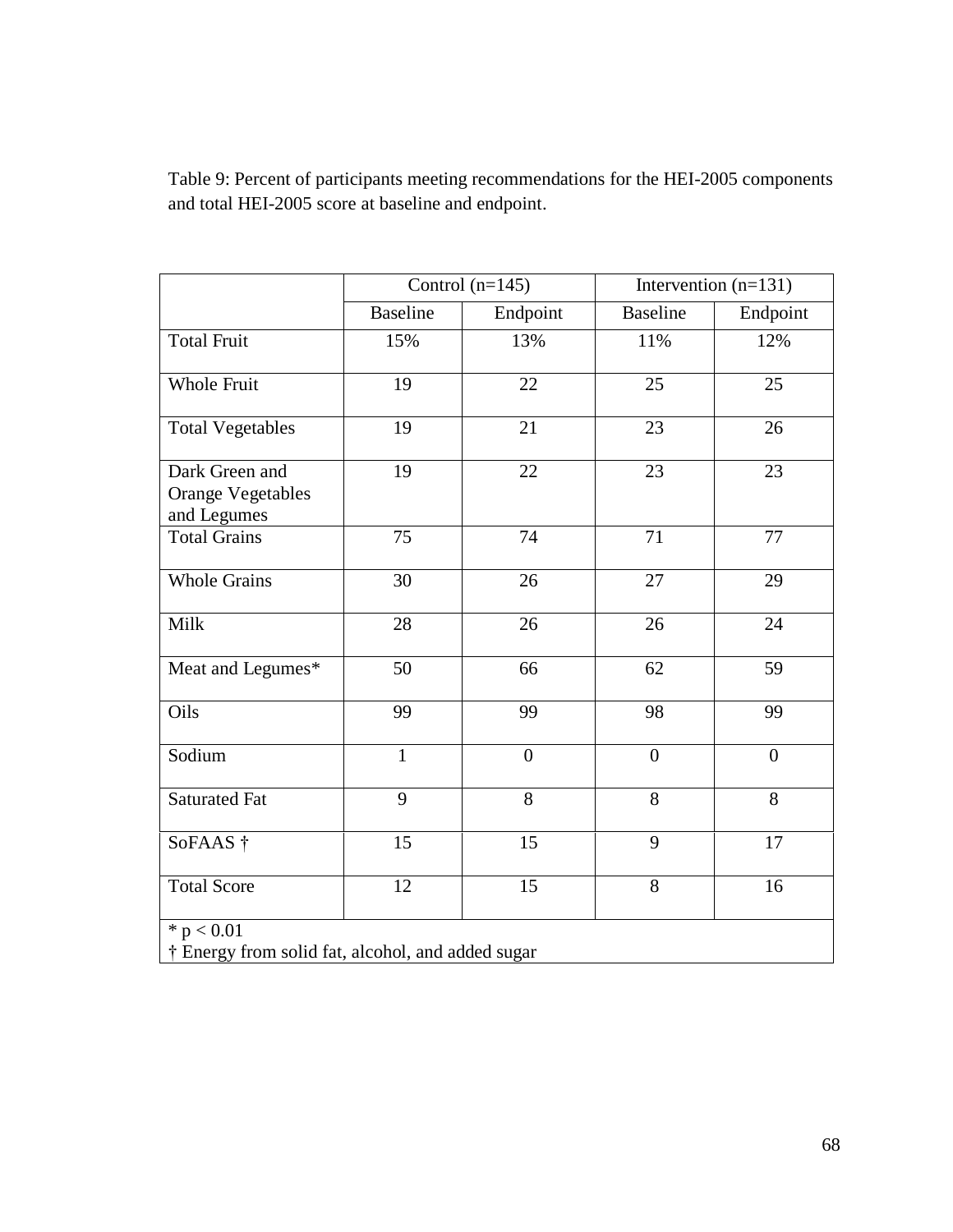Table 9: Percent of participants meeting recommendations for the HEI-2005 components and total HEI-2005 score at baseline and endpoint.

|                                                           | Control $(n=145)$ |                | Intervention $(n=131)$ |                |
|-----------------------------------------------------------|-------------------|----------------|------------------------|----------------|
|                                                           | <b>Baseline</b>   | Endpoint       | <b>Baseline</b>        | Endpoint       |
| <b>Total Fruit</b>                                        | 15%               | 13%            | 11%                    | 12%            |
| <b>Whole Fruit</b>                                        | 19                | 22             | 25                     | 25             |
| <b>Total Vegetables</b>                                   | 19                | 21             | 23                     | 26             |
| Dark Green and<br><b>Orange Vegetables</b><br>and Legumes | 19                | 22             | 23                     | 23             |
| <b>Total Grains</b>                                       | 75                | 74             | 71                     | 77             |
| <b>Whole Grains</b>                                       | 30                | 26             | 27                     | 29             |
| Milk                                                      | 28                | 26             | 26                     | 24             |
| Meat and Legumes*                                         | 50                | 66             | 62                     | 59             |
| Oils                                                      | 99                | 99             | 98                     | 99             |
| Sodium                                                    | $\mathbf{1}$      | $\overline{0}$ | $\overline{0}$         | $\overline{0}$ |
| <b>Saturated Fat</b>                                      | 9                 | 8              | 8                      | 8              |
| SoFAAS †                                                  | 15                | 15             | 9                      | 17             |
| <b>Total Score</b>                                        | 12                | 15             | 8                      | 16             |
| * $p < 0.01$                                              |                   |                |                        |                |
| † Energy from solid fat, alcohol, and added sugar         |                   |                |                        |                |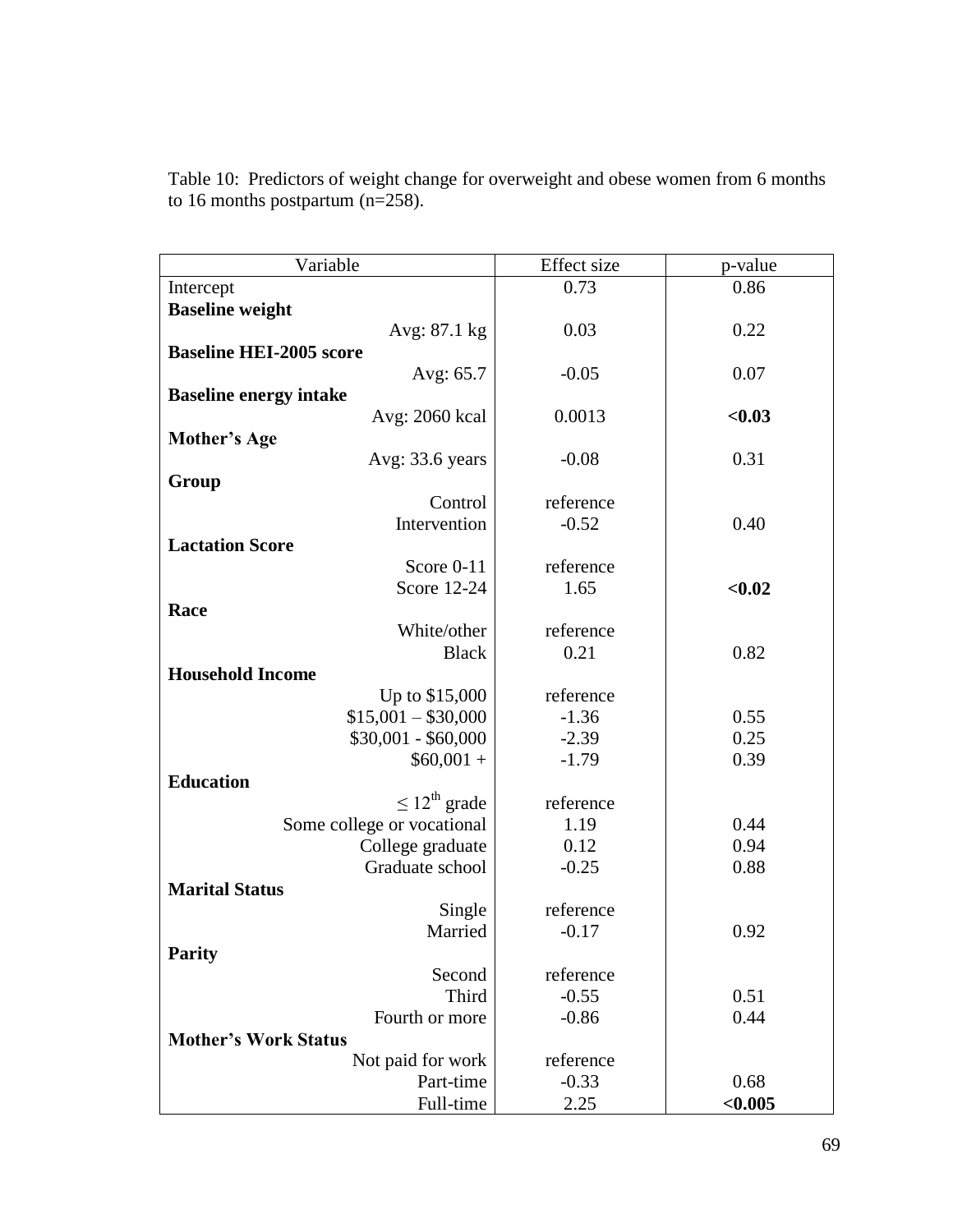| Variable                           | Effect size        | p-value      |
|------------------------------------|--------------------|--------------|
| Intercept                          | 0.73               | 0.86         |
| <b>Baseline weight</b>             |                    |              |
| Avg: 87.1 kg                       | 0.03               | 0.22         |
| <b>Baseline HEI-2005 score</b>     |                    |              |
| Avg: 65.7                          | $-0.05$            | 0.07         |
| <b>Baseline energy intake</b>      |                    |              |
| Avg: 2060 kcal                     | 0.0013             | < 0.03       |
| <b>Mother's Age</b>                |                    |              |
| Avg: 33.6 years                    | $-0.08$            | 0.31         |
| Group                              |                    |              |
| Control                            | reference          |              |
| Intervention                       | $-0.52$            | 0.40         |
| <b>Lactation Score</b>             |                    |              |
| Score 0-11                         | reference          |              |
| Score 12-24                        | 1.65               | < 0.02       |
| Race                               |                    |              |
| White/other                        | reference          |              |
| <b>Black</b>                       | 0.21               | 0.82         |
| <b>Household Income</b>            |                    |              |
| Up to \$15,000                     | reference          |              |
| $$15,001 - $30,000$                | $-1.36$            | 0.55         |
| $$30,001 - $60,000$<br>$$60,001 +$ | $-2.39$<br>$-1.79$ | 0.25<br>0.39 |
| <b>Education</b>                   |                    |              |
| $\leq 12^{\text{th}}$ grade        | reference          |              |
| Some college or vocational         | 1.19               | 0.44         |
| College graduate                   | 0.12               | 0.94         |
| Graduate school                    | $-0.25$            | 0.88         |
| <b>Marital Status</b>              |                    |              |
| Single                             | reference          |              |
| Married                            | $-0.17$            | 0.92         |
| <b>Parity</b>                      |                    |              |
| Second                             | reference          |              |
| <b>Third</b>                       | $-0.55$            | 0.51         |
| Fourth or more                     | $-0.86$            | 0.44         |
| <b>Mother's Work Status</b>        |                    |              |
| Not paid for work                  | reference          |              |
| Part-time                          | $-0.33$            | 0.68         |
| Full-time                          | 2.25               | < 0.005      |

Table 10: Predictors of weight change for overweight and obese women from 6 months to 16 months postpartum (n=258).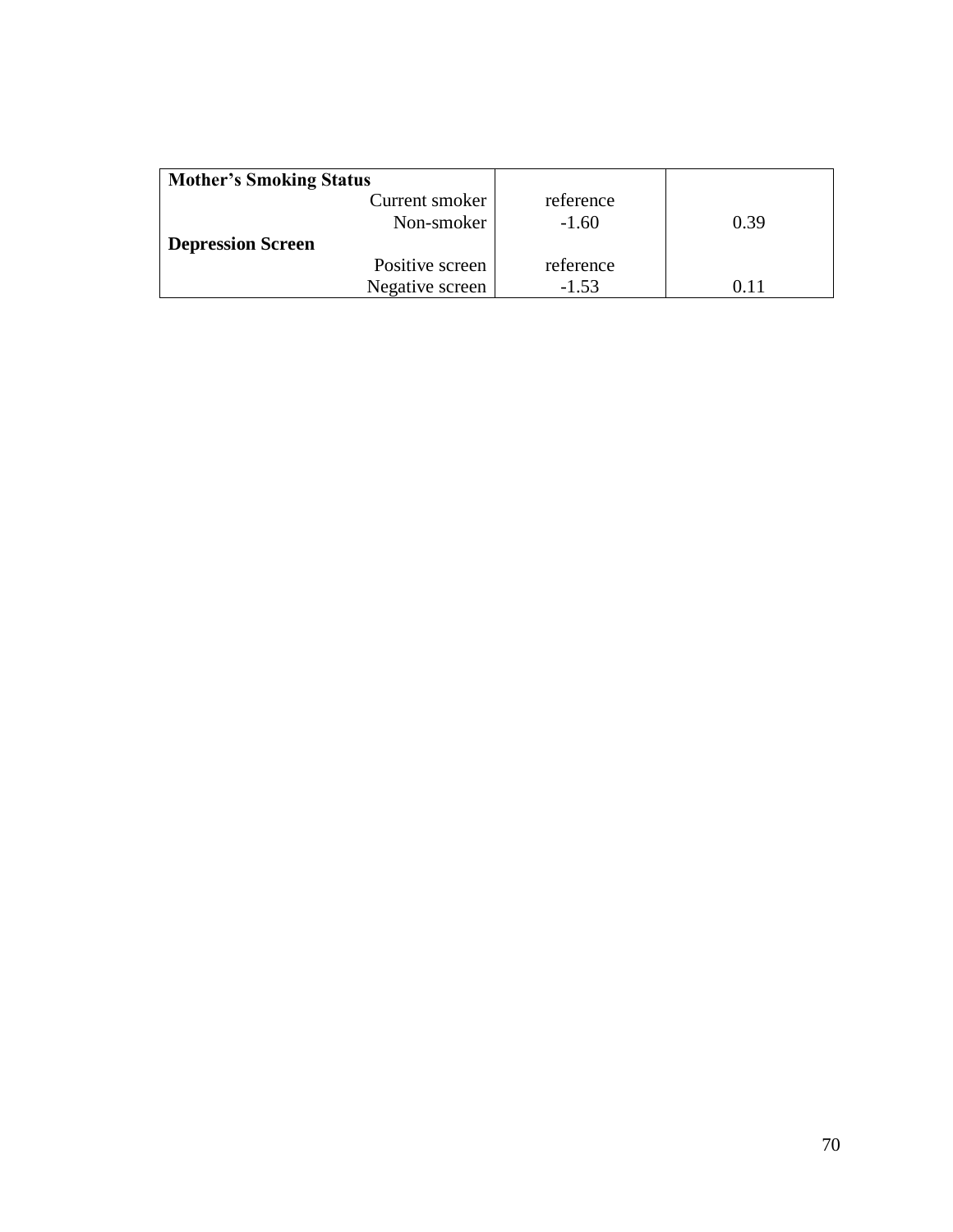| <b>Mother's Smoking Status</b> |           |      |
|--------------------------------|-----------|------|
| Current smoker                 | reference |      |
| Non-smoker                     | $-1.60$   | 0.39 |
| <b>Depression Screen</b>       |           |      |
| Positive screen                | reference |      |
| Negative screen                | $-1.53$   |      |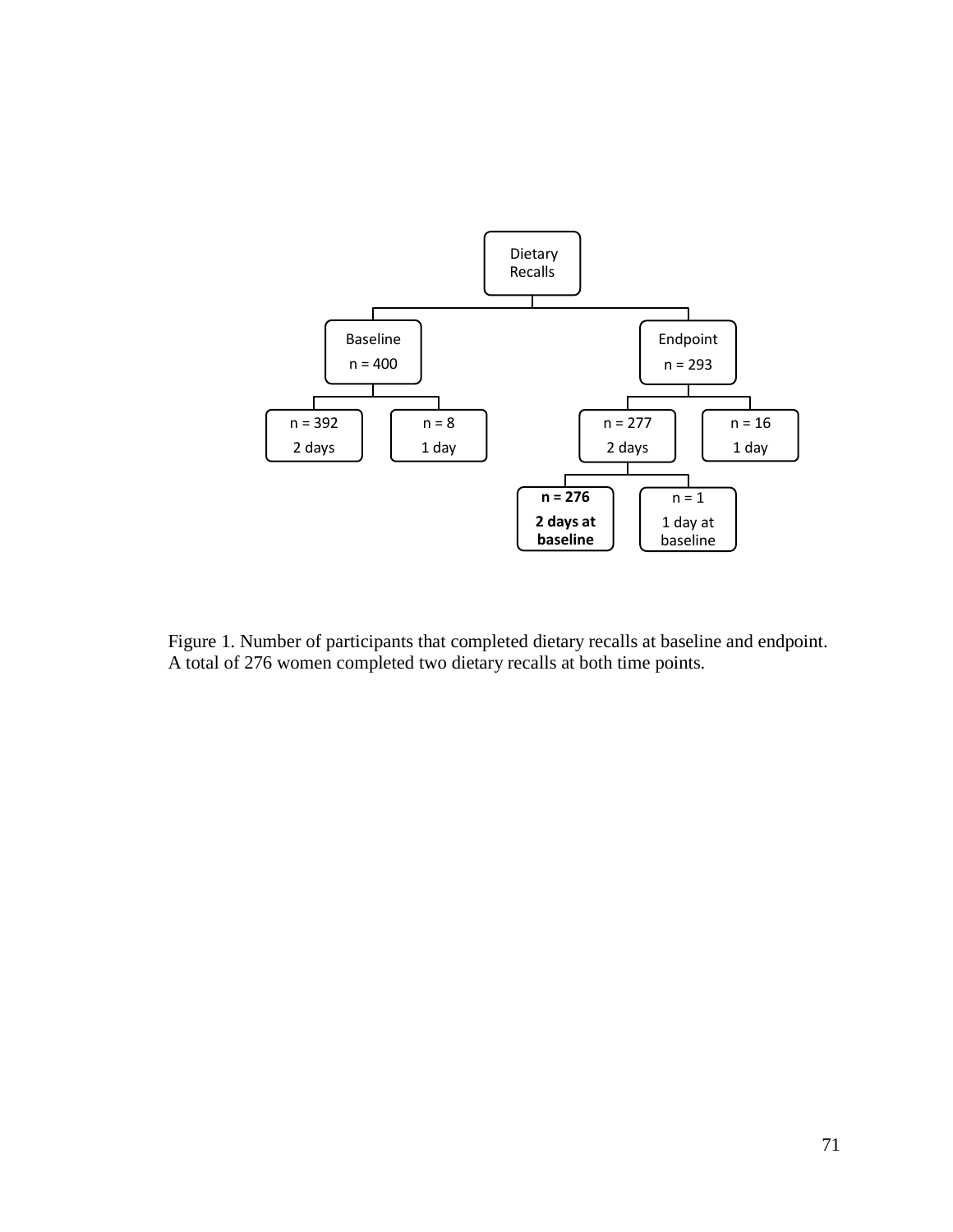

Figure 1. Number of participants that completed dietary recalls at baseline and endpoint. A total of 276 women completed two dietary recalls at both time points.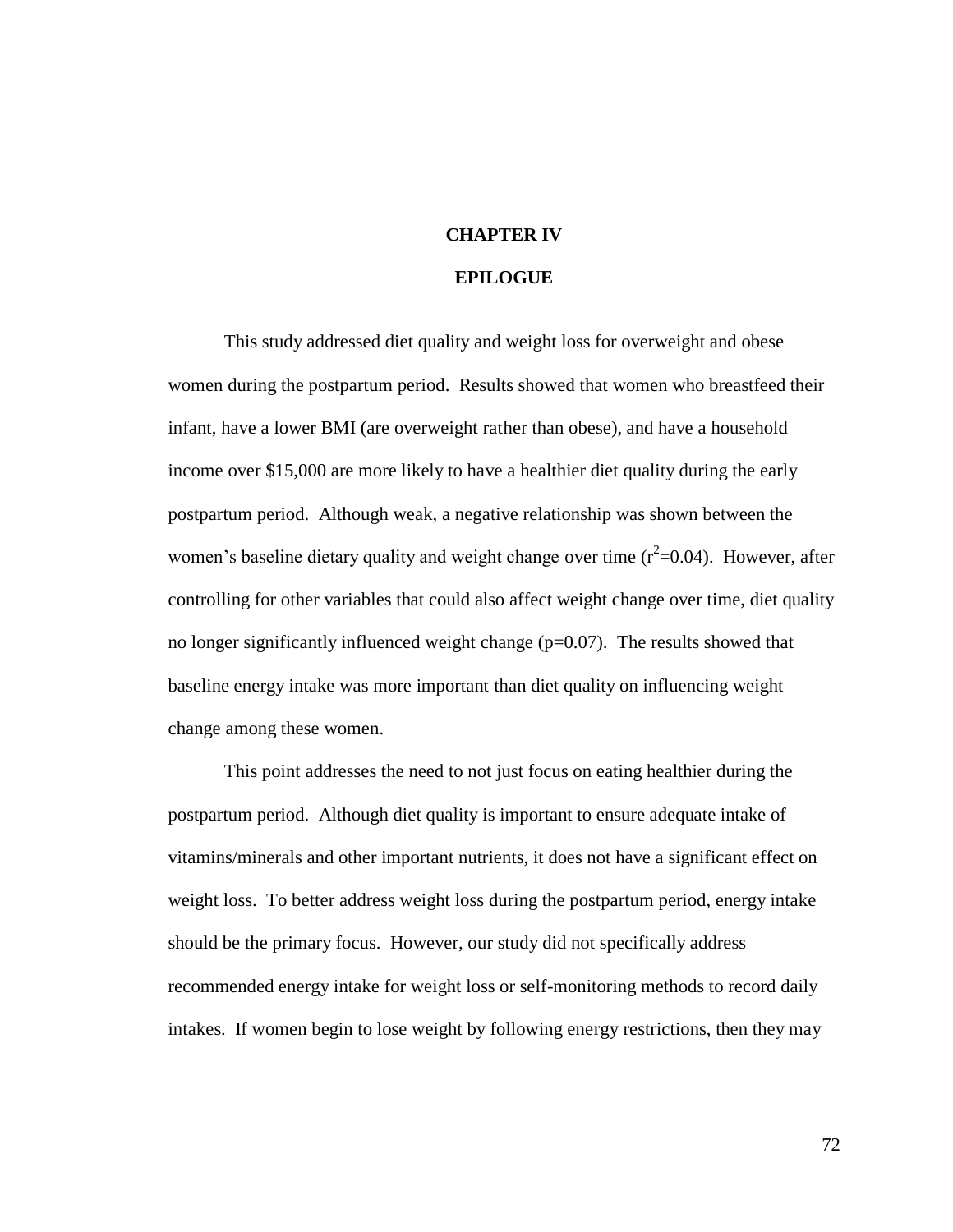## **CHAPTER IV**

## **EPILOGUE**

This study addressed diet quality and weight loss for overweight and obese women during the postpartum period. Results showed that women who breastfeed their infant, have a lower BMI (are overweight rather than obese), and have a household income over \$15,000 are more likely to have a healthier diet quality during the early postpartum period. Although weak, a negative relationship was shown between the women's baseline dietary quality and weight change over time  $(r^2=0.04)$ . However, after controlling for other variables that could also affect weight change over time, diet quality no longer significantly influenced weight change  $(p=0.07)$ . The results showed that baseline energy intake was more important than diet quality on influencing weight change among these women.

This point addresses the need to not just focus on eating healthier during the postpartum period. Although diet quality is important to ensure adequate intake of vitamins/minerals and other important nutrients, it does not have a significant effect on weight loss. To better address weight loss during the postpartum period, energy intake should be the primary focus. However, our study did not specifically address recommended energy intake for weight loss or self-monitoring methods to record daily intakes. If women begin to lose weight by following energy restrictions, then they may

72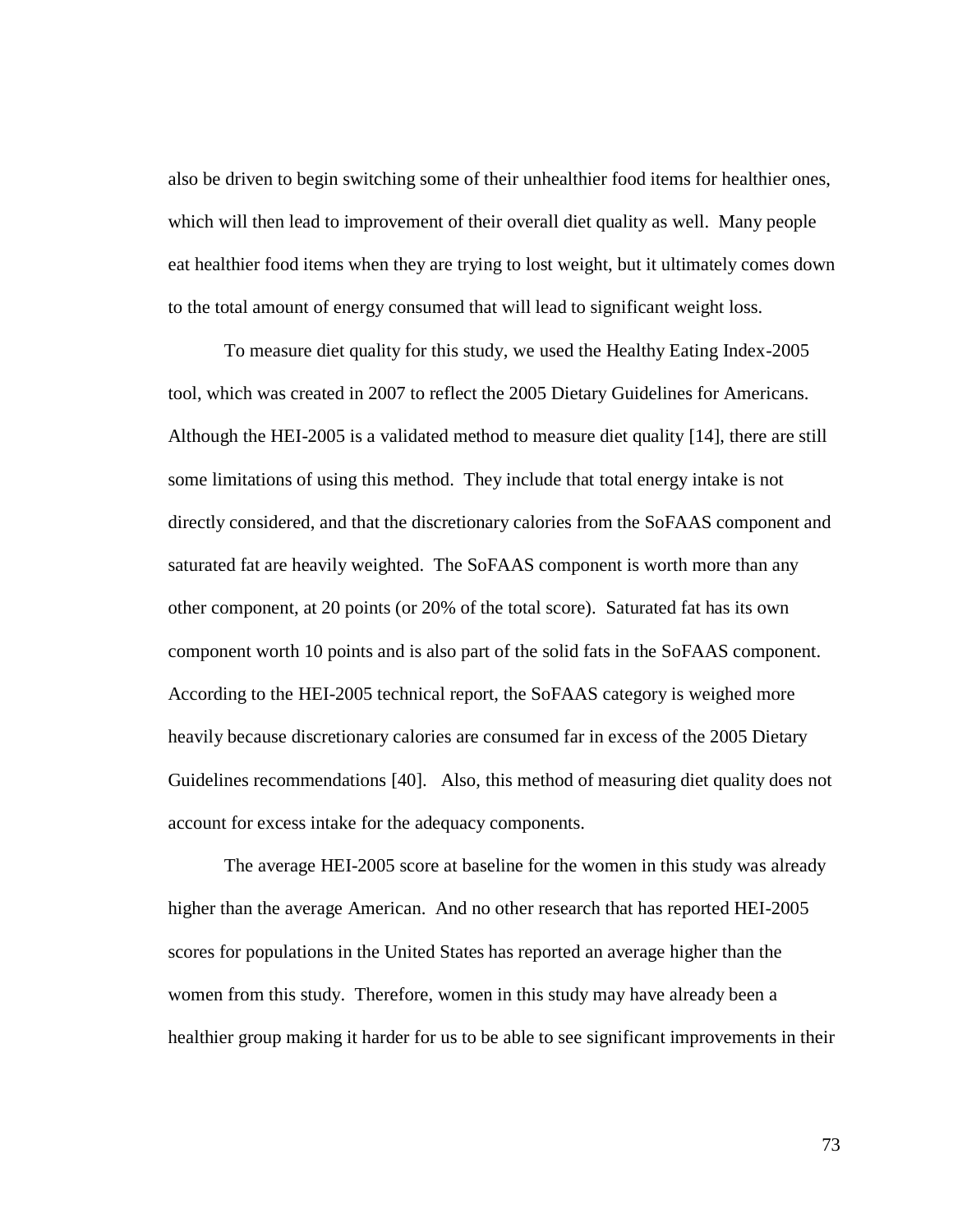also be driven to begin switching some of their unhealthier food items for healthier ones, which will then lead to improvement of their overall diet quality as well. Many people eat healthier food items when they are trying to lost weight, but it ultimately comes down to the total amount of energy consumed that will lead to significant weight loss.

To measure diet quality for this study, we used the Healthy Eating Index-2005 tool, which was created in 2007 to reflect the 2005 Dietary Guidelines for Americans. Although the HEI-2005 is a validated method to measure diet quality [14], there are still some limitations of using this method. They include that total energy intake is not directly considered, and that the discretionary calories from the SoFAAS component and saturated fat are heavily weighted. The SoFAAS component is worth more than any other component, at 20 points (or 20% of the total score). Saturated fat has its own component worth 10 points and is also part of the solid fats in the SoFAAS component. According to the HEI-2005 technical report, the SoFAAS category is weighed more heavily because discretionary calories are consumed far in excess of the 2005 Dietary Guidelines recommendations [40]. Also, this method of measuring diet quality does not account for excess intake for the adequacy components.

The average HEI-2005 score at baseline for the women in this study was already higher than the average American. And no other research that has reported HEI-2005 scores for populations in the United States has reported an average higher than the women from this study. Therefore, women in this study may have already been a healthier group making it harder for us to be able to see significant improvements in their

73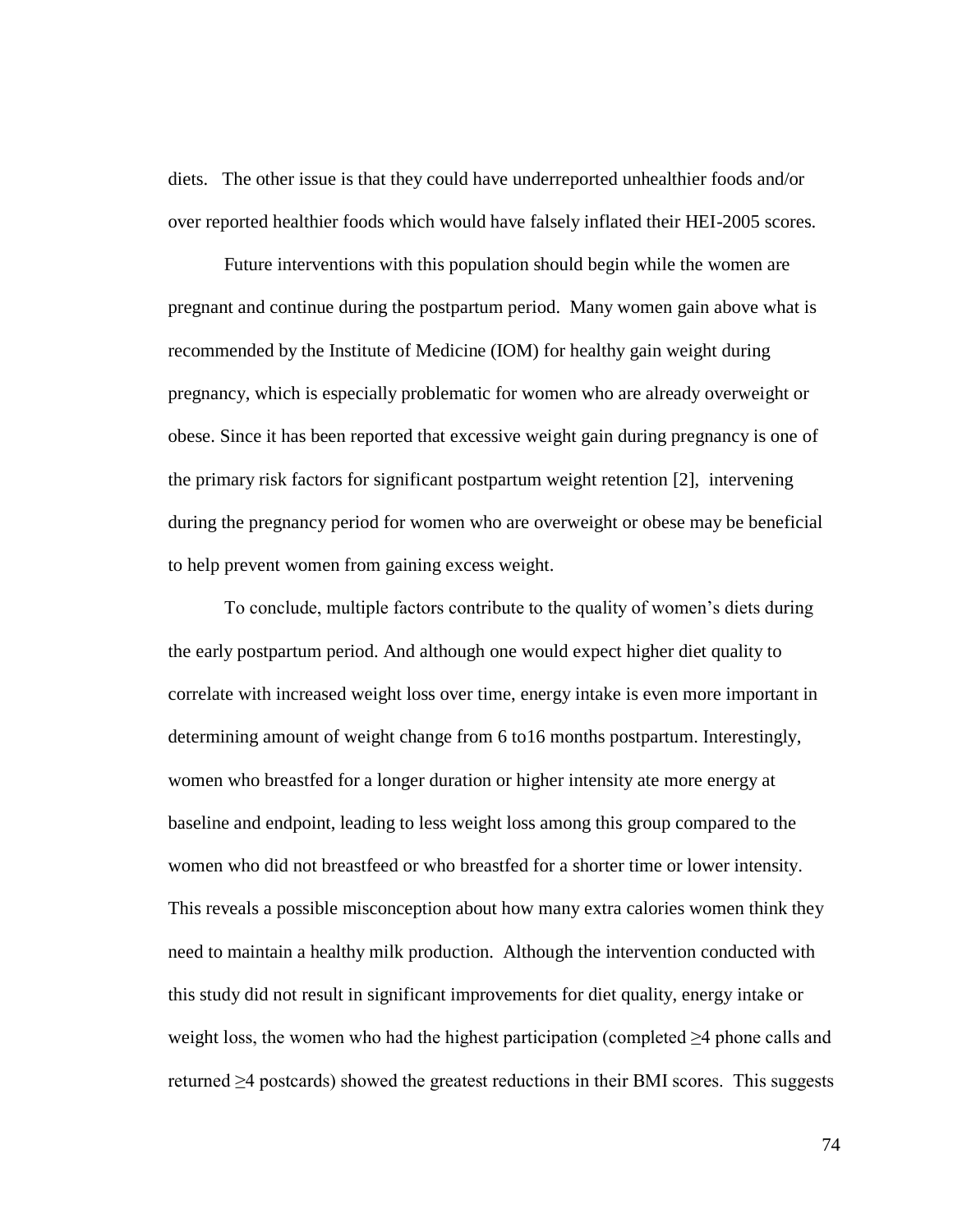diets. The other issue is that they could have underreported unhealthier foods and/or over reported healthier foods which would have falsely inflated their HEI-2005 scores.

Future interventions with this population should begin while the women are pregnant and continue during the postpartum period. Many women gain above what is recommended by the Institute of Medicine (IOM) for healthy gain weight during pregnancy, which is especially problematic for women who are already overweight or obese. Since it has been reported that excessive weight gain during pregnancy is one of the primary risk factors for significant postpartum weight retention [2], intervening during the pregnancy period for women who are overweight or obese may be beneficial to help prevent women from gaining excess weight.

To conclude, multiple factors contribute to the quality of women"s diets during the early postpartum period. And although one would expect higher diet quality to correlate with increased weight loss over time, energy intake is even more important in determining amount of weight change from 6 to16 months postpartum. Interestingly, women who breastfed for a longer duration or higher intensity ate more energy at baseline and endpoint, leading to less weight loss among this group compared to the women who did not breastfeed or who breastfed for a shorter time or lower intensity. This reveals a possible misconception about how many extra calories women think they need to maintain a healthy milk production. Although the intervention conducted with this study did not result in significant improvements for diet quality, energy intake or weight loss, the women who had the highest participation (completed  $\geq 4$  phone calls and returned  $\geq$ 4 postcards) showed the greatest reductions in their BMI scores. This suggests

74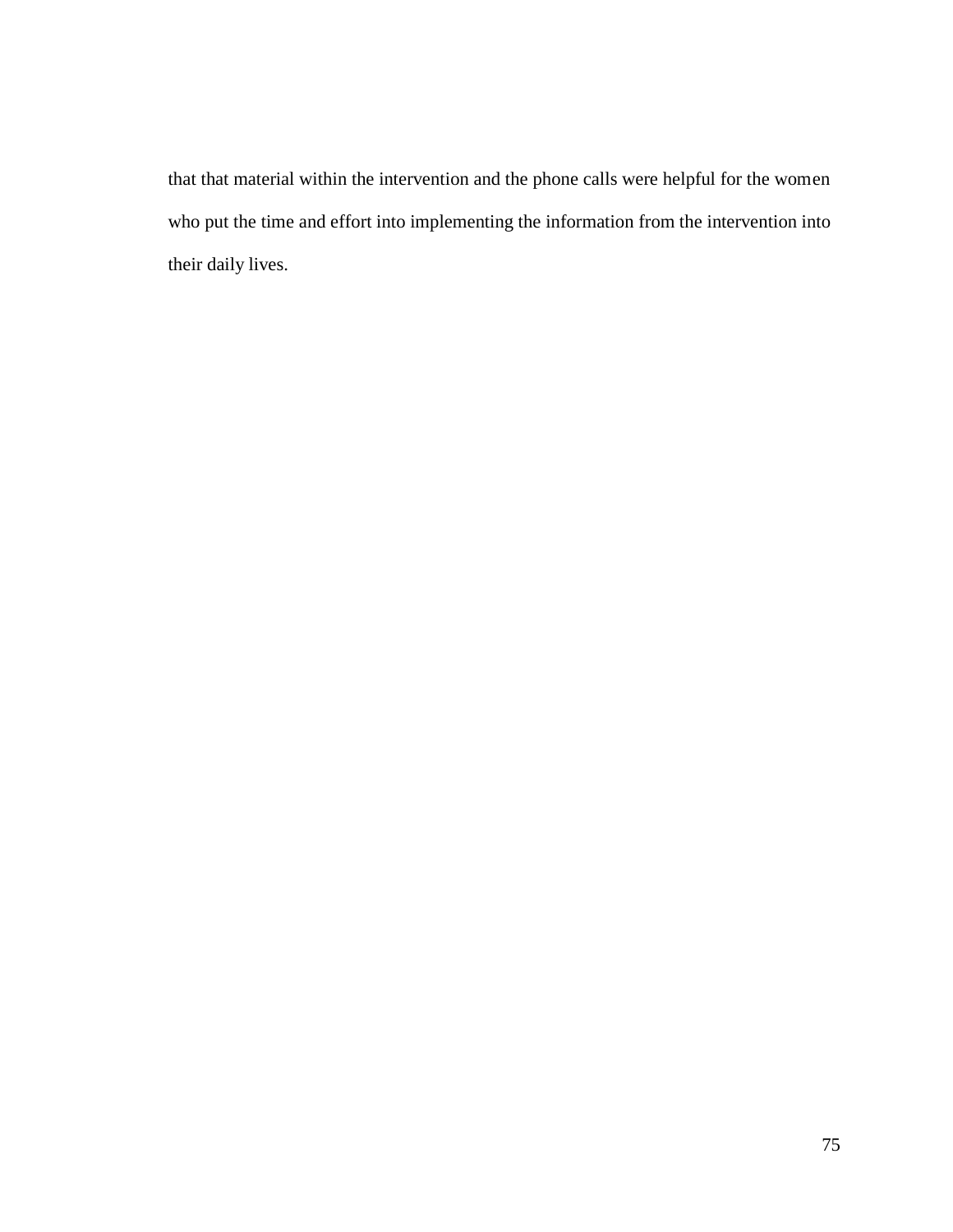that that material within the intervention and the phone calls were helpful for the women who put the time and effort into implementing the information from the intervention into their daily lives.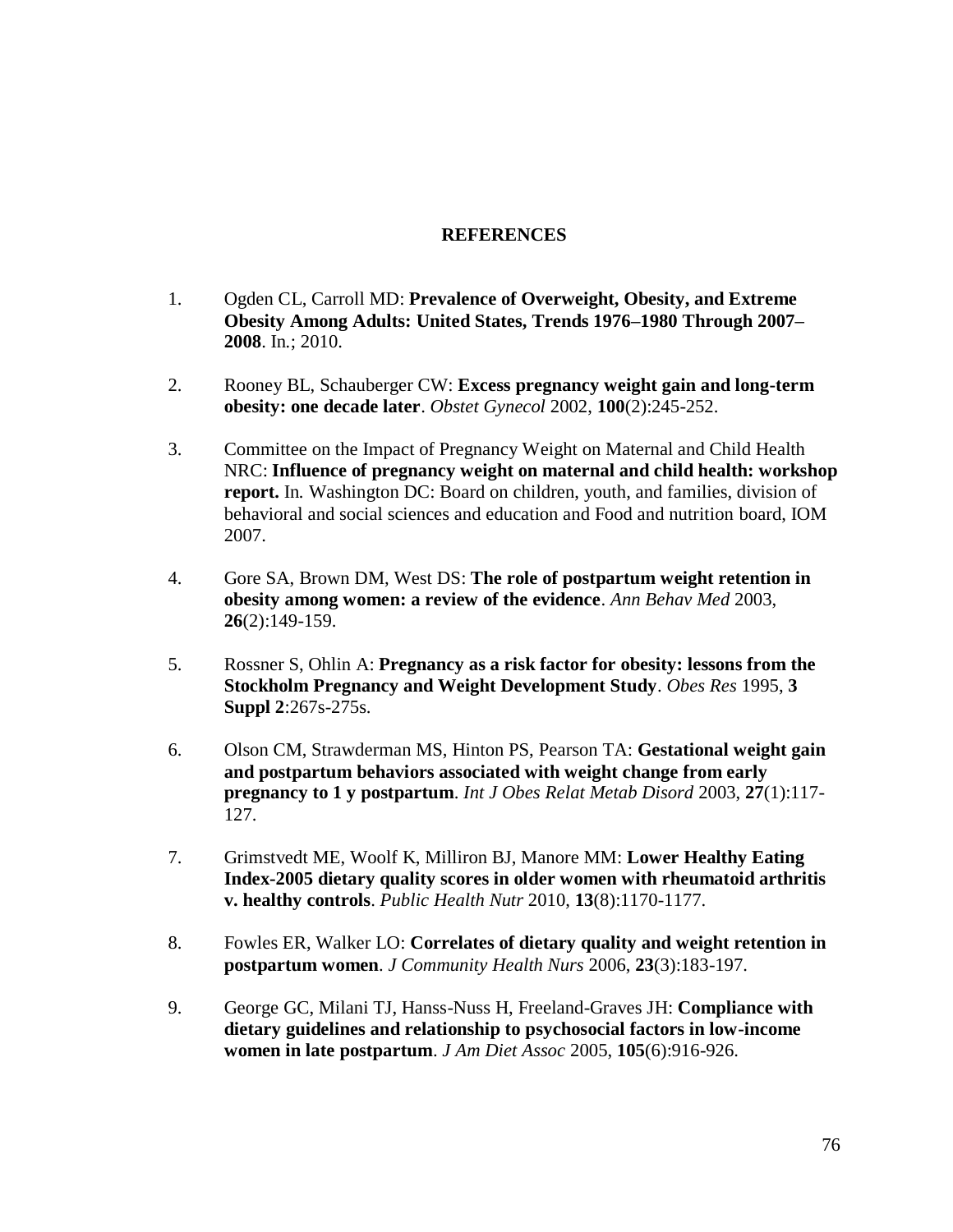## **REFERENCES**

- 1. Ogden CL, Carroll MD: **Prevalence of Overweight, Obesity, and Extreme Obesity Among Adults: United States, Trends 1976–1980 Through 2007– 2008**. In*.*; 2010.
- 2. Rooney BL, Schauberger CW: **Excess pregnancy weight gain and long-term obesity: one decade later**. *Obstet Gynecol* 2002, **100**(2):245-252.
- 3. Committee on the Impact of Pregnancy Weight on Maternal and Child Health NRC: **Influence of pregnancy weight on maternal and child health: workshop report.** In*.* Washington DC: Board on children, youth, and families, division of behavioral and social sciences and education and Food and nutrition board, IOM 2007.
- 4. Gore SA, Brown DM, West DS: **The role of postpartum weight retention in obesity among women: a review of the evidence**. *Ann Behav Med* 2003, **26**(2):149-159.
- 5. Rossner S, Ohlin A: **Pregnancy as a risk factor for obesity: lessons from the Stockholm Pregnancy and Weight Development Study**. *Obes Res* 1995, **3 Suppl 2**:267s-275s.
- 6. Olson CM, Strawderman MS, Hinton PS, Pearson TA: **Gestational weight gain and postpartum behaviors associated with weight change from early pregnancy to 1 y postpartum**. *Int J Obes Relat Metab Disord* 2003, **27**(1):117- 127.
- 7. Grimstvedt ME, Woolf K, Milliron BJ, Manore MM: **Lower Healthy Eating Index-2005 dietary quality scores in older women with rheumatoid arthritis v. healthy controls**. *Public Health Nutr* 2010, **13**(8):1170-1177.
- 8. Fowles ER, Walker LO: **Correlates of dietary quality and weight retention in postpartum women**. *J Community Health Nurs* 2006, **23**(3):183-197.
- 9. George GC, Milani TJ, Hanss-Nuss H, Freeland-Graves JH: **Compliance with dietary guidelines and relationship to psychosocial factors in low-income women in late postpartum**. *J Am Diet Assoc* 2005, **105**(6):916-926.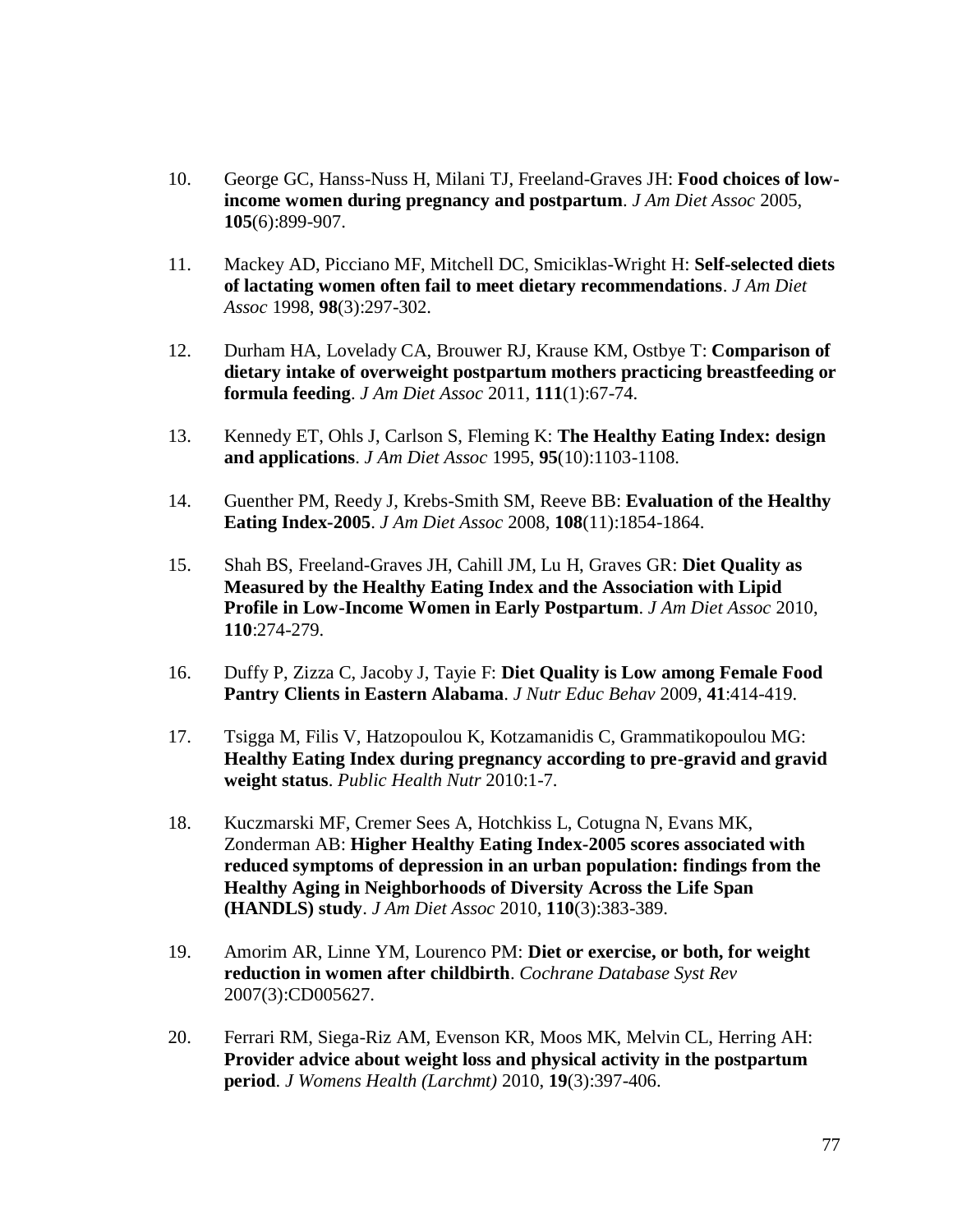- 10. George GC, Hanss-Nuss H, Milani TJ, Freeland-Graves JH: **Food choices of lowincome women during pregnancy and postpartum**. *J Am Diet Assoc* 2005, **105**(6):899-907.
- 11. Mackey AD, Picciano MF, Mitchell DC, Smiciklas-Wright H: **Self-selected diets of lactating women often fail to meet dietary recommendations**. *J Am Diet Assoc* 1998, **98**(3):297-302.
- 12. Durham HA, Lovelady CA, Brouwer RJ, Krause KM, Ostbye T: **Comparison of dietary intake of overweight postpartum mothers practicing breastfeeding or formula feeding**. *J Am Diet Assoc* 2011, **111**(1):67-74.
- 13. Kennedy ET, Ohls J, Carlson S, Fleming K: **The Healthy Eating Index: design and applications**. *J Am Diet Assoc* 1995, **95**(10):1103-1108.
- 14. Guenther PM, Reedy J, Krebs-Smith SM, Reeve BB: **Evaluation of the Healthy Eating Index-2005**. *J Am Diet Assoc* 2008, **108**(11):1854-1864.
- 15. Shah BS, Freeland-Graves JH, Cahill JM, Lu H, Graves GR: **Diet Quality as Measured by the Healthy Eating Index and the Association with Lipid Profile in Low-Income Women in Early Postpartum**. *J Am Diet Assoc* 2010, **110**:274-279.
- 16. Duffy P, Zizza C, Jacoby J, Tayie F: **Diet Quality is Low among Female Food Pantry Clients in Eastern Alabama**. *J Nutr Educ Behav* 2009, **41**:414-419.
- 17. Tsigga M, Filis V, Hatzopoulou K, Kotzamanidis C, Grammatikopoulou MG: **Healthy Eating Index during pregnancy according to pre-gravid and gravid weight status**. *Public Health Nutr* 2010:1-7.
- 18. Kuczmarski MF, Cremer Sees A, Hotchkiss L, Cotugna N, Evans MK, Zonderman AB: **Higher Healthy Eating Index-2005 scores associated with reduced symptoms of depression in an urban population: findings from the Healthy Aging in Neighborhoods of Diversity Across the Life Span (HANDLS) study**. *J Am Diet Assoc* 2010, **110**(3):383-389.
- 19. Amorim AR, Linne YM, Lourenco PM: **Diet or exercise, or both, for weight reduction in women after childbirth**. *Cochrane Database Syst Rev*  2007(3):CD005627.
- 20. Ferrari RM, Siega-Riz AM, Evenson KR, Moos MK, Melvin CL, Herring AH: **Provider advice about weight loss and physical activity in the postpartum period**. *J Womens Health (Larchmt)* 2010, **19**(3):397-406.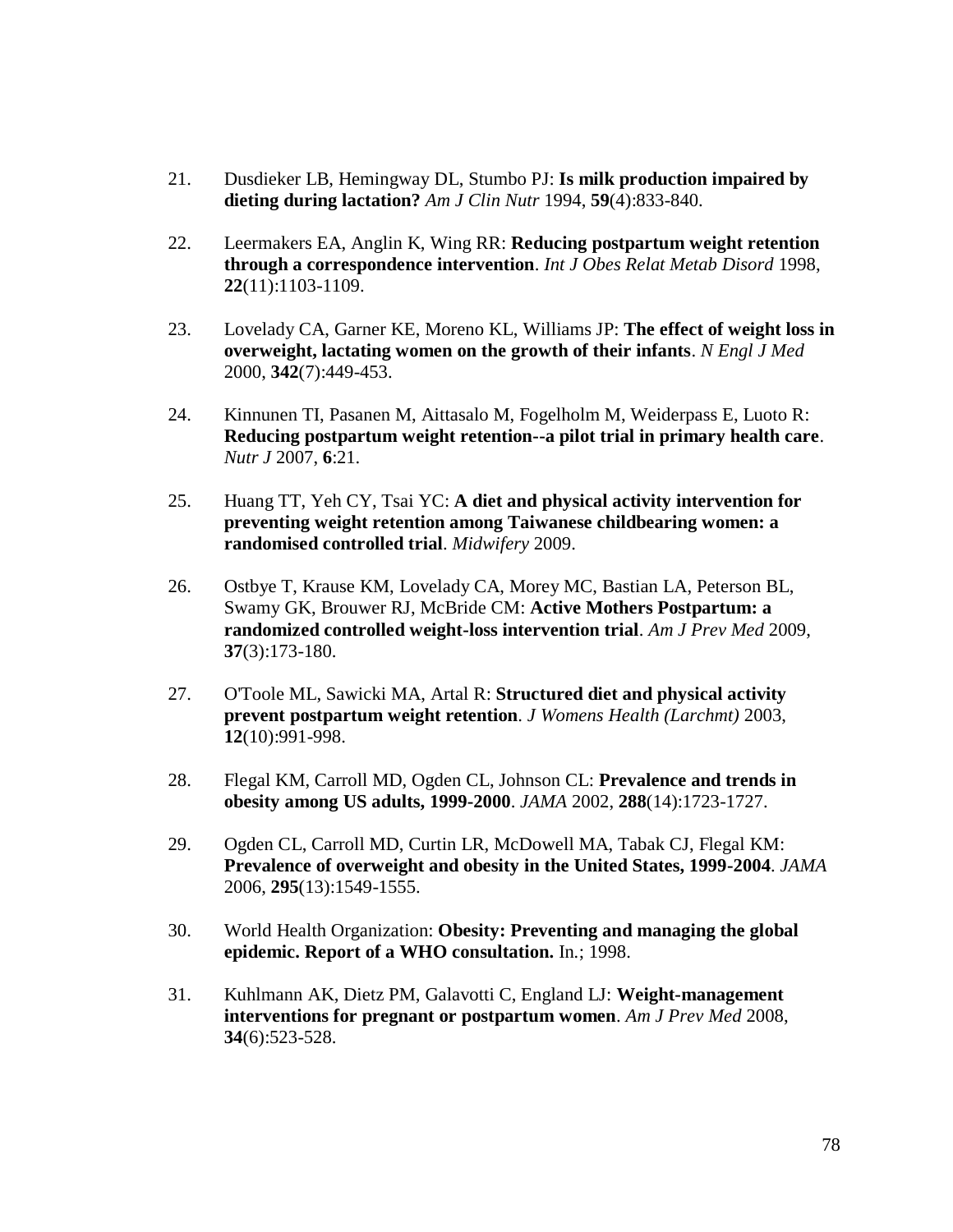- 21. Dusdieker LB, Hemingway DL, Stumbo PJ: **Is milk production impaired by dieting during lactation?** *Am J Clin Nutr* 1994, **59**(4):833-840.
- 22. Leermakers EA, Anglin K, Wing RR: **Reducing postpartum weight retention through a correspondence intervention**. *Int J Obes Relat Metab Disord* 1998, **22**(11):1103-1109.
- 23. Lovelady CA, Garner KE, Moreno KL, Williams JP: **The effect of weight loss in overweight, lactating women on the growth of their infants**. *N Engl J Med*  2000, **342**(7):449-453.
- 24. Kinnunen TI, Pasanen M, Aittasalo M, Fogelholm M, Weiderpass E, Luoto R: **Reducing postpartum weight retention--a pilot trial in primary health care**. *Nutr J* 2007, **6**:21.
- 25. Huang TT, Yeh CY, Tsai YC: **A diet and physical activity intervention for preventing weight retention among Taiwanese childbearing women: a randomised controlled trial**. *Midwifery* 2009.
- 26. Ostbye T, Krause KM, Lovelady CA, Morey MC, Bastian LA, Peterson BL, Swamy GK, Brouwer RJ, McBride CM: **Active Mothers Postpartum: a randomized controlled weight-loss intervention trial**. *Am J Prev Med* 2009, **37**(3):173-180.
- 27. O'Toole ML, Sawicki MA, Artal R: **Structured diet and physical activity prevent postpartum weight retention**. *J Womens Health (Larchmt)* 2003, **12**(10):991-998.
- 28. Flegal KM, Carroll MD, Ogden CL, Johnson CL: **Prevalence and trends in obesity among US adults, 1999-2000**. *JAMA* 2002, **288**(14):1723-1727.
- 29. Ogden CL, Carroll MD, Curtin LR, McDowell MA, Tabak CJ, Flegal KM: **Prevalence of overweight and obesity in the United States, 1999-2004**. *JAMA*  2006, **295**(13):1549-1555.
- 30. World Health Organization: **Obesity: Preventing and managing the global epidemic. Report of a WHO consultation.** In*.*; 1998.
- 31. Kuhlmann AK, Dietz PM, Galavotti C, England LJ: **Weight-management interventions for pregnant or postpartum women**. *Am J Prev Med* 2008, **34**(6):523-528.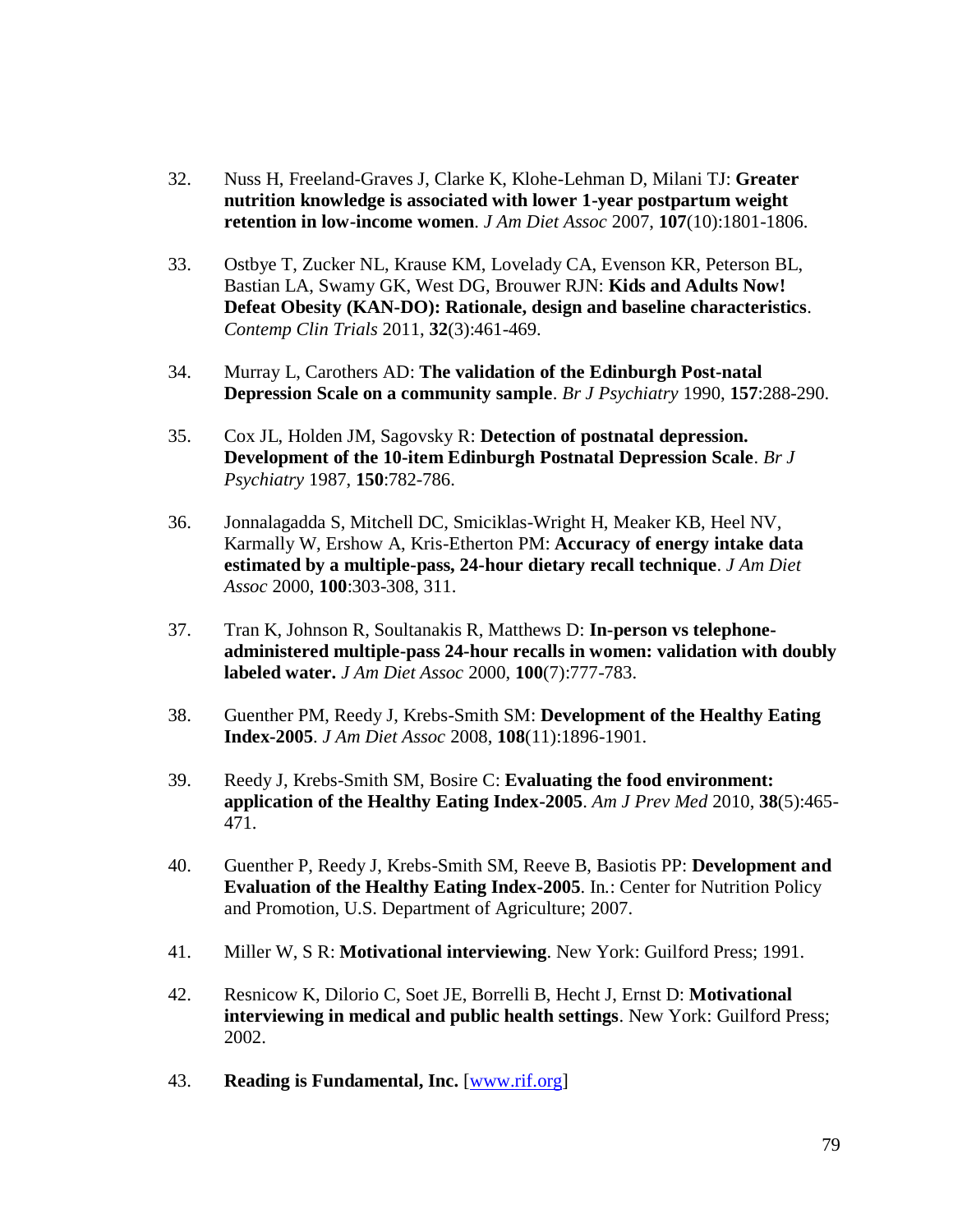- 32. Nuss H, Freeland-Graves J, Clarke K, Klohe-Lehman D, Milani TJ: **Greater nutrition knowledge is associated with lower 1-year postpartum weight retention in low-income women**. *J Am Diet Assoc* 2007, **107**(10):1801-1806.
- 33. Ostbye T, Zucker NL, Krause KM, Lovelady CA, Evenson KR, Peterson BL, Bastian LA, Swamy GK, West DG, Brouwer RJN: **Kids and Adults Now! Defeat Obesity (KAN-DO): Rationale, design and baseline characteristics**. *Contemp Clin Trials* 2011, **32**(3):461-469.
- 34. Murray L, Carothers AD: **The validation of the Edinburgh Post-natal Depression Scale on a community sample**. *Br J Psychiatry* 1990, **157**:288-290.
- 35. Cox JL, Holden JM, Sagovsky R: **Detection of postnatal depression. Development of the 10-item Edinburgh Postnatal Depression Scale**. *Br J Psychiatry* 1987, **150**:782-786.
- 36. Jonnalagadda S, Mitchell DC, Smiciklas-Wright H, Meaker KB, Heel NV, Karmally W, Ershow A, Kris-Etherton PM: **Accuracy of energy intake data estimated by a multiple-pass, 24-hour dietary recall technique**. *J Am Diet Assoc* 2000, **100**:303-308, 311.
- 37. Tran K, Johnson R, Soultanakis R, Matthews D: **In-person vs telephoneadministered multiple-pass 24-hour recalls in women: validation with doubly labeled water.** *J Am Diet Assoc* 2000, **100**(7):777-783.
- 38. Guenther PM, Reedy J, Krebs-Smith SM: **Development of the Healthy Eating Index-2005**. *J Am Diet Assoc* 2008, **108**(11):1896-1901.
- 39. Reedy J, Krebs-Smith SM, Bosire C: **Evaluating the food environment: application of the Healthy Eating Index-2005**. *Am J Prev Med* 2010, **38**(5):465- 471.
- 40. Guenther P, Reedy J, Krebs-Smith SM, Reeve B, Basiotis PP: **Development and Evaluation of the Healthy Eating Index-2005**. In*.*: Center for Nutrition Policy and Promotion, U.S. Department of Agriculture; 2007.
- 41. Miller W, S R: **Motivational interviewing**. New York: Guilford Press; 1991.
- 42. Resnicow K, Dilorio C, Soet JE, Borrelli B, Hecht J, Ernst D: **Motivational interviewing in medical and public health settings**. New York: Guilford Press; 2002.
- 43. **Reading is Fundamental, Inc.** [\[www.rif.org\]](http://www.rif.org/)